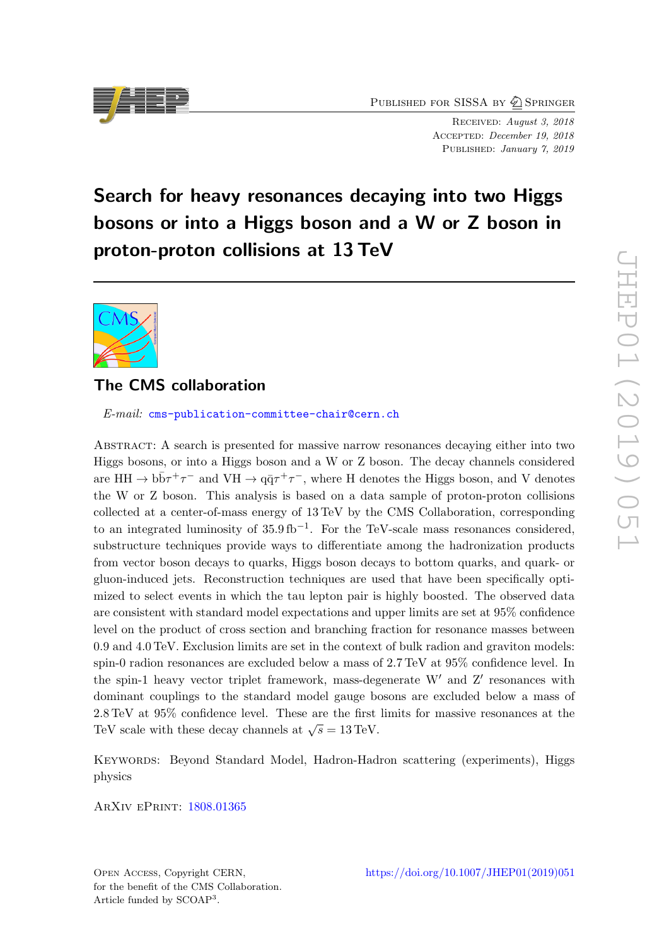PUBLISHED FOR SISSA BY 2 SPRINGER

Received: August 3, 2018 Accepted: December 19, 2018 Published: January 7, 2019

# Search for heavy resonances decaying into two Higgs bosons or into a Higgs boson and a W or Z boson in proton-proton collisions at 13 TeV



# The CMS collaboration

E-mail: [cms-publication-committee-chair@cern.ch](mailto:cms-publication-committee-chair@cern.ch)

Abstract: A search is presented for massive narrow resonances decaying either into two Higgs bosons, or into a Higgs boson and a W or Z boson. The decay channels considered are HH  $\rightarrow b\bar{b}\tau^{+}\tau^{-}$  and VH  $\rightarrow q\bar{q}\tau^{+}\tau^{-}$ , where H denotes the Higgs boson, and V denotes the W or Z boson. This analysis is based on a data sample of proton-proton collisions collected at a center-of-mass energy of 13 TeV by the CMS Collaboration, corresponding to an integrated luminosity of  $35.9 \text{ fb}^{-1}$ . For the TeV-scale mass resonances considered, substructure techniques provide ways to differentiate among the hadronization products from vector boson decays to quarks, Higgs boson decays to bottom quarks, and quark- or gluon-induced jets. Reconstruction techniques are used that have been specifically optimized to select events in which the tau lepton pair is highly boosted. The observed data are consistent with standard model expectations and upper limits are set at 95% confidence level on the product of cross section and branching fraction for resonance masses between 0.9 and 4.0 TeV. Exclusion limits are set in the context of bulk radion and graviton models: spin-0 radion resonances are excluded below a mass of 2.7 TeV at 95% confidence level. In the spin-1 heavy vector triplet framework, mass-degenerate  $W'$  and  $Z'$  resonances with dominant couplings to the standard model gauge bosons are excluded below a mass of 2.8 TeV at 95% confidence level. These are the first limits for massive resonances at the TeV scale with these decay channels at  $\sqrt{s} = 13$  TeV.

Keywords: Beyond Standard Model, Hadron-Hadron scattering (experiments), Higgs physics

ArXiv ePrint: [1808.01365](https://arxiv.org/abs/1808.01365)

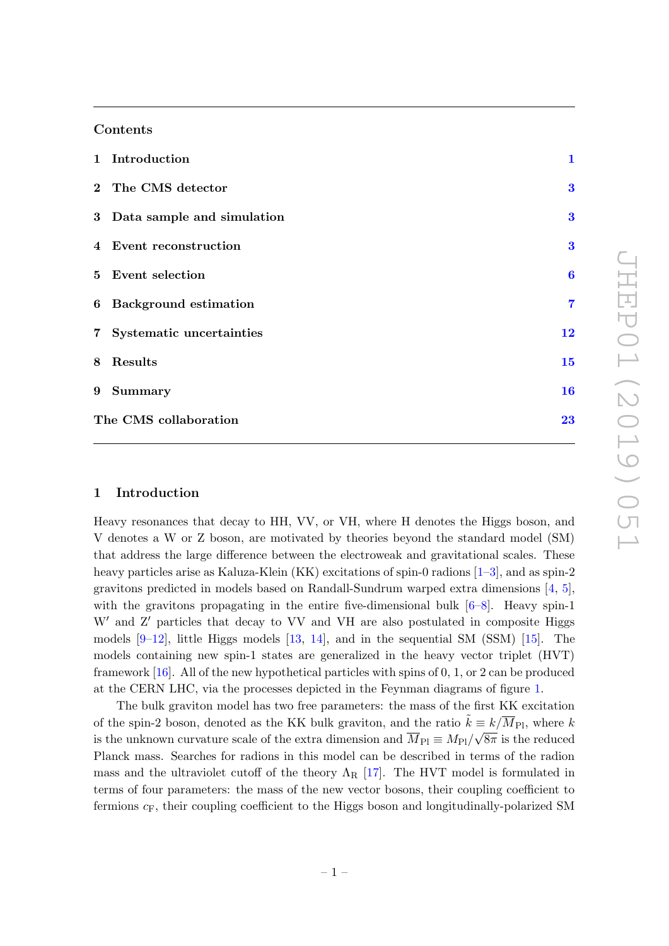# Contents

| 1 Introduction               | $\mathbf{1}$     |
|------------------------------|------------------|
| 2 The CMS detector           | 3                |
| 3 Data sample and simulation | 3                |
| 4 Event reconstruction       | 3                |
| 5 Event selection            | $\boldsymbol{6}$ |
| 6 Background estimation      | $\overline{7}$   |
| 7 Systematic uncertainties   | 12               |
| 8 Results                    | 15               |
| 9 Summary                    | 16               |
| The CMS collaboration        | 23               |

# <span id="page-1-0"></span>1 Introduction

Heavy resonances that decay to HH, VV, or VH, where H denotes the Higgs boson, and V denotes a W or Z boson, are motivated by theories beyond the standard model (SM) that address the large difference between the electroweak and gravitational scales. These heavy particles arise as Kaluza-Klein (KK) excitations of spin-0 radions  $[1-3]$  $[1-3]$ , and as spin-2 gravitons predicted in models based on Randall-Sundrum warped extra dimensions [\[4,](#page-18-2) [5\]](#page-18-3), with the gravitons propagating in the entire five-dimensional bulk  $[6-8]$  $[6-8]$ . Heavy spin-1  $W'$  and  $Z'$  particles that decay to VV and VH are also postulated in composite Higgs models  $[9-12]$  $[9-12]$ , little Higgs models  $[13, 14]$  $[13, 14]$  $[13, 14]$ , and in the sequential SM (SSM)  $[15]$ . The models containing new spin-1 states are generalized in the heavy vector triplet (HVT) framework [\[16\]](#page-19-6). All of the new hypothetical particles with spins of 0, 1, or 2 can be produced at the CERN LHC, via the processes depicted in the Feynman diagrams of figure [1.](#page-2-0)

The bulk graviton model has two free parameters: the mass of the first KK excitation of the spin-2 boson, denoted as the KK bulk graviton, and the ratio  $\tilde{k} \equiv k/\overline{M}_{\text{Pl}}$ , where k is the unknown curvature scale of the extra dimension and  $\overline{M}_{\rm Pl}\equiv M_{\rm Pl}/\sqrt{8\pi}$  is the reduced Planck mass. Searches for radions in this model can be described in terms of the radion mass and the ultraviolet cutoff of the theory  $\Lambda_R$  [\[17\]](#page-19-7). The HVT model is formulated in terms of four parameters: the mass of the new vector bosons, their coupling coefficient to fermions  $c_F$ , their coupling coefficient to the Higgs boson and longitudinally-polarized SM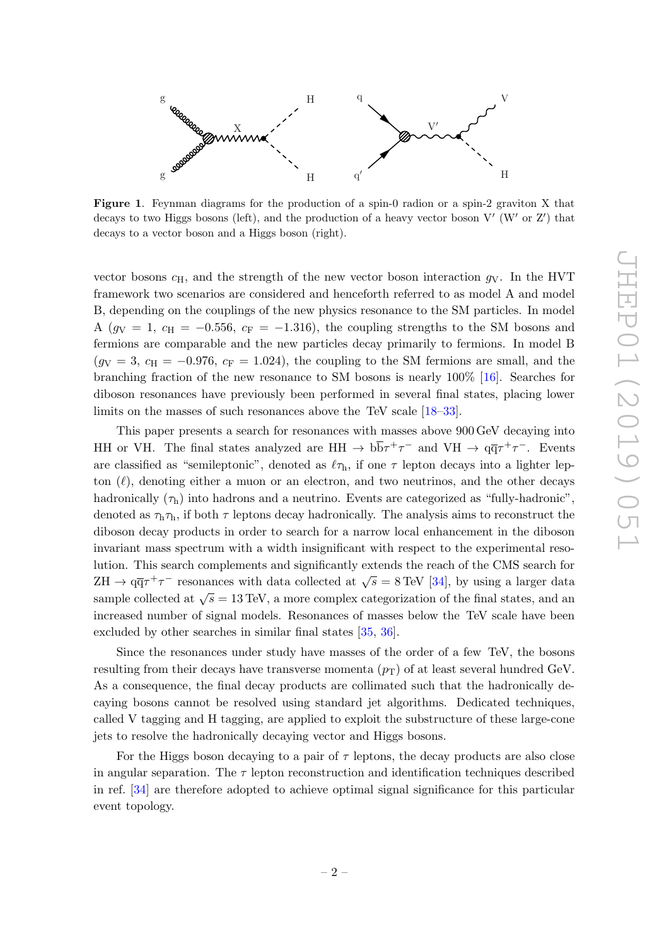

<span id="page-2-0"></span>Figure 1. Feynman diagrams for the production of a spin-0 radion or a spin-2 graviton X that decays to two Higgs bosons (left), and the production of a heavy vector boson  $V'$  (W' or Z') that decays to a vector boson and a Higgs boson (right).

vector bosons  $c_{\text{H}}$ , and the strength of the new vector boson interaction  $g_V$ . In the HVT framework two scenarios are considered and henceforth referred to as model A and model B, depending on the couplings of the new physics resonance to the SM particles. In model A ( $g_V = 1$ ,  $c_H = -0.556$ ,  $c_F = -1.316$ ), the coupling strengths to the SM bosons and fermions are comparable and the new particles decay primarily to fermions. In model B  $(g_V = 3, c_H = -0.976, c_F = 1.024)$ , the coupling to the SM fermions are small, and the branching fraction of the new resonance to SM bosons is nearly 100% [\[16\]](#page-19-6). Searches for diboson resonances have previously been performed in several final states, placing lower limits on the masses of such resonances above the TeV scale [\[18–](#page-19-8)[33\]](#page-20-0).

This paper presents a search for resonances with masses above 900 GeV decaying into HH or VH. The final states analyzed are HH  $\rightarrow b\overline{b}\tau^{+}\tau^{-}$  and VH  $\rightarrow q\overline{q}\tau^{+}\tau^{-}$ . Events are classified as "semileptonic", denoted as  $\ell_{\tau_{h}}$ , if one  $\tau$  lepton decays into a lighter lepton  $(\ell)$ , denoting either a muon or an electron, and two neutrinos, and the other decays hadronically  $(\tau_h)$  into hadrons and a neutrino. Events are categorized as "fully-hadronic", denoted as  $\tau_h \tau_h$ , if both  $\tau$  leptons decay hadronically. The analysis aims to reconstruct the diboson decay products in order to search for a narrow local enhancement in the diboson invariant mass spectrum with a width insignificant with respect to the experimental resolution. This search complements and significantly extends the reach of the CMS search for  $ZH \rightarrow q\bar{q}\tau^{+}\tau^{-}$  resonances with data collected at  $\sqrt{s} = 8$  TeV [\[34\]](#page-20-1), by using a larger data sample collected at  $\sqrt{s} = 13$  TeV, a more complex categorization of the final states, and an increased number of signal models. Resonances of masses below the TeV scale have been excluded by other searches in similar final states [\[35,](#page-20-2) [36\]](#page-20-3).

Since the resonances under study have masses of the order of a few TeV, the bosons resulting from their decays have transverse momenta  $(p_T)$  of at least several hundred GeV. As a consequence, the final decay products are collimated such that the hadronically decaying bosons cannot be resolved using standard jet algorithms. Dedicated techniques, called V tagging and H tagging, are applied to exploit the substructure of these large-cone jets to resolve the hadronically decaying vector and Higgs bosons.

For the Higgs boson decaying to a pair of  $\tau$  leptons, the decay products are also close in angular separation. The  $\tau$  lepton reconstruction and identification techniques described in ref. [\[34\]](#page-20-1) are therefore adopted to achieve optimal signal significance for this particular event topology.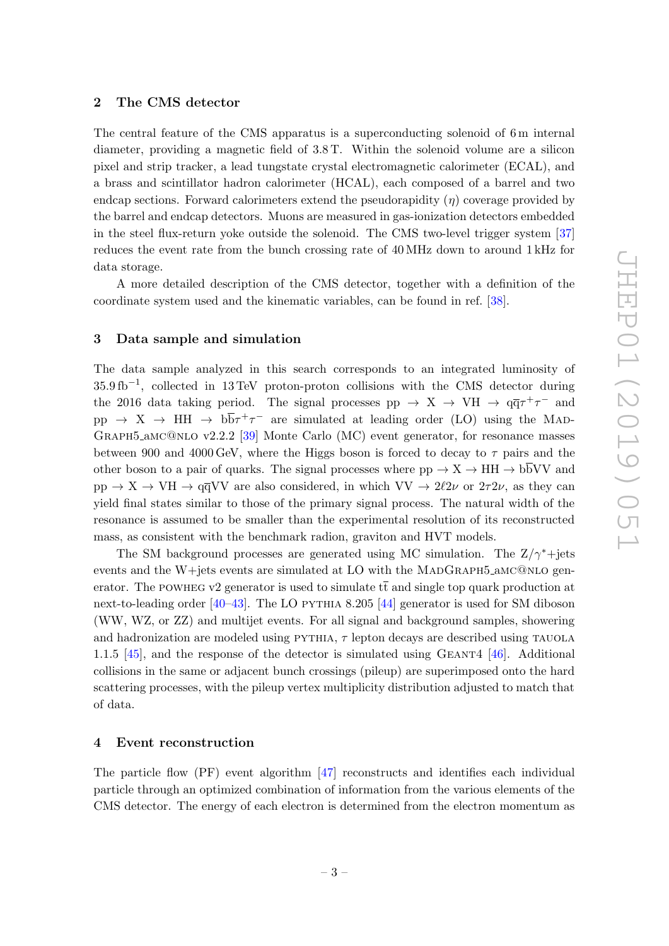#### <span id="page-3-0"></span>2 The CMS detector

The central feature of the CMS apparatus is a superconducting solenoid of 6 m internal diameter, providing a magnetic field of 3.8 T. Within the solenoid volume are a silicon pixel and strip tracker, a lead tungstate crystal electromagnetic calorimeter (ECAL), and a brass and scintillator hadron calorimeter (HCAL), each composed of a barrel and two endcap sections. Forward calorimeters extend the pseudorapidity  $(\eta)$  coverage provided by the barrel and endcap detectors. Muons are measured in gas-ionization detectors embedded in the steel flux-return yoke outside the solenoid. The CMS two-level trigger system [\[37\]](#page-20-4) reduces the event rate from the bunch crossing rate of 40 MHz down to around 1 kHz for data storage.

A more detailed description of the CMS detector, together with a definition of the coordinate system used and the kinematic variables, can be found in ref. [\[38\]](#page-20-5).

#### <span id="page-3-1"></span>3 Data sample and simulation

The data sample analyzed in this search corresponds to an integrated luminosity of 35.9 fb−<sup>1</sup> , collected in 13 TeV proton-proton collisions with the CMS detector during the 2016 data taking period. The signal processes  $pp \rightarrow X \rightarrow VH \rightarrow q\bar{q}\tau^{+}\tau^{-}$  and  $pp \rightarrow X \rightarrow HH \rightarrow b\overline{b}\tau^{+}\tau^{-}$  are simulated at leading order (LO) using the MAD-GRAPH5\_aMC@NLO v2.2.2 [\[39\]](#page-21-0) Monte Carlo (MC) event generator, for resonance masses between 900 and 4000 GeV, where the Higgs boson is forced to decay to  $\tau$  pairs and the other boson to a pair of quarks. The signal processes where  $pp \rightarrow X \rightarrow HH \rightarrow bbVV$  and  $pp \to X \to VH \to q\overline{q}VV$  are also considered, in which  $VV \to 2\ell 2\nu$  or  $2\tau 2\nu$ , as they can yield final states similar to those of the primary signal process. The natural width of the resonance is assumed to be smaller than the experimental resolution of its reconstructed mass, as consistent with the benchmark radion, graviton and HVT models.

The SM background processes are generated using MC simulation. The  $Z/\gamma^*+{\rm jets}$ events and the W+jets events are simulated at LO with the MADGRAPH5 aMC@NLO generator. The POWHEG v2 generator is used to simulate  $t\bar{t}$  and single top quark production at next-to-leading order [\[40–](#page-21-1)[43\]](#page-21-2). The LO PYTHIA 8.205 [\[44\]](#page-21-3) generator is used for SM diboson (WW, WZ, or ZZ) and multijet events. For all signal and background samples, showering and hadronization are modeled using  $PYTHIA, \tau$  lepton decays are described using TAUOLA 1.1.5 [\[45\]](#page-21-4), and the response of the detector is simulated using Geant4 [\[46\]](#page-21-5). Additional collisions in the same or adjacent bunch crossings (pileup) are superimposed onto the hard scattering processes, with the pileup vertex multiplicity distribution adjusted to match that of data.

#### <span id="page-3-2"></span>4 Event reconstruction

The particle flow (PF) event algorithm [\[47\]](#page-21-6) reconstructs and identifies each individual particle through an optimized combination of information from the various elements of the CMS detector. The energy of each electron is determined from the electron momentum as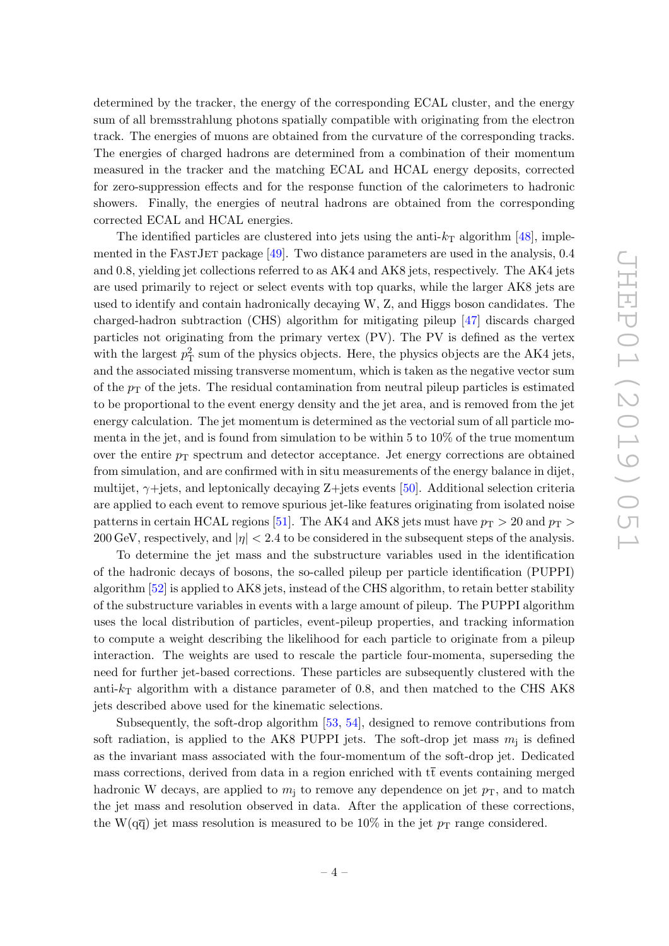determined by the tracker, the energy of the corresponding ECAL cluster, and the energy sum of all bremsstrahlung photons spatially compatible with originating from the electron track. The energies of muons are obtained from the curvature of the corresponding tracks. The energies of charged hadrons are determined from a combination of their momentum measured in the tracker and the matching ECAL and HCAL energy deposits, corrected for zero-suppression effects and for the response function of the calorimeters to hadronic showers. Finally, the energies of neutral hadrons are obtained from the corresponding corrected ECAL and HCAL energies.

The identified particles are clustered into jets using the anti- $k_T$  algorithm [\[48\]](#page-21-7), implemented in the FASTJET package  $[49]$ . Two distance parameters are used in the analysis, 0.4 and 0.8, yielding jet collections referred to as AK4 and AK8 jets, respectively. The AK4 jets are used primarily to reject or select events with top quarks, while the larger AK8 jets are used to identify and contain hadronically decaying W, Z, and Higgs boson candidates. The charged-hadron subtraction (CHS) algorithm for mitigating pileup [\[47\]](#page-21-6) discards charged particles not originating from the primary vertex (PV). The PV is defined as the vertex with the largest  $p_T^2$  sum of the physics objects. Here, the physics objects are the AK4 jets, and the associated missing transverse momentum, which is taken as the negative vector sum of the  $p_{\rm T}$  of the jets. The residual contamination from neutral pileup particles is estimated to be proportional to the event energy density and the jet area, and is removed from the jet energy calculation. The jet momentum is determined as the vectorial sum of all particle momenta in the jet, and is found from simulation to be within 5 to 10% of the true momentum over the entire  $p<sub>T</sub>$  spectrum and detector acceptance. Jet energy corrections are obtained from simulation, and are confirmed with in situ measurements of the energy balance in dijet, multijet,  $\gamma$ +jets, and leptonically decaying Z+jets events [\[50\]](#page-21-9). Additional selection criteria are applied to each event to remove spurious jet-like features originating from isolated noise patterns in certain HCAL regions [\[51\]](#page-21-10). The AK4 and AK8 jets must have  $p_T > 20$  and  $p_T >$ 200 GeV, respectively, and  $|\eta| < 2.4$  to be considered in the subsequent steps of the analysis.

To determine the jet mass and the substructure variables used in the identification of the hadronic decays of bosons, the so-called pileup per particle identification (PUPPI) algorithm [\[52\]](#page-21-11) is applied to AK8 jets, instead of the CHS algorithm, to retain better stability of the substructure variables in events with a large amount of pileup. The PUPPI algorithm uses the local distribution of particles, event-pileup properties, and tracking information to compute a weight describing the likelihood for each particle to originate from a pileup interaction. The weights are used to rescale the particle four-momenta, superseding the need for further jet-based corrections. These particles are subsequently clustered with the anti- $k_T$  algorithm with a distance parameter of 0.8, and then matched to the CHS AK8 jets described above used for the kinematic selections.

Subsequently, the soft-drop algorithm [\[53,](#page-21-12) [54\]](#page-21-13), designed to remove contributions from soft radiation, is applied to the AK8 PUPPI jets. The soft-drop jet mass  $m_j$  is defined as the invariant mass associated with the four-momentum of the soft-drop jet. Dedicated mass corrections, derived from data in a region enriched with  $t\bar{t}$  events containing merged hadronic W decays, are applied to  $m_i$  to remove any dependence on jet  $p_T$ , and to match the jet mass and resolution observed in data. After the application of these corrections, the W(q $\overline{q}$ ) jet mass resolution is measured to be 10% in the jet  $p_T$  range considered.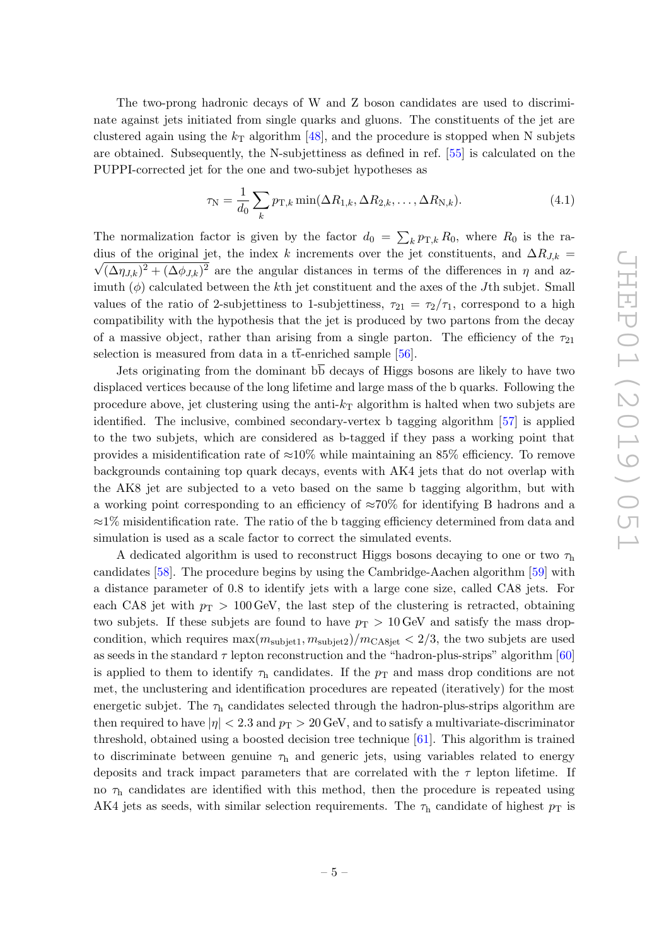The two-prong hadronic decays of W and Z boson candidates are used to discriminate against jets initiated from single quarks and gluons. The constituents of the jet are clustered again using the  $k_T$  algorithm [\[48\]](#page-21-7), and the procedure is stopped when N subjets are obtained. Subsequently, the N-subjettiness as defined in ref. [\[55\]](#page-21-14) is calculated on the PUPPI-corrected jet for the one and two-subjet hypotheses as

$$
\tau_{\rm N} = \frac{1}{d_0} \sum_{k} p_{\rm T,k} \min(\Delta R_{1,k}, \Delta R_{2,k}, \dots, \Delta R_{\rm N,k}). \tag{4.1}
$$

The normalization factor is given by the factor  $d_0 = \sum_k p_{\text{T},k} R_0$ , where  $R_0$  is the radius of the original jet, the index k increments over the jet constituents, and  $\Delta R_{J,k}$  =  $((\Delta \eta_{J,k})^2 + (\Delta \phi_{J,k})^2)$  are the angular distances in terms of the differences in  $\eta$  and azimuth  $(\phi)$  calculated between the kth jet constituent and the axes of the Jth subjet. Small values of the ratio of 2-subjettiness to 1-subjettiness,  $\tau_{21} = \tau_2/\tau_1$ , correspond to a high compatibility with the hypothesis that the jet is produced by two partons from the decay of a massive object, rather than arising from a single parton. The efficiency of the  $\tau_{21}$ selection is measured from data in a  $t\bar{t}$ -enriched sample [\[56\]](#page-21-15).

Jets originating from the dominant  $b\overline{b}$  decays of Higgs bosons are likely to have two displaced vertices because of the long lifetime and large mass of the b quarks. Following the procedure above, jet clustering using the anti- $k_T$  algorithm is halted when two subjets are identified. The inclusive, combined secondary-vertex b tagging algorithm [\[57\]](#page-21-16) is applied to the two subjets, which are considered as b-tagged if they pass a working point that provides a misidentification rate of  $\approx 10\%$  while maintaining an 85% efficiency. To remove backgrounds containing top quark decays, events with AK4 jets that do not overlap with the AK8 jet are subjected to a veto based on the same b tagging algorithm, but with a working point corresponding to an efficiency of  $\approx 70\%$  for identifying B hadrons and a ≈1% misidentification rate. The ratio of the b tagging efficiency determined from data and simulation is used as a scale factor to correct the simulated events.

A dedicated algorithm is used to reconstruct Higgs bosons decaying to one or two  $\tau<sub>h</sub>$ candidates [\[58\]](#page-22-0). The procedure begins by using the Cambridge-Aachen algorithm [\[59\]](#page-22-1) with a distance parameter of 0.8 to identify jets with a large cone size, called CA8 jets. For each CA8 jet with  $p_T > 100$  GeV, the last step of the clustering is retracted, obtaining two subjets. If these subjets are found to have  $p_T > 10$  GeV and satisfy the mass dropcondition, which requires  $\max(m_{\text{subject1}}, m_{\text{subject2}})/m_{\text{CASiet}} < 2/3$ , the two subjets are used as seeds in the standard  $\tau$  lepton reconstruction and the "hadron-plus-strips" algorithm [\[60\]](#page-22-2) is applied to them to identify  $\tau_h$  candidates. If the  $p_T$  and mass drop conditions are not met, the unclustering and identification procedures are repeated (iteratively) for the most energetic subjet. The  $\tau_h$  candidates selected through the hadron-plus-strips algorithm are then required to have  $|\eta| < 2.3$  and  $p_T > 20$  GeV, and to satisfy a multivariate-discriminator threshold, obtained using a boosted decision tree technique [\[61\]](#page-22-3). This algorithm is trained to discriminate between genuine  $\tau_h$  and generic jets, using variables related to energy deposits and track impact parameters that are correlated with the  $\tau$  lepton lifetime. If no  $\tau_h$  candidates are identified with this method, then the procedure is repeated using AK4 jets as seeds, with similar selection requirements. The  $\tau_h$  candidate of highest  $p_T$  is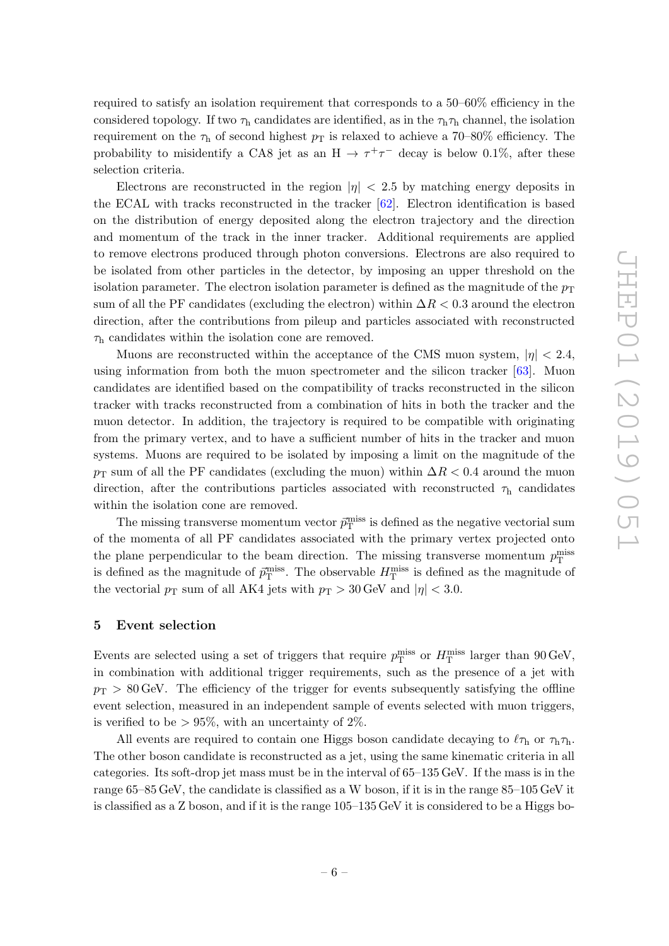required to satisfy an isolation requirement that corresponds to a 50–60% efficiency in the considered topology. If two  $\tau_h$  candidates are identified, as in the  $\tau_h \tau_h$  channel, the isolation requirement on the  $\tau_h$  of second highest  $p_T$  is relaxed to achieve a 70–80% efficiency. The probability to misidentify a CA8 jet as an  $H \to \tau^+\tau^-$  decay is below 0.1%, after these selection criteria.

Electrons are reconstructed in the region  $|\eta| < 2.5$  by matching energy deposits in the ECAL with tracks reconstructed in the tracker [\[62\]](#page-22-4). Electron identification is based on the distribution of energy deposited along the electron trajectory and the direction and momentum of the track in the inner tracker. Additional requirements are applied to remove electrons produced through photon conversions. Electrons are also required to be isolated from other particles in the detector, by imposing an upper threshold on the isolation parameter. The electron isolation parameter is defined as the magnitude of the  $p_T$ sum of all the PF candidates (excluding the electron) within  $\Delta R < 0.3$  around the electron direction, after the contributions from pileup and particles associated with reconstructed  $\tau_{\rm h}$  candidates within the isolation cone are removed.

Muons are reconstructed within the acceptance of the CMS muon system,  $|\eta| < 2.4$ , using information from both the muon spectrometer and the silicon tracker [\[63\]](#page-22-5). Muon candidates are identified based on the compatibility of tracks reconstructed in the silicon tracker with tracks reconstructed from a combination of hits in both the tracker and the muon detector. In addition, the trajectory is required to be compatible with originating from the primary vertex, and to have a sufficient number of hits in the tracker and muon systems. Muons are required to be isolated by imposing a limit on the magnitude of the  $p_T$  sum of all the PF candidates (excluding the muon) within  $\Delta R < 0.4$  around the muon direction, after the contributions particles associated with reconstructed  $\tau<sub>h</sub>$  candidates within the isolation cone are removed.

The missing transverse momentum vector  $\vec{p}_{\rm T}^{\rm miss}$  is defined as the negative vectorial sum of the momenta of all PF candidates associated with the primary vertex projected onto the plane perpendicular to the beam direction. The missing transverse momentum  $p_T^{\text{miss}}$ is defined as the magnitude of  $\vec{p}_{\rm T}^{\rm miss}$ . The observable  $H_{\rm T}^{\rm miss}$  is defined as the magnitude of the vectorial  $p_T$  sum of all AK4 jets with  $p_T > 30$  GeV and  $|\eta| < 3.0$ .

#### <span id="page-6-0"></span>5 Event selection

Events are selected using a set of triggers that require  $p_T^{\text{miss}}$  or  $H_T^{\text{miss}}$  larger than 90 GeV, in combination with additional trigger requirements, such as the presence of a jet with  $p_{\rm T} > 80$  GeV. The efficiency of the trigger for events subsequently satisfying the offline event selection, measured in an independent sample of events selected with muon triggers, is verified to be  $> 95\%$ , with an uncertainty of  $2\%$ .

All events are required to contain one Higgs boson candidate decaying to  $\ell\tau_{\rm h}$  or  $\tau_{\rm h}\tau_{\rm h}$ . The other boson candidate is reconstructed as a jet, using the same kinematic criteria in all categories. Its soft-drop jet mass must be in the interval of 65–135 GeV. If the mass is in the range 65–85 GeV, the candidate is classified as a W boson, if it is in the range 85–105 GeV it is classified as a Z boson, and if it is the range 105–135 GeV it is considered to be a Higgs bo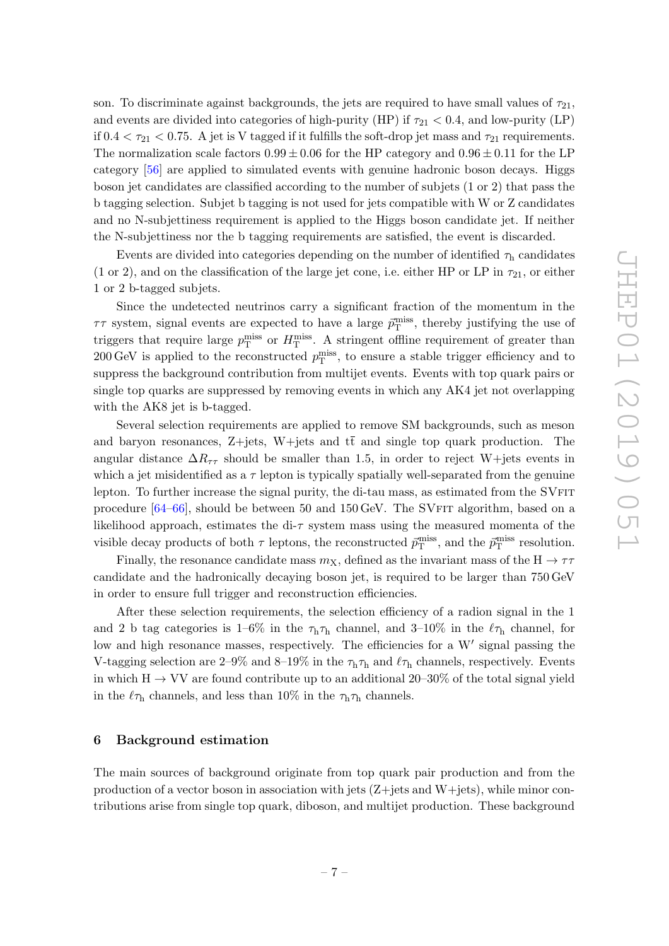son. To discriminate against backgrounds, the jets are required to have small values of  $\tau_{21}$ , and events are divided into categories of high-purity (HP) if  $\tau_{21} < 0.4$ , and low-purity (LP) if  $0.4 < \tau_{21} < 0.75$ . A jet is V tagged if it fulfills the soft-drop jet mass and  $\tau_{21}$  requirements. The normalization scale factors  $0.99 \pm 0.06$  for the HP category and  $0.96 \pm 0.11$  for the LP category [\[56\]](#page-21-15) are applied to simulated events with genuine hadronic boson decays. Higgs boson jet candidates are classified according to the number of subjets (1 or 2) that pass the b tagging selection. Subjet b tagging is not used for jets compatible with W or Z candidates and no N-subjettiness requirement is applied to the Higgs boson candidate jet. If neither the N-subjettiness nor the b tagging requirements are satisfied, the event is discarded.

Events are divided into categories depending on the number of identified  $\tau_h$  candidates (1 or 2), and on the classification of the large jet cone, i.e. either HP or LP in  $\tau_{21}$ , or either 1 or 2 b-tagged subjets.

Since the undetected neutrinos carry a significant fraction of the momentum in the  $\tau\tau$  system, signal events are expected to have a large  $\vec{p}_{\rm T}^{\rm miss}$ , thereby justifying the use of triggers that require large  $p_T^{\text{miss}}$  or  $H_T^{\text{miss}}$ . A stringent offline requirement of greater than  $200 \,\text{GeV}$  is applied to the reconstructed  $p_T^{\text{miss}}$ , to ensure a stable trigger efficiency and to suppress the background contribution from multijet events. Events with top quark pairs or single top quarks are suppressed by removing events in which any AK4 jet not overlapping with the AK8 jet is b-tagged.

Several selection requirements are applied to remove SM backgrounds, such as meson and baryon resonances, Z+jets, W+jets and  $t\bar{t}$  and single top quark production. The angular distance  $\Delta R_{\tau\tau}$  should be smaller than 1.5, in order to reject W+jets events in which a jet misidentified as a  $\tau$  lepton is typically spatially well-separated from the genuine lepton. To further increase the signal purity, the di-tau mass, as estimated from the SVFIT procedure  $[64–66]$  $[64–66]$ , should be between 50 and 150 GeV. The SVFIT algorithm, based on a likelihood approach, estimates the  $di-\tau$  system mass using the measured momenta of the visible decay products of both  $\tau$  leptons, the reconstructed  $\vec{p}_{\rm T}^{\rm miss}$ , and the  $\vec{p}_{\rm T}^{\rm miss}$  resolution.

Finally, the resonance candidate mass  $m<sub>X</sub>$ , defined as the invariant mass of the H  $\rightarrow \tau\tau$ candidate and the hadronically decaying boson jet, is required to be larger than 750 GeV in order to ensure full trigger and reconstruction efficiencies.

After these selection requirements, the selection efficiency of a radion signal in the 1 and 2 b tag categories is 1–6% in the  $\tau_h \tau_h$  channel, and 3–10% in the  $\ell \tau_h$  channel, for low and high resonance masses, respectively. The efficiencies for a W' signal passing the V-tagging selection are 2–9% and 8–19% in the  $\tau_h \tau_h$  and  $\ell \tau_h$  channels, respectively. Events in which  $H \to VV$  are found contribute up to an additional 20–30% of the total signal yield in the  $\ell\tau_h$  channels, and less than 10% in the  $\tau_h\tau_h$  channels.

### <span id="page-7-0"></span>6 Background estimation

The main sources of background originate from top quark pair production and from the production of a vector boson in association with jets  $(Z+{\text{jets}})$  and  $W+{\text{jets}})$ , while minor contributions arise from single top quark, diboson, and multijet production. These background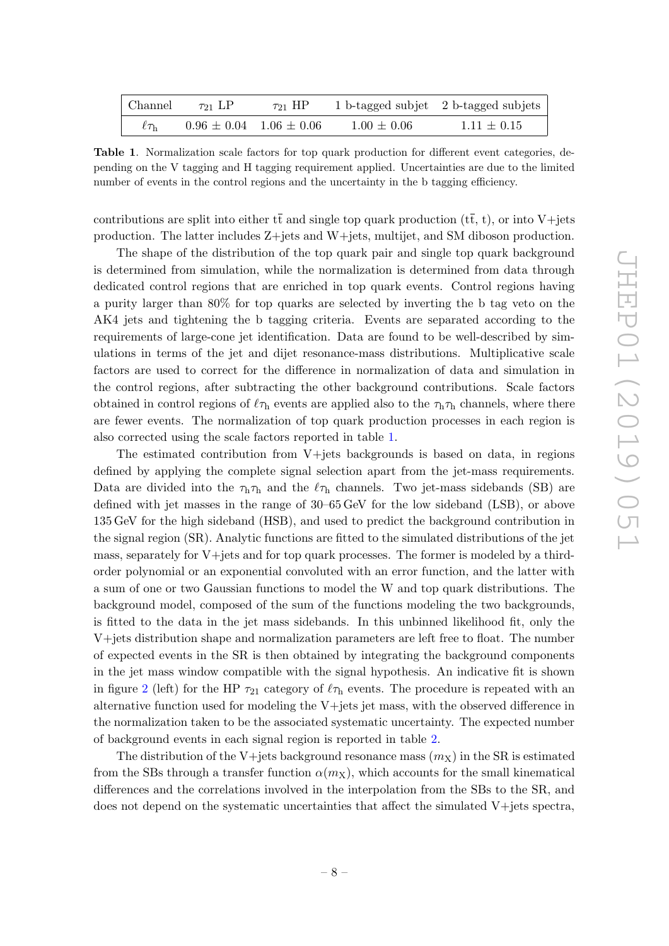<span id="page-8-0"></span>

| Channel            | $\tau_{21}$ LP | $\tau_{21}$ HP                  |                 | 1 b-tagged subjet 2 b-tagged subjets |
|--------------------|----------------|---------------------------------|-----------------|--------------------------------------|
| $\ell\tau_{\rm h}$ |                | $0.96 \pm 0.04$ $1.06 \pm 0.06$ | $1.00 \pm 0.06$ | $1.11 \pm 0.15$                      |

Table 1. Normalization scale factors for top quark production for different event categories, depending on the V tagging and H tagging requirement applied. Uncertainties are due to the limited number of events in the control regions and the uncertainty in the b tagging efficiency.

contributions are split into either  $t\bar{t}$  and single top quark production ( $t\bar{t}$ , t), or into V+jets production. The latter includes Z+jets and W+jets, multijet, and SM diboson production.

The shape of the distribution of the top quark pair and single top quark background is determined from simulation, while the normalization is determined from data through dedicated control regions that are enriched in top quark events. Control regions having a purity larger than 80% for top quarks are selected by inverting the b tag veto on the AK4 jets and tightening the b tagging criteria. Events are separated according to the requirements of large-cone jet identification. Data are found to be well-described by simulations in terms of the jet and dijet resonance-mass distributions. Multiplicative scale factors are used to correct for the difference in normalization of data and simulation in the control regions, after subtracting the other background contributions. Scale factors obtained in control regions of  $\ell\tau_h$  events are applied also to the  $\tau_h\tau_h$  channels, where there are fewer events. The normalization of top quark production processes in each region is also corrected using the scale factors reported in table [1.](#page-8-0)

The estimated contribution from V+jets backgrounds is based on data, in regions defined by applying the complete signal selection apart from the jet-mass requirements. Data are divided into the  $\tau_h \tau_h$  and the  $\ell_{\tau_h}$  channels. Two jet-mass sidebands (SB) are defined with jet masses in the range of 30–65 GeV for the low sideband (LSB), or above 135 GeV for the high sideband (HSB), and used to predict the background contribution in the signal region (SR). Analytic functions are fitted to the simulated distributions of the jet mass, separately for V+jets and for top quark processes. The former is modeled by a thirdorder polynomial or an exponential convoluted with an error function, and the latter with a sum of one or two Gaussian functions to model the W and top quark distributions. The background model, composed of the sum of the functions modeling the two backgrounds, is fitted to the data in the jet mass sidebands. In this unbinned likelihood fit, only the V+jets distribution shape and normalization parameters are left free to float. The number of expected events in the SR is then obtained by integrating the background components in the jet mass window compatible with the signal hypothesis. An indicative fit is shown in figure [2](#page-9-0) (left) for the HP  $\tau_{21}$  category of  $\ell\tau_{h}$  events. The procedure is repeated with an alternative function used for modeling the V+jets jet mass, with the observed difference in the normalization taken to be the associated systematic uncertainty. The expected number of background events in each signal region is reported in table [2.](#page-12-1)

The distribution of the V+jets background resonance mass  $(m_X)$  in the SR is estimated from the SBs through a transfer function  $\alpha(m_X)$ , which accounts for the small kinematical differences and the correlations involved in the interpolation from the SBs to the SR, and does not depend on the systematic uncertainties that affect the simulated V+jets spectra,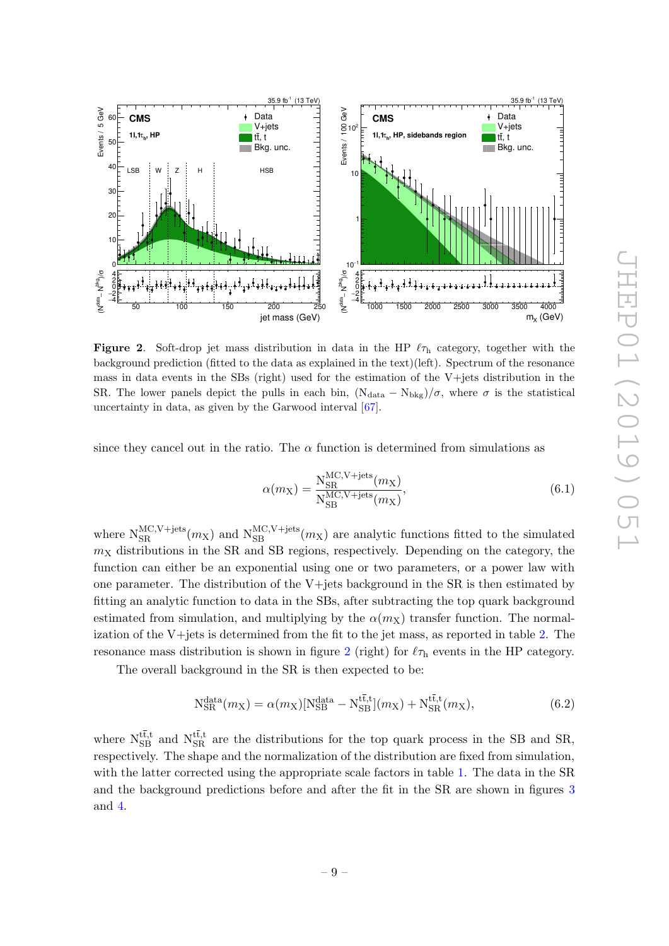

<span id="page-9-0"></span>Figure 2. Soft-drop jet mass distribution in data in the HP  $\ell_{\tau_h}$  category, together with the background prediction (fitted to the data as explained in the text)(left). Spectrum of the resonance mass in data events in the SBs (right) used for the estimation of the V+jets distribution in the SR. The lower panels depict the pulls in each bin,  $(N_{data} - N_{bkg})/\sigma$ , where  $\sigma$  is the statistical uncertainty in data, as given by the Garwood interval [\[67\]](#page-22-8).

since they cancel out in the ratio. The  $\alpha$  function is determined from simulations as

$$
\alpha(m_X) = \frac{N_{\rm SR}^{\rm MC,V+jets}(m_X)}{N_{\rm SB}^{\rm MC,V+jets}(m_X)},\tag{6.1}
$$

where  $N_{SR}^{MC,V+jets}(m_X)$  and  $N_{SB}^{MC,V+jets}(m_X)$  are analytic functions fitted to the simulated  $m<sub>X</sub>$  distributions in the SR and SB regions, respectively. Depending on the category, the function can either be an exponential using one or two parameters, or a power law with one parameter. The distribution of the  $V+$ jets background in the SR is then estimated by fitting an analytic function to data in the SBs, after subtracting the top quark background estimated from simulation, and multiplying by the  $\alpha(m_X)$  transfer function. The normalization of the  $V+$ jets is determined from the fit to the jet mass, as reported in table [2.](#page-12-1) The resonance mass distribution is shown in figure [2](#page-9-0) (right) for  $\ell\tau_h$  events in the HP category.

The overall background in the SR is then expected to be:

$$
N_{\rm SR}^{\rm data}(m_X) = \alpha(m_X)[N_{\rm SB}^{\rm data} - N_{\rm SB}^{\rm t\bar{t},t}](m_X) + N_{\rm SR}^{\rm t\bar{t},t}(m_X),\tag{6.2}
$$

where  $N_{SB}^{t\bar{t},t}$  and  $N_{SR}^{t\bar{t},t}$  are the distributions for the top quark process in the SB and SR, respectively. The shape and the normalization of the distribution are fixed from simulation, with the latter corrected using the appropriate scale factors in table [1.](#page-8-0) The data in the SR and the background predictions before and after the fit in the SR are shown in figures [3](#page-10-0) and [4.](#page-11-0)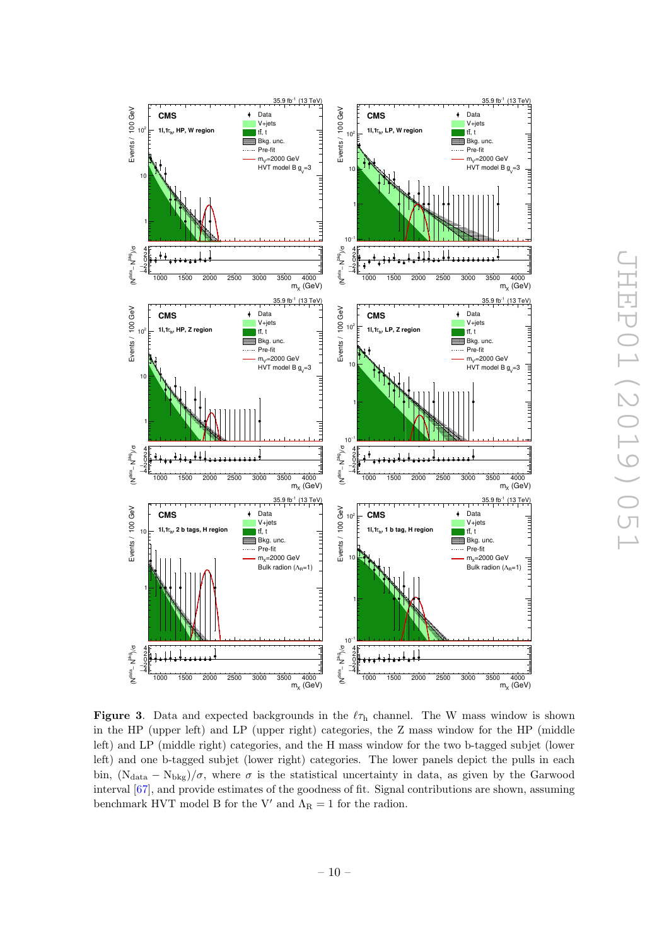

JHEP01(2019)051 THEP01(2019)051

<span id="page-10-0"></span>Figure 3. Data and expected backgrounds in the  $\ell\tau_h$  channel. The W mass window is shown in the HP (upper left) and LP (upper right) categories, the Z mass window for the HP (middle left) and LP (middle right) categories, and the H mass window for the two b-tagged subjet (lower left) and one b-tagged subjet (lower right) categories. The lower panels depict the pulls in each bin,  $(N_{data} - N_{bkg})/\sigma$ , where  $\sigma$  is the statistical uncertainty in data, as given by the Garwood interval [\[67\]](#page-22-8), and provide estimates of the goodness of fit. Signal contributions are shown, assuming benchmark HVT model B for the V' and  $\Lambda_R = 1$  for the radion.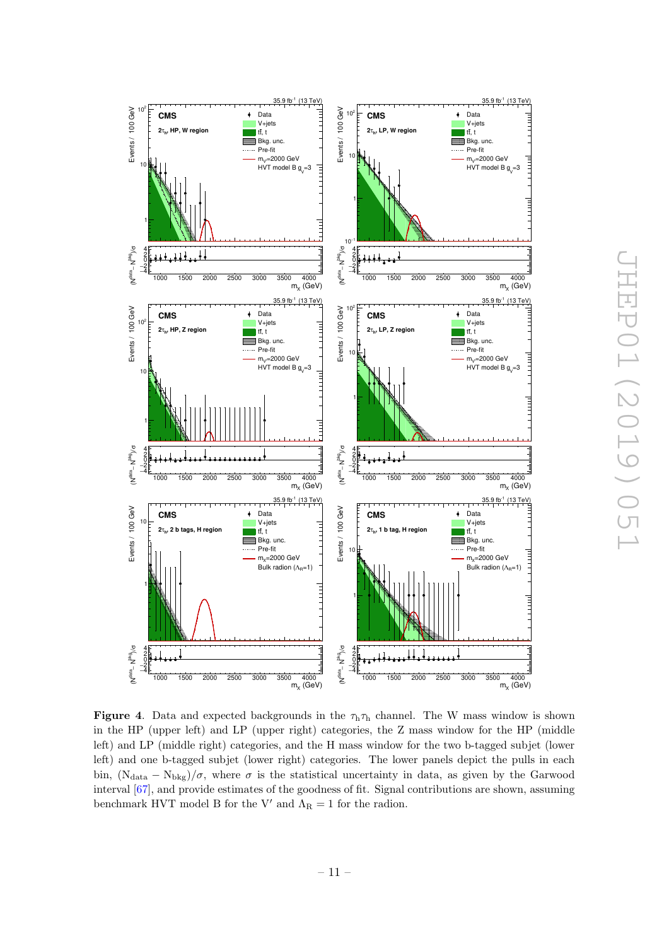

JHEP01(2019)051 THEP01(2019)051

<span id="page-11-0"></span>Figure 4. Data and expected backgrounds in the  $\tau_h \tau_h$  channel. The W mass window is shown in the HP (upper left) and LP (upper right) categories, the Z mass window for the HP (middle left) and LP (middle right) categories, and the H mass window for the two b-tagged subjet (lower left) and one b-tagged subjet (lower right) categories. The lower panels depict the pulls in each bin,  $(N_{data} - N_{bkg})/\sigma$ , where  $\sigma$  is the statistical uncertainty in data, as given by the Garwood interval [\[67\]](#page-22-8), and provide estimates of the goodness of fit. Signal contributions are shown, assuming benchmark HVT model B for the V' and  $\Lambda_R = 1$  for the radion.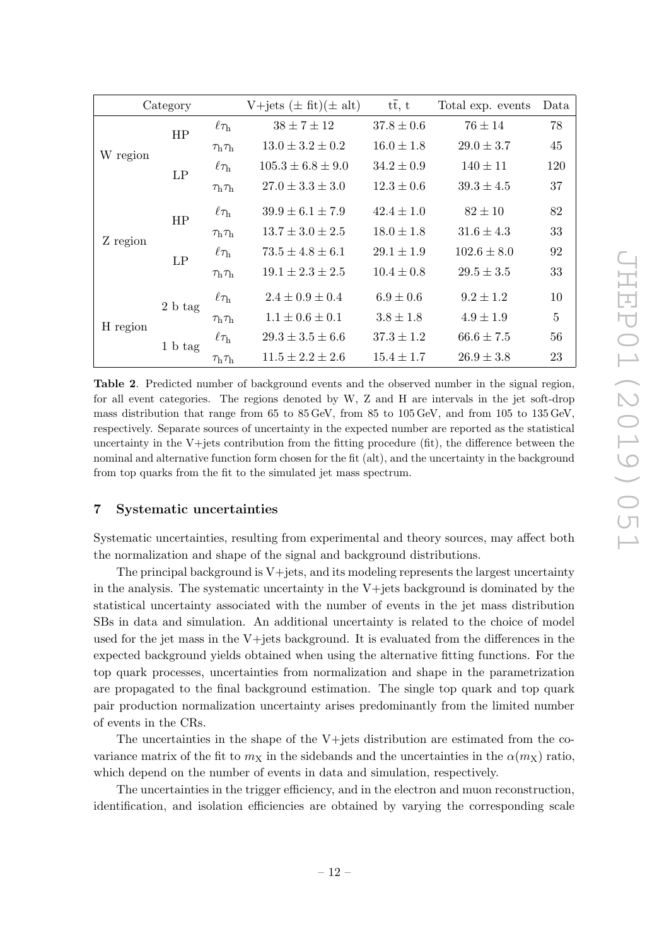|          | Category  |                               | V+jets $(\pm \text{ fit})(\pm \text{ alt})$ | $t\overline{t}$ , t | Total exp. events | Data |
|----------|-----------|-------------------------------|---------------------------------------------|---------------------|-------------------|------|
|          | HP        | $\ell\tau_{\rm h}$            | $38 \pm 7 \pm 12$                           | $37.8 \pm 0.6$      | $76 \pm 14$       | 78   |
| W region |           | T <sub>h</sub> T <sub>h</sub> | $13.0 \pm 3.2 \pm 0.2$                      | $16.0 \pm 1.8$      | $29.0 \pm 3.7$    | 45   |
|          | LP        | $\ell\tau_{\rm h}$            | $105.3 \pm 6.8 \pm 9.0$                     | $34.2 \pm 0.9$      | $140 \pm 11$      | 120  |
|          |           | $\tau_{\rm h}\tau_{\rm h}$    | $27.0 \pm 3.3 \pm 3.0$                      | $12.3 \pm 0.6$      | $39.3 \pm 4.5$    | 37   |
|          | <b>HP</b> | $\ell\tau_{\rm h}$            | $39.9 \pm 6.1 \pm 7.9$                      | $42.4 \pm 1.0$      | $82 \pm 10$       | 82   |
| Z region |           | $\tau_{\rm h}\tau_{\rm h}$    | $13.7 \pm 3.0 \pm 2.5$                      | $18.0 \pm 1.8$      | $31.6 \pm 4.3$    | 33   |
|          | LP        | $\ell\tau_{\rm h}$            | $73.5 \pm 4.8 \pm 6.1$                      | $29.1 \pm 1.9$      | $102.6 \pm 8.0$   | 92   |
|          |           | $\tau_{\rm h}\tau_{\rm h}$    | $19.1 \pm 2.3 \pm 2.5$                      | $10.4 \pm 0.8$      | $29.5 \pm 3.5$    | 33   |
|          | 2 b tag   | $\ell\tau_{\rm h}$            | $2.4 \pm 0.9 \pm 0.4$                       | $6.9 \pm 0.6$       | $9.2 \pm 1.2$     | 10   |
|          |           | $\tau_{\rm h}\tau_{\rm h}$    | $1.1 \pm 0.6 \pm 0.1$                       | $3.8 \pm 1.8$       | $4.9 \pm 1.9$     | 5    |
| H region | 1 b tag   | $\ell\tau_{\rm h}$            | $29.3 \pm 3.5 \pm 6.6$                      | $37.3 \pm 1.2$      | $66.6 \pm 7.5$    | 56   |
|          |           | $\tau_{\rm h}\tau_{\rm h}$    | $11.5 \pm 2.2 \pm 2.6$                      | $15.4 \pm 1.7$      | $26.9 \pm 3.8$    | 23   |

<span id="page-12-1"></span>Table 2. Predicted number of background events and the observed number in the signal region, for all event categories. The regions denoted by W, Z and H are intervals in the jet soft-drop mass distribution that range from 65 to 85 GeV, from 85 to 105 GeV, and from 105 to 135 GeV, respectively. Separate sources of uncertainty in the expected number are reported as the statistical uncertainty in the  $V+$ jets contribution from the fitting procedure (fit), the difference between the nominal and alternative function form chosen for the fit (alt), and the uncertainty in the background from top quarks from the fit to the simulated jet mass spectrum.

# <span id="page-12-0"></span>7 Systematic uncertainties

Systematic uncertainties, resulting from experimental and theory sources, may affect both the normalization and shape of the signal and background distributions.

The principal background is  $V+$ jets, and its modeling represents the largest uncertainty in the analysis. The systematic uncertainty in the V+jets background is dominated by the statistical uncertainty associated with the number of events in the jet mass distribution SBs in data and simulation. An additional uncertainty is related to the choice of model used for the jet mass in the V+jets background. It is evaluated from the differences in the expected background yields obtained when using the alternative fitting functions. For the top quark processes, uncertainties from normalization and shape in the parametrization are propagated to the final background estimation. The single top quark and top quark pair production normalization uncertainty arises predominantly from the limited number of events in the CRs.

The uncertainties in the shape of the V+jets distribution are estimated from the covariance matrix of the fit to  $m<sub>X</sub>$  in the sidebands and the uncertainties in the  $\alpha(m<sub>X</sub>)$  ratio, which depend on the number of events in data and simulation, respectively.

The uncertainties in the trigger efficiency, and in the electron and muon reconstruction, identification, and isolation efficiencies are obtained by varying the corresponding scale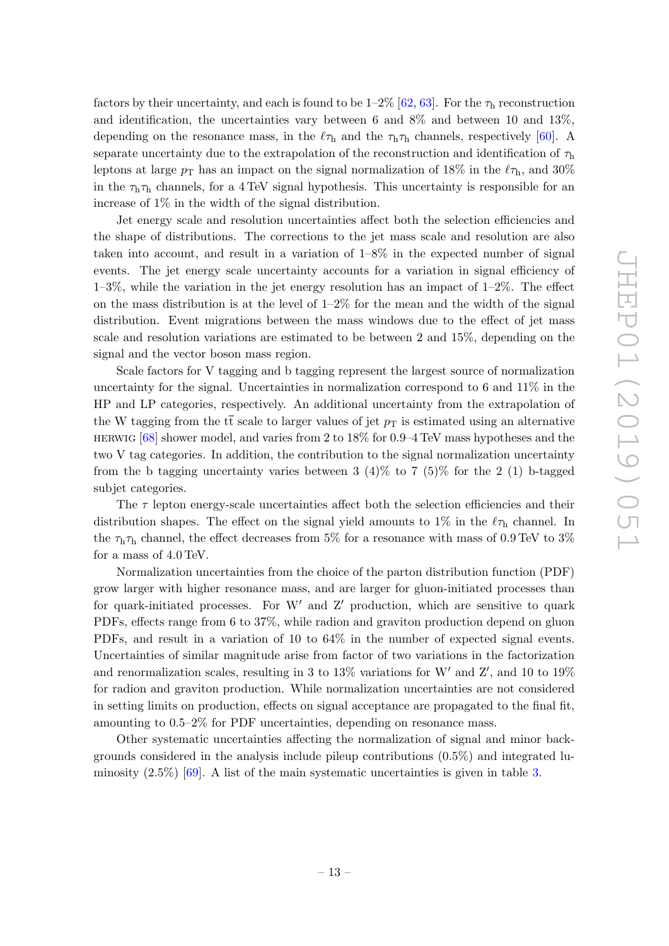factors by their uncertainty, and each is found to be  $1-2\%$  [\[62,](#page-22-4) [63\]](#page-22-5). For the  $\tau_h$  reconstruction and identification, the uncertainties vary between 6 and 8% and between 10 and 13%, depending on the resonance mass, in the  $\ell_{\tau_{\rm h}}$  and the  $\tau_{\rm h}\tau_{\rm h}$  channels, respectively [\[60\]](#page-22-2). A separate uncertainty due to the extrapolation of the reconstruction and identification of  $\tau<sub>h</sub>$ leptons at large  $p_T$  has an impact on the signal normalization of 18% in the  $\ell\tau_h$ , and 30% in the  $\tau_h\tau_h$  channels, for a 4 TeV signal hypothesis. This uncertainty is responsible for an increase of 1% in the width of the signal distribution.

Jet energy scale and resolution uncertainties affect both the selection efficiencies and the shape of distributions. The corrections to the jet mass scale and resolution are also taken into account, and result in a variation of 1–8% in the expected number of signal events. The jet energy scale uncertainty accounts for a variation in signal efficiency of  $1-3\%$ , while the variation in the jet energy resolution has an impact of  $1-2\%$ . The effect on the mass distribution is at the level of  $1-2\%$  for the mean and the width of the signal distribution. Event migrations between the mass windows due to the effect of jet mass scale and resolution variations are estimated to be between 2 and 15%, depending on the signal and the vector boson mass region.

Scale factors for V tagging and b tagging represent the largest source of normalization uncertainty for the signal. Uncertainties in normalization correspond to 6 and 11% in the HP and LP categories, respectively. An additional uncertainty from the extrapolation of the W tagging from the  $t\bar{t}$  scale to larger values of jet  $p_T$  is estimated using an alternative HERWIG  $[68]$  shower model, and varies from 2 to 18% for 0.9–4 TeV mass hypotheses and the two V tag categories. In addition, the contribution to the signal normalization uncertainty from the b tagging uncertainty varies between 3  $(4)$ % to 7  $(5)$ % for the 2  $(1)$  b-tagged subjet categories.

The  $\tau$  lepton energy-scale uncertainties affect both the selection efficiencies and their distribution shapes. The effect on the signal yield amounts to 1% in the  $\ell\tau_{\rm h}$  channel. In the  $\tau_h \tau_h$  channel, the effect decreases from 5% for a resonance with mass of 0.9 TeV to 3% for a mass of 4.0 TeV.

Normalization uncertainties from the choice of the parton distribution function (PDF) grow larger with higher resonance mass, and are larger for gluon-initiated processes than for quark-initiated processes. For  $W'$  and  $Z'$  production, which are sensitive to quark PDFs, effects range from 6 to 37%, while radion and graviton production depend on gluon PDFs, and result in a variation of 10 to 64% in the number of expected signal events. Uncertainties of similar magnitude arise from factor of two variations in the factorization and renormalization scales, resulting in 3 to 13% variations for W' and Z', and 10 to 19% for radion and graviton production. While normalization uncertainties are not considered in setting limits on production, effects on signal acceptance are propagated to the final fit, amounting to 0.5–2% for PDF uncertainties, depending on resonance mass.

Other systematic uncertainties affecting the normalization of signal and minor backgrounds considered in the analysis include pileup contributions (0.5%) and integrated luminosity  $(2.5\%)$  [\[69\]](#page-22-10). A list of the main systematic uncertainties is given in table [3.](#page-14-0)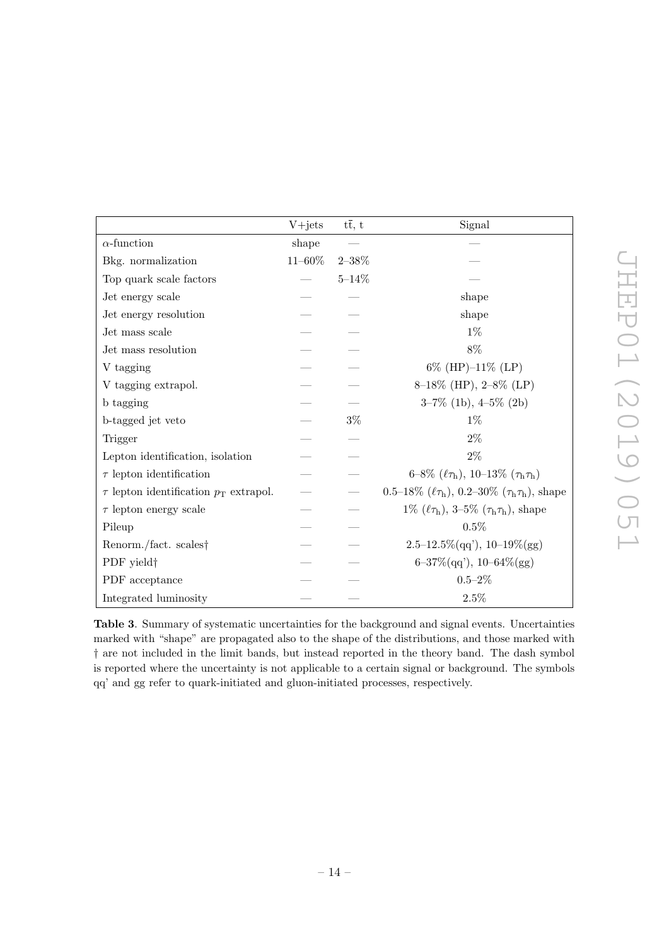|                                              | $V + jets$  | $t\overline{t}$ , t | Signal                                                                   |
|----------------------------------------------|-------------|---------------------|--------------------------------------------------------------------------|
| $\alpha$ -function                           | shape       |                     |                                                                          |
| Bkg. normalization                           | $11 - 60\%$ | $2 - 38\%$          |                                                                          |
| Top quark scale factors                      |             | $5\text{--}14\%$    |                                                                          |
| Jet energy scale                             |             |                     | shape                                                                    |
| Jet energy resolution                        |             |                     | shape                                                                    |
| Jet mass scale                               |             |                     | $1\%$                                                                    |
| Jet mass resolution                          |             |                     | $8\%$                                                                    |
| V tagging                                    |             |                     | 6\% (HP)-11\% (LP)                                                       |
| V tagging extrapol.                          |             |                     | $8-18\%$ (HP), $2-8\%$ (LP)                                              |
| b tagging                                    |             |                     | $3-7\%$ (1b), $4-5\%$ (2b)                                               |
| b-tagged jet veto                            |             | $3\%$               | $1\%$                                                                    |
| Trigger                                      |             |                     | $2\%$                                                                    |
| Lepton identification, isolation             |             |                     | $2\%$                                                                    |
| $\tau$ lepton identification                 |             |                     | 6-8% $(\ell \tau_h)$ , 10-13% $(\tau_h \tau_h)$                          |
| $\tau$ lepton identification $p_T$ extrapol. |             |                     | 0.5–18% $(\ell \tau_h)$ , 0.2–30% $(\tau_h \tau_h)$ , shape              |
| $\tau$ lepton energy scale                   |             |                     | $1\%$ ( $\ell\tau_{\rm h}$ ), 3–5% ( $\tau_{\rm h}\tau_{\rm h}$ ), shape |
| Pileup                                       |             |                     | 0.5%                                                                     |
| Renorm./fact. scales†                        |             |                     | $2.5-12.5\%$ (qq'), $10-19\%$ (gg)                                       |
| PDF yield†                                   |             |                     | $6-37\%$ (qq'), $10-64\%$ (gg)                                           |
| PDF acceptance                               |             |                     | $0.5 - 2\%$                                                              |
| Integrated luminosity                        |             |                     | 2.5%                                                                     |

<span id="page-14-0"></span>Table 3. Summary of systematic uncertainties for the background and signal events. Uncertainties marked with "shape" are propagated also to the shape of the distributions, and those marked with † are not included in the limit bands, but instead reported in the theory band. The dash symbol is reported where the uncertainty is not applicable to a certain signal or background. The symbols qq' and gg refer to quark-initiated and gluon-initiated processes, respectively.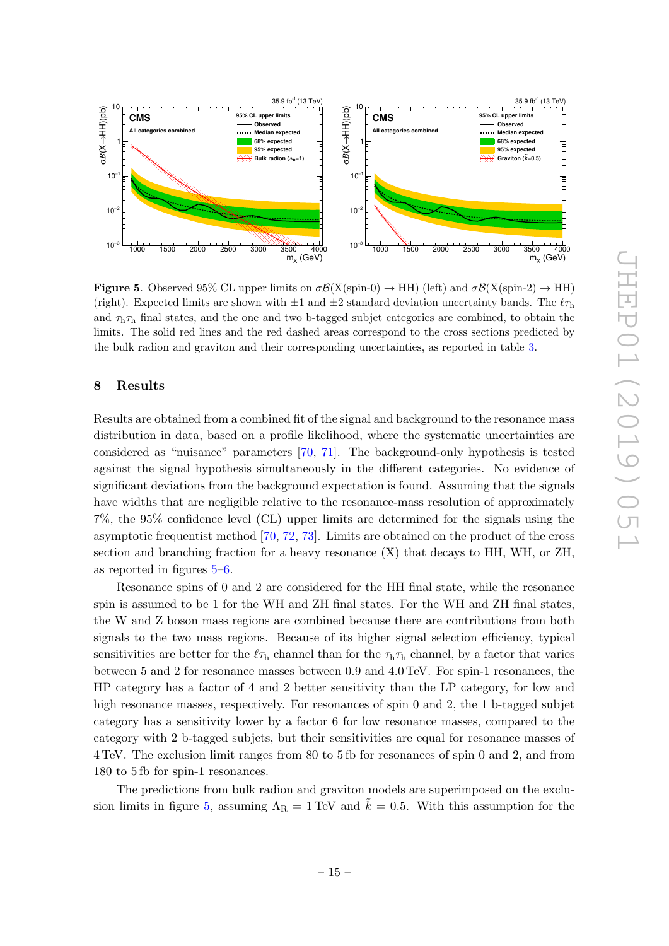

<span id="page-15-1"></span>**Figure 5.** Observed 95% CL upper limits on  $\sigma \mathcal{B}(X(\text{spin-0}) \to HH)$  (left) and  $\sigma \mathcal{B}(X(\text{spin-2}) \to HH)$ (right). Expected limits are shown with  $\pm 1$  and  $\pm 2$  standard deviation uncertainty bands. The  $\ell_{\tau_h}$ and  $\tau_{h}\tau_{h}$  final states, and the one and two b-tagged subjet categories are combined, to obtain the limits. The solid red lines and the red dashed areas correspond to the cross sections predicted by the bulk radion and graviton and their corresponding uncertainties, as reported in table [3.](#page-14-0)

# <span id="page-15-0"></span>8 Results

Results are obtained from a combined fit of the signal and background to the resonance mass distribution in data, based on a profile likelihood, where the systematic uncertainties are considered as "nuisance" parameters [\[70,](#page-22-11) [71\]](#page-22-12). The background-only hypothesis is tested against the signal hypothesis simultaneously in the different categories. No evidence of significant deviations from the background expectation is found. Assuming that the signals have widths that are negligible relative to the resonance-mass resolution of approximately 7%, the 95% confidence level (CL) upper limits are determined for the signals using the asymptotic frequentist method [\[70,](#page-22-11) [72,](#page-22-13) [73\]](#page-22-14). Limits are obtained on the product of the cross section and branching fraction for a heavy resonance  $(X)$  that decays to HH, WH, or ZH, as reported in figures [5–](#page-15-1)[6.](#page-16-1)

Resonance spins of 0 and 2 are considered for the HH final state, while the resonance spin is assumed to be 1 for the WH and ZH final states. For the WH and ZH final states, the W and Z boson mass regions are combined because there are contributions from both signals to the two mass regions. Because of its higher signal selection efficiency, typical sensitivities are better for the  $\ell\tau_h$  channel than for the  $\tau_h\tau_h$  channel, by a factor that varies between 5 and 2 for resonance masses between 0.9 and 4.0 TeV. For spin-1 resonances, the HP category has a factor of 4 and 2 better sensitivity than the LP category, for low and high resonance masses, respectively. For resonances of spin 0 and 2, the 1 b-tagged subjet category has a sensitivity lower by a factor 6 for low resonance masses, compared to the category with 2 b-tagged subjets, but their sensitivities are equal for resonance masses of 4 TeV. The exclusion limit ranges from 80 to 5 fb for resonances of spin 0 and 2, and from 180 to 5 fb for spin-1 resonances.

The predictions from bulk radion and graviton models are superimposed on the exclu-sion limits in figure [5,](#page-15-1) assuming  $\Lambda_R = 1 \text{ TeV}$  and  $\tilde{k} = 0.5$ . With this assumption for the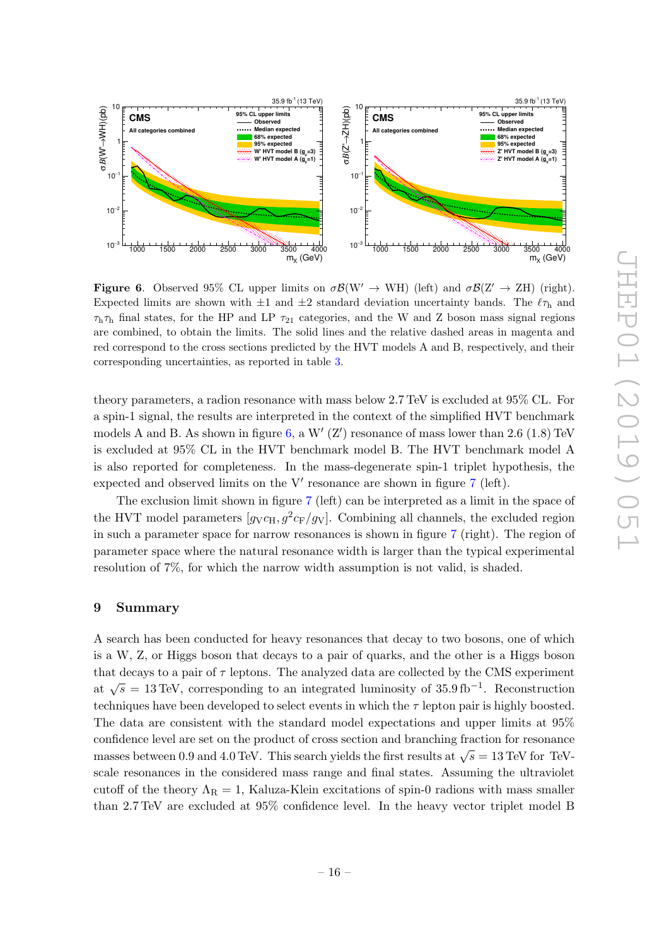

<span id="page-16-1"></span>**Figure 6.** Observed 95% CL upper limits on  $\sigma\mathcal{B}(W' \to WH)$  (left) and  $\sigma\mathcal{B}(Z' \to ZH)$  (right). Expected limits are shown with  $\pm 1$  and  $\pm 2$  standard deviation uncertainty bands. The  $\ell_{\tau_h}$  and  $\tau_{h}$  final states, for the HP and LP  $\tau_{21}$  categories, and the W and Z boson mass signal regions are combined, to obtain the limits. The solid lines and the relative dashed areas in magenta and red correspond to the cross sections predicted by the HVT models A and B, respectively, and their corresponding uncertainties, as reported in table [3.](#page-14-0)

theory parameters, a radion resonance with mass below 2.7 TeV is excluded at 95% CL. For a spin-1 signal, the results are interpreted in the context of the simplified HVT benchmark models A and B. As shown in figure  $6$ , a W'  $(Z')$  resonance of mass lower than 2.6 (1.8) TeV is excluded at 95% CL in the HVT benchmark model B. The HVT benchmark model A is also reported for completeness. In the mass-degenerate spin-1 triplet hypothesis, the expected and observed limits on the  $V'$  resonance are shown in figure  $7$  (left).

The exclusion limit shown in figure [7](#page-17-0) (left) can be interpreted as a limit in the space of the HVT model parameters  $[g_V c_H, g^2 c_F/g_V]$ . Combining all channels, the excluded region in such a parameter space for narrow resonances is shown in figure [7](#page-17-0) (right). The region of parameter space where the natural resonance width is larger than the typical experimental resolution of 7%, for which the narrow width assumption is not valid, is shaded.

### <span id="page-16-0"></span>9 Summary

A search has been conducted for heavy resonances that decay to two bosons, one of which is a W, Z, or Higgs boson that decays to a pair of quarks, and the other is a Higgs boson that decays to a pair of  $\tau$  leptons. The analyzed data are collected by the CMS experiment at  $\sqrt{s} = 13$  TeV, corresponding to an integrated luminosity of 35.9 fb<sup>-1</sup>. Reconstruction techniques have been developed to select events in which the  $\tau$  lepton pair is highly boosted. The data are consistent with the standard model expectations and upper limits at 95% confidence level are set on the product of cross section and branching fraction for resonance masses between 0.9 and 4.0 TeV. This search yields the first results at  $\sqrt{s} = 13$  TeV for TeVscale resonances in the considered mass range and final states. Assuming the ultraviolet cutoff of the theory  $\Lambda_R = 1$ , Kaluza-Klein excitations of spin-0 radions with mass smaller than 2.7 TeV are excluded at 95% confidence level. In the heavy vector triplet model B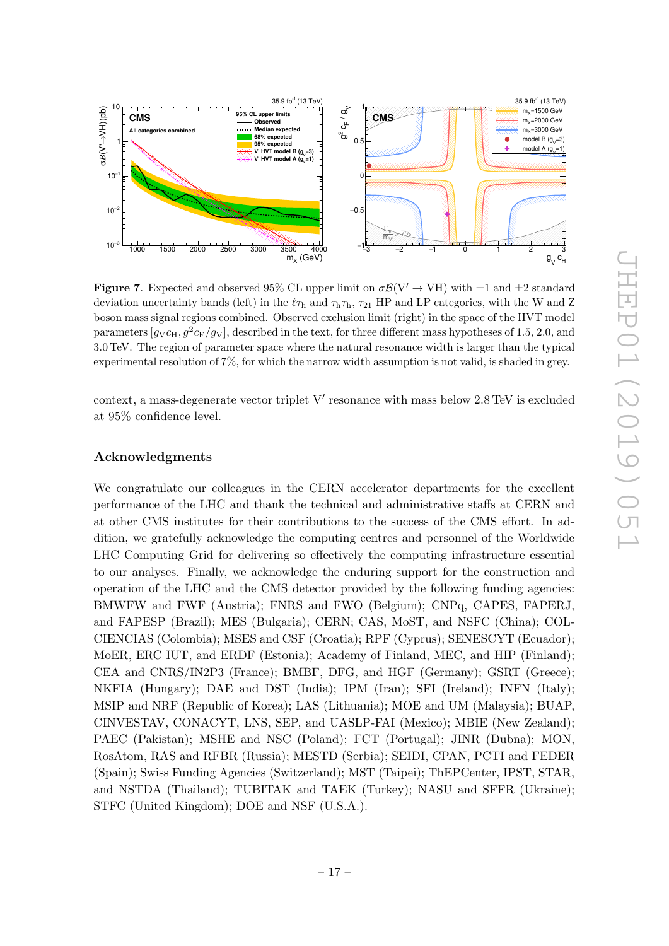

<span id="page-17-0"></span>**Figure 7.** Expected and observed 95% CL upper limit on  $\sigma\mathcal{B}(V' \rightarrow VH)$  with  $\pm 1$  and  $\pm 2$  standard deviation uncertainty bands (left) in the  $\ell\tau_{\rm h}$  and  $\tau_{\rm h}\tau_{\rm h}$ ,  $\tau_{21}$  HP and LP categories, with the W and Z boson mass signal regions combined. Observed exclusion limit (right) in the space of the HVT model parameters  $[g_V c_H, g^2 c_F/g_V]$ , described in the text, for three different mass hypotheses of 1.5, 2.0, and 3.0 TeV. The region of parameter space where the natural resonance width is larger than the typical experimental resolution of 7%, for which the narrow width assumption is not valid, is shaded in grey.

context, a mass-degenerate vector triplet  $V'$  resonance with mass below 2.8 TeV is excluded at 95% confidence level.

## Acknowledgments

We congratulate our colleagues in the CERN accelerator departments for the excellent performance of the LHC and thank the technical and administrative staffs at CERN and at other CMS institutes for their contributions to the success of the CMS effort. In addition, we gratefully acknowledge the computing centres and personnel of the Worldwide LHC Computing Grid for delivering so effectively the computing infrastructure essential to our analyses. Finally, we acknowledge the enduring support for the construction and operation of the LHC and the CMS detector provided by the following funding agencies: BMWFW and FWF (Austria); FNRS and FWO (Belgium); CNPq, CAPES, FAPERJ, and FAPESP (Brazil); MES (Bulgaria); CERN; CAS, MoST, and NSFC (China); COL-CIENCIAS (Colombia); MSES and CSF (Croatia); RPF (Cyprus); SENESCYT (Ecuador); MoER, ERC IUT, and ERDF (Estonia); Academy of Finland, MEC, and HIP (Finland); CEA and CNRS/IN2P3 (France); BMBF, DFG, and HGF (Germany); GSRT (Greece); NKFIA (Hungary); DAE and DST (India); IPM (Iran); SFI (Ireland); INFN (Italy); MSIP and NRF (Republic of Korea); LAS (Lithuania); MOE and UM (Malaysia); BUAP, CINVESTAV, CONACYT, LNS, SEP, and UASLP-FAI (Mexico); MBIE (New Zealand); PAEC (Pakistan); MSHE and NSC (Poland); FCT (Portugal); JINR (Dubna); MON, RosAtom, RAS and RFBR (Russia); MESTD (Serbia); SEIDI, CPAN, PCTI and FEDER (Spain); Swiss Funding Agencies (Switzerland); MST (Taipei); ThEPCenter, IPST, STAR, and NSTDA (Thailand); TUBITAK and TAEK (Turkey); NASU and SFFR (Ukraine); STFC (United Kingdom); DOE and NSF (U.S.A.).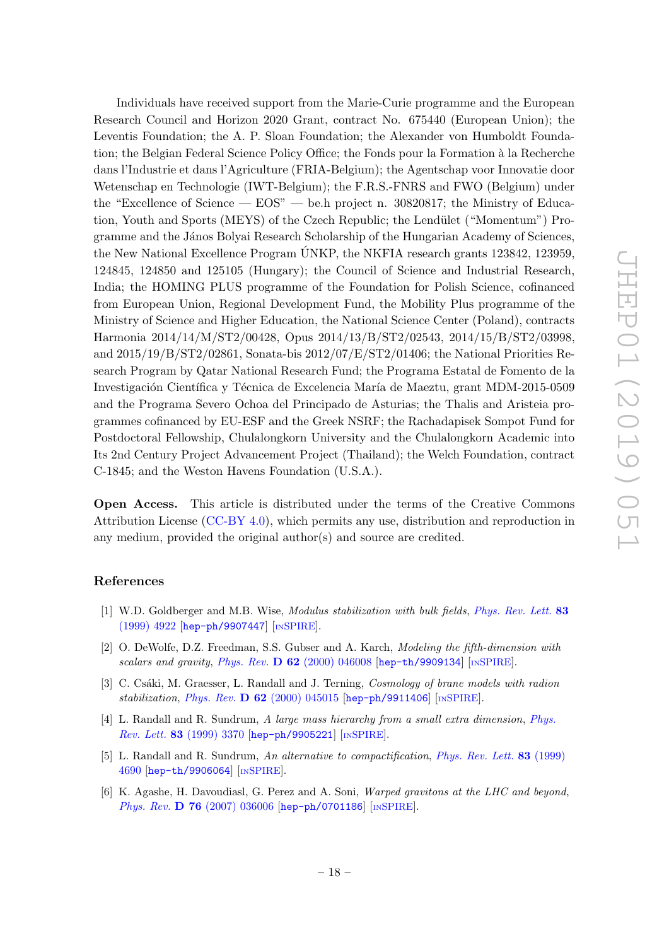Individuals have received support from the Marie-Curie programme and the European Research Council and Horizon 2020 Grant, contract No. 675440 (European Union); the Leventis Foundation; the A. P. Sloan Foundation; the Alexander von Humboldt Foundation; the Belgian Federal Science Policy Office; the Fonds pour la Formation à la Recherche dans l'Industrie et dans l'Agriculture (FRIA-Belgium); the Agentschap voor Innovatie door Wetenschap en Technologie (IWT-Belgium); the F.R.S.-FNRS and FWO (Belgium) under the "Excellence of Science — EOS" — be.h project n. 30820817; the Ministry of Education, Youth and Sports (MEYS) of the Czech Republic; the Lend¨ulet ("Momentum") Programme and the János Bolyai Research Scholarship of the Hungarian Academy of Sciences, the New National Excellence Program UNKP, the NKFIA research grants 123842, 123959, ´ 124845, 124850 and 125105 (Hungary); the Council of Science and Industrial Research, India; the HOMING PLUS programme of the Foundation for Polish Science, cofinanced from European Union, Regional Development Fund, the Mobility Plus programme of the Ministry of Science and Higher Education, the National Science Center (Poland), contracts Harmonia 2014/14/M/ST2/00428, Opus 2014/13/B/ST2/02543, 2014/15/B/ST2/03998, and 2015/19/B/ST2/02861, Sonata-bis 2012/07/E/ST2/01406; the National Priorities Research Program by Qatar National Research Fund; the Programa Estatal de Fomento de la Investigación Científica y Técnica de Excelencia María de Maeztu, grant MDM-2015-0509 and the Programa Severo Ochoa del Principado de Asturias; the Thalis and Aristeia programmes cofinanced by EU-ESF and the Greek NSRF; the Rachadapisek Sompot Fund for Postdoctoral Fellowship, Chulalongkorn University and the Chulalongkorn Academic into Its 2nd Century Project Advancement Project (Thailand); the Welch Foundation, contract C-1845; and the Weston Havens Foundation (U.S.A.).

Open Access. This article is distributed under the terms of the Creative Commons Attribution License [\(CC-BY 4.0\)](https://creativecommons.org/licenses/by/4.0/), which permits any use, distribution and reproduction in any medium, provided the original author(s) and source are credited.

### References

- <span id="page-18-0"></span>[1] W.D. Goldberger and M.B. Wise, Modulus stabilization with bulk fields, [Phys. Rev. Lett.](https://doi.org/10.1103/PhysRevLett.83.4922) 83 [\(1999\) 4922](https://doi.org/10.1103/PhysRevLett.83.4922) [[hep-ph/9907447](https://arxiv.org/abs/hep-ph/9907447)] [IN[SPIRE](https://inspirehep.net/search?p=find+EPRINT+hep-ph/9907447)].
- [2] O. DeWolfe, D.Z. Freedman, S.S. Gubser and A. Karch, Modeling the fifth-dimension with scalars and gravity, Phys. Rev. D  $62$  [\(2000\) 046008](https://doi.org/10.1103/PhysRevD.62.046008) [[hep-th/9909134](https://arxiv.org/abs/hep-th/9909134)] [IN[SPIRE](https://inspirehep.net/search?p=find+EPRINT+hep-th/9909134)].
- <span id="page-18-1"></span>[3] C. Csáki, M. Graesser, L. Randall and J. Terning, *Cosmology of brane models with radion* stabilization, Phys. Rev. D  $62$  [\(2000\) 045015](https://doi.org/10.1103/PhysRevD.62.045015) [[hep-ph/9911406](https://arxiv.org/abs/hep-ph/9911406)] [IN[SPIRE](https://inspirehep.net/search?p=find+EPRINT+hep-ph/9911406)].
- <span id="page-18-2"></span>[4] L. Randall and R. Sundrum, A large mass hierarchy from a small extra dimension, [Phys.](https://doi.org/10.1103/PhysRevLett.83.3370) Rev. Lett. 83 [\(1999\) 3370](https://doi.org/10.1103/PhysRevLett.83.3370) [[hep-ph/9905221](https://arxiv.org/abs/hep-ph/9905221)] [IN[SPIRE](https://inspirehep.net/search?p=find+EPRINT+hep-ph/9905221)].
- <span id="page-18-3"></span>[5] L. Randall and R. Sundrum, An alternative to compactification, [Phys. Rev. Lett.](https://doi.org/10.1103/PhysRevLett.83.4690) 83 (1999) [4690](https://doi.org/10.1103/PhysRevLett.83.4690) [[hep-th/9906064](https://arxiv.org/abs/hep-th/9906064)] [IN[SPIRE](https://inspirehep.net/search?p=find+EPRINT+hep-th/9906064)].
- <span id="page-18-4"></span>[6] K. Agashe, H. Davoudiasl, G. Perez and A. Soni, Warped gravitons at the LHC and beyond, Phys. Rev. **D 76** [\(2007\) 036006](https://doi.org/10.1103/PhysRevD.76.036006) [[hep-ph/0701186](https://arxiv.org/abs/hep-ph/0701186)] [IN[SPIRE](https://inspirehep.net/search?p=find+EPRINT+hep-ph/0701186)].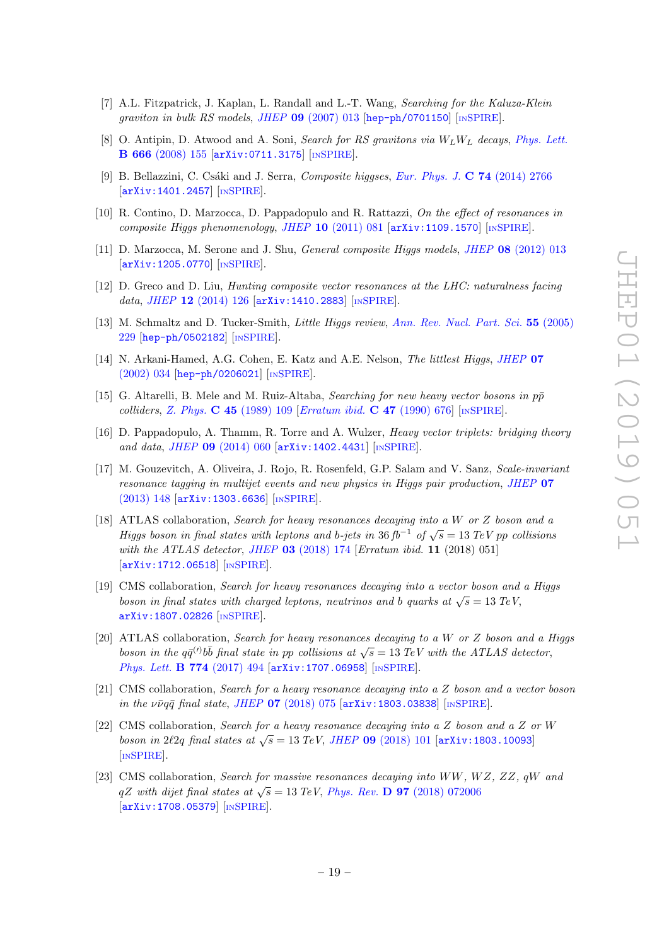- [7] A.L. Fitzpatrick, J. Kaplan, L. Randall and L.-T. Wang, Searching for the Kaluza-Klein graviton in bulk RS models, JHEP 09 [\(2007\) 013](https://doi.org/10.1088/1126-6708/2007/09/013) [[hep-ph/0701150](https://arxiv.org/abs/hep-ph/0701150)] [IN[SPIRE](https://inspirehep.net/search?p=find+EPRINT+hep-ph/0701150)].
- <span id="page-19-0"></span>[8] O. Antipin, D. Atwood and A. Soni, Search for RS gravitons via  $W_L W_L$  decays, [Phys. Lett.](https://doi.org/10.1016/j.physletb.2008.07.009) B 666 [\(2008\) 155](https://doi.org/10.1016/j.physletb.2008.07.009) [[arXiv:0711.3175](https://arxiv.org/abs/0711.3175)] [IN[SPIRE](https://inspirehep.net/search?p=find+EPRINT+arXiv:0711.3175)].
- <span id="page-19-1"></span>[9] B. Bellazzini, C. Csáki and J. Serra, *Composite higgses, [Eur. Phys. J.](https://doi.org/10.1140/epjc/s10052-014-2766-x)* **C** 74 (2014) 2766 [[arXiv:1401.2457](https://arxiv.org/abs/1401.2457)] [IN[SPIRE](https://inspirehep.net/search?p=find+EPRINT+arXiv:1401.2457)].
- [10] R. Contino, D. Marzocca, D. Pappadopulo and R. Rattazzi, On the effect of resonances in composite Higgs phenomenology, JHEP  $10$  [\(2011\) 081](https://doi.org/10.1007/JHEP10(2011)081) [[arXiv:1109.1570](https://arxiv.org/abs/1109.1570)] [IN[SPIRE](https://inspirehep.net/search?p=find+EPRINT+arXiv:1109.1570)].
- [11] D. Marzocca, M. Serone and J. Shu, General composite Higgs models, JHEP 08 [\(2012\) 013](https://doi.org/10.1007/JHEP08(2012)013) [[arXiv:1205.0770](https://arxiv.org/abs/1205.0770)] [IN[SPIRE](https://inspirehep.net/search?p=find+EPRINT+arXiv:1205.0770)].
- <span id="page-19-2"></span>[12] D. Greco and D. Liu, Hunting composite vector resonances at the LHC: naturalness facing data, JHEP 12 [\(2014\) 126](https://doi.org/10.1007/JHEP12(2014)126) [[arXiv:1410.2883](https://arxiv.org/abs/1410.2883)] [IN[SPIRE](https://inspirehep.net/search?p=find+EPRINT+arXiv:1410.2883)].
- <span id="page-19-3"></span>[13] M. Schmaltz and D. Tucker-Smith, *Little Higgs review, [Ann. Rev. Nucl. Part. Sci.](https://doi.org/10.1146/annurev.nucl.55.090704.151502)* 55 (2005) [229](https://doi.org/10.1146/annurev.nucl.55.090704.151502) [[hep-ph/0502182](https://arxiv.org/abs/hep-ph/0502182)] [IN[SPIRE](https://inspirehep.net/search?p=find+EPRINT+hep-ph/0502182)].
- <span id="page-19-4"></span>[14] N. Arkani-Hamed, A.G. Cohen, E. Katz and A.E. Nelson, The littlest Higgs, [JHEP](https://doi.org/10.1088/1126-6708/2002/07/034) 07 [\(2002\) 034](https://doi.org/10.1088/1126-6708/2002/07/034) [[hep-ph/0206021](https://arxiv.org/abs/hep-ph/0206021)] [IN[SPIRE](https://inspirehep.net/search?p=find+EPRINT+hep-ph/0206021)].
- <span id="page-19-5"></span>[15] G. Altarelli, B. Mele and M. Ruiz-Altaba, Searching for new heavy vector bosons in  $p\bar{p}$ colliders, Z. Phys. C 45 [\(1989\) 109](https://doi.org/10.1007/BF01556677) [[Erratum ibid.](https://doi.org/10.1007/BF01552335) C 47 (1990) 676] [IN[SPIRE](https://inspirehep.net/search?p=find+J+%22Z.Physik,C45,109%22)].
- <span id="page-19-6"></span>[16] D. Pappadopulo, A. Thamm, R. Torre and A. Wulzer, Heavy vector triplets: bridging theory and data, JHEP 09 [\(2014\) 060](https://doi.org/10.1007/JHEP09(2014)060) [[arXiv:1402.4431](https://arxiv.org/abs/1402.4431)] [IN[SPIRE](https://inspirehep.net/search?p=find+EPRINT+arXiv:1402.4431)].
- <span id="page-19-7"></span>[17] M. Gouzevitch, A. Oliveira, J. Rojo, R. Rosenfeld, G.P. Salam and V. Sanz, Scale-invariant resonance tagging in multijet events and new physics in Higgs pair production, [JHEP](https://doi.org/10.1007/JHEP07(2013)148) 07 [\(2013\) 148](https://doi.org/10.1007/JHEP07(2013)148) [[arXiv:1303.6636](https://arxiv.org/abs/1303.6636)] [IN[SPIRE](https://inspirehep.net/search?p=find+EPRINT+arXiv:1303.6636)].
- <span id="page-19-8"></span>[18] ATLAS collaboration, Search for heavy resonances decaying into a W or Z boson and a Higgs boson in final states with leptons and b-jets in  $36 fb^{-1}$  of  $\sqrt{s} = 13 \text{ TeV}$  pp collisions with the ATLAS detector, JHEP  $03$  [\(2018\) 174](https://doi.org/10.1007/JHEP03(2018)174) [Erratum ibid. 11 (2018) 051] [[arXiv:1712.06518](https://arxiv.org/abs/1712.06518)] [IN[SPIRE](https://inspirehep.net/search?p=find+EPRINT+arXiv:1712.06518)].
- [19] CMS collaboration, Search for heavy resonances decaying into a vector boson and a Higgs boson in final states with charged leptons, neutrinos and b quarks at  $\sqrt{s} = 13 \text{ TeV}$ , [arXiv:1807.02826](https://arxiv.org/abs/1807.02826) [IN[SPIRE](https://inspirehep.net/search?p=find+EPRINT+arXiv:1807.02826)].
- [20] ATLAS collaboration, Search for heavy resonances decaying to a W or Z boson and a Higgs boson in the  $q\bar{q}^{(t)}b\bar{b}$  final state in pp collisions at  $\sqrt{s} = 13 \text{ TeV}$  with the ATLAS detector, [Phys. Lett.](https://doi.org/10.1016/j.physletb.2017.09.066) **B 774** (2017) 494 [[arXiv:1707.06958](https://arxiv.org/abs/1707.06958)] [IN[SPIRE](https://inspirehep.net/search?p=find+EPRINT+arXiv:1707.06958)].
- [21] CMS collaboration, Search for a heavy resonance decaying into a Z boson and a vector boson in the  $\nu\bar{\nu}q\bar{q}$  final state, JHEP 07 [\(2018\) 075](https://doi.org/10.1007/JHEP07(2018)075)  $\left[$ [arXiv:1803.03838](https://arxiv.org/abs/1803.03838) $\right]$  [IN[SPIRE](https://inspirehep.net/search?p=find+EPRINT+arXiv:1803.03838)].
- [22] CMS collaboration, Search for a heavy resonance decaying into a Z boson and a Z or W boson in 2l2q final states at  $\sqrt{s} = 13 \text{ TeV}$ , JHEP 09 [\(2018\) 101](https://doi.org/10.1007/JHEP09(2018)101) [[arXiv:1803.10093](https://arxiv.org/abs/1803.10093)] [IN[SPIRE](https://inspirehep.net/search?p=find+EPRINT+arXiv:1803.10093)].
- [23] CMS collaboration, Search for massive resonances decaying into WW, WZ, ZZ, qW and  $qZ$  with dijet final states at  $\sqrt{s} = 13 \text{ TeV}$ , Phys. Rev. **D 97** [\(2018\) 072006](https://doi.org/10.1103/PhysRevD.97.072006) [[arXiv:1708.05379](https://arxiv.org/abs/1708.05379)] [IN[SPIRE](https://inspirehep.net/search?p=find+J+%22Phys.Rev.,D97,072006%22)].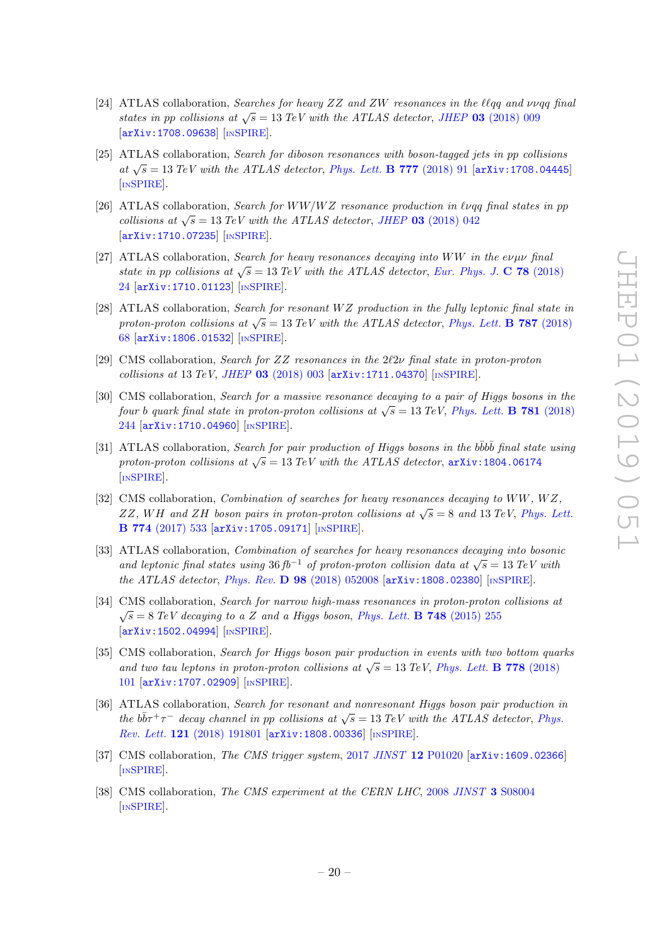- [24] ATLAS collaboration, Searches for heavy ZZ and ZW resonances in the  $\ell \ell q \bar{q}$  and  $\nu \nu q \bar{q}$  final states in pp collisions at  $\sqrt{s} = 13 \text{ TeV}$  with the ATLAS detector, JHEP 03 [\(2018\) 009](https://doi.org/10.1007/JHEP03(2018)009) [[arXiv:1708.09638](https://arxiv.org/abs/1708.09638)] [IN[SPIRE](https://inspirehep.net/search?p=find+EPRINT+arXiv:1708.09638)].
- [25] ATLAS collaboration, Search for diboson resonances with boson-tagged jets in pp collisions at  $\sqrt{s} = 13 \text{ TeV}$  with the ATLAS detector, [Phys. Lett.](https://doi.org/10.1016/j.physletb.2017.12.011) **B 777** (2018) 91  $[\text{arXiv}:1708.04445]$ [IN[SPIRE](https://inspirehep.net/search?p=find+EPRINT+arXiv:1708.04445)].
- [26] ATLAS collaboration, Search for  $WW/WZ$  resonance production in  $\ell \nu qq$  final states in pp collisions at  $\sqrt{s} = 13 \text{ TeV}$  with the ATLAS detector, JHEP 03 [\(2018\) 042](https://doi.org/10.1007/JHEP03(2018)042) [[arXiv:1710.07235](https://arxiv.org/abs/1710.07235)] [IN[SPIRE](https://inspirehep.net/search?p=find+EPRINT+arXiv:1710.07235)].
- [27] ATLAS collaboration, Search for heavy resonances decaying into WW in the ev $\mu\nu$  final state in pp collisions at  $\sqrt{s} = 13 \text{ TeV}$  with the ATLAS detector, [Eur. Phys. J.](https://doi.org/10.1140/epjc/s10052-017-5491-4) C 78 (2018) [24](https://doi.org/10.1140/epjc/s10052-017-5491-4) [[arXiv:1710.01123](https://arxiv.org/abs/1710.01123)] [IN[SPIRE](https://inspirehep.net/search?p=find+EPRINT+arXiv:1710.01123)].
- [28] ATLAS collaboration, Search for resonant  $WZ$  production in the fully leptonic final state in proton-proton collisions at  $\sqrt{s} = 13 \text{ TeV}$  with the ATLAS detector, [Phys. Lett.](https://doi.org/10.1016/j.physletb.2018.10.021) **B 787** (2018) [68](https://doi.org/10.1016/j.physletb.2018.10.021) [[arXiv:1806.01532](https://arxiv.org/abs/1806.01532)] [IN[SPIRE](https://inspirehep.net/search?p=find+EPRINT+arXiv:1806.01532)].
- [29] CMS collaboration, Search for ZZ resonances in the  $2\ell 2\nu$  final state in proton-proton collisions at 13 TeV, JHEP  $03$  [\(2018\) 003](https://doi.org/10.1007/JHEP03(2018)003)  $\text{arXiv:1711.04370}$  $\text{arXiv:1711.04370}$  $\text{arXiv:1711.04370}$  [IN[SPIRE](https://inspirehep.net/search?p=find+EPRINT+arXiv:1711.04370)].
- [30] CMS collaboration, Search for a massive resonance decaying to a pair of Higgs bosons in the four b quark final state in proton-proton collisions at  $\sqrt{s} = 13 \text{ TeV}$ , [Phys. Lett.](https://doi.org/10.1016/j.physletb.2018.03.084) **B 781** (2018) [244](https://doi.org/10.1016/j.physletb.2018.03.084) [[arXiv:1710.04960](https://arxiv.org/abs/1710.04960)] [IN[SPIRE](https://inspirehep.net/search?p=find+EPRINT+arXiv:1710.04960)].
- $[31]$  ATLAS collaboration, Search for pair production of Higgs bosons in the  $b\bar{b}b\bar{b}$  final state using proton-proton collisions at  $\sqrt{s} = 13 \text{ TeV}$  with the ATLAS detector,  $\ar{xiv:1804.06174}$ [IN[SPIRE](https://inspirehep.net/search?p=find+EPRINT+arXiv:1804.06174)].
- [32] CMS collaboration, *Combination of searches for heavy resonances decaying to WW, WZ*,  $ZZ$ , WH and ZH boson pairs in proton-proton collisions at  $\sqrt{s} = 8$  and 13 TeV, [Phys. Lett.](https://doi.org/10.1016/j.physletb.2017.09.083) B 774 [\(2017\) 533](https://doi.org/10.1016/j.physletb.2017.09.083) [[arXiv:1705.09171](https://arxiv.org/abs/1705.09171)] [IN[SPIRE](https://inspirehep.net/search?p=find+EPRINT+arXiv:1705.09171)].
- <span id="page-20-0"></span>[33] ATLAS collaboration, Combination of searches for heavy resonances decaying into bosonic and leptonic final states using  $36 \text{ fb}^{-1}$  of proton-proton collision data at  $\sqrt{s} = 13 \text{ TeV}$  with the ATLAS detector, Phys. Rev. D 98 [\(2018\) 052008](https://doi.org/10.1103/PhysRevD.98.052008)  $arXiv:1808.02380$  [IN[SPIRE](https://inspirehep.net/search?p=find+EPRINT+arXiv:1808.02380)].
- <span id="page-20-1"></span>[34] CMS collaboration, Search for narrow high-mass resonances in proton-proton collisions at √  $\sqrt{s} = 8 \text{ TeV}$  decaying to a Z and a Higgs boson, [Phys. Lett.](https://doi.org/10.1016/j.physletb.2015.07.011) **B 748** (2015) 255 [[arXiv:1502.04994](https://arxiv.org/abs/1502.04994)] [IN[SPIRE](https://inspirehep.net/search?p=find+EPRINT+arXiv:1502.04994)].
- <span id="page-20-2"></span>[35] CMS collaboration, Search for Higgs boson pair production in events with two bottom quarks and two tau leptons in proton-proton collisions at  $\sqrt{s} = 13 \text{ TeV}$ , [Phys. Lett.](https://doi.org/10.1016/j.physletb.2018.01.001) **B 778** (2018) [101](https://doi.org/10.1016/j.physletb.2018.01.001) [[arXiv:1707.02909](https://arxiv.org/abs/1707.02909)] [IN[SPIRE](https://inspirehep.net/search?p=find+EPRINT+arXiv:1707.02909)].
- <span id="page-20-3"></span>[36] ATLAS collaboration, Search for resonant and nonresonant Higgs boson pair production in the  $b\bar{b}\tau^+\tau^-$  decay channel in pp collisions at  $\sqrt{s} = 13 \text{ TeV}$  with the ATLAS detector, [Phys.](https://doi.org/10.1103/PhysRevLett.121.191801) Rev. Lett. 121 [\(2018\) 191801](https://doi.org/10.1103/PhysRevLett.121.191801) [[arXiv:1808.00336](https://arxiv.org/abs/1808.00336)] [IN[SPIRE](https://inspirehep.net/search?p=find+EPRINT+arXiv:1808.00336)].
- <span id="page-20-4"></span>[37] CMS collaboration, The CMS trigger system, 2017 JINST 12 [P01020](https://doi.org/10.1088/1748-0221/12/01/P01020) [[arXiv:1609.02366](https://arxiv.org/abs/1609.02366)] [IN[SPIRE](https://inspirehep.net/search?p=find+EPRINT+arXiv:1609.02366)].
- <span id="page-20-5"></span>[38] CMS collaboration, The CMS experiment at the CERN LHC, 2008 JINST 3 [S08004](https://doi.org/10.1088/1748-0221/3/08/S08004) [IN[SPIRE](https://inspirehep.net/search?p=find+J+%22JINST,3,S08004%22)].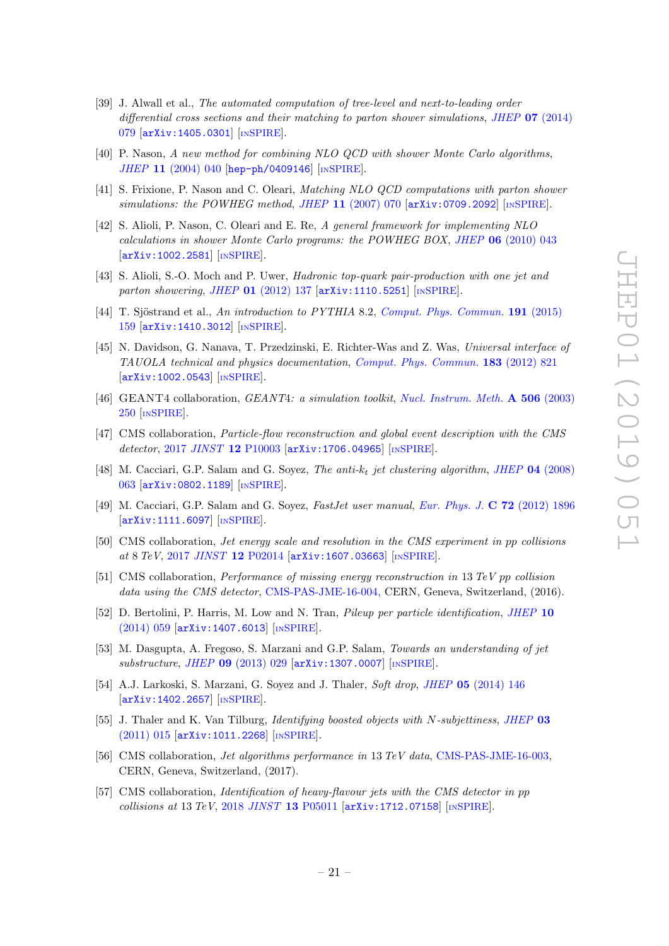- <span id="page-21-0"></span>[39] J. Alwall et al., The automated computation of tree-level and next-to-leading order differential cross sections and their matching to parton shower simulations, JHEP 07 [\(2014\)](https://doi.org/10.1007/JHEP07(2014)079) [079](https://doi.org/10.1007/JHEP07(2014)079) [[arXiv:1405.0301](https://arxiv.org/abs/1405.0301)] [IN[SPIRE](https://inspirehep.net/search?p=find+EPRINT+arXiv:1405.0301)].
- <span id="page-21-1"></span>[40] P. Nason, A new method for combining NLO QCD with shower Monte Carlo algorithms, JHEP 11 [\(2004\) 040](https://doi.org/10.1088/1126-6708/2004/11/040) [[hep-ph/0409146](https://arxiv.org/abs/hep-ph/0409146)] [IN[SPIRE](https://inspirehep.net/search?p=find+EPRINT+hep-ph/0409146)].
- [41] S. Frixione, P. Nason and C. Oleari, Matching NLO QCD computations with parton shower simulations: the POWHEG method, JHEP 11 [\(2007\) 070](https://doi.org/10.1088/1126-6708/2007/11/070)  $\ar{x}$ v:0709.2092] [IN[SPIRE](https://inspirehep.net/search?p=find+EPRINT+arXiv:0709.2092)].
- [42] S. Alioli, P. Nason, C. Oleari and E. Re, A general framework for implementing NLO calculations in shower Monte Carlo programs: the POWHEG BOX, JHEP  $06$  [\(2010\) 043](https://doi.org/10.1007/JHEP06(2010)043) [[arXiv:1002.2581](https://arxiv.org/abs/1002.2581)] [IN[SPIRE](https://inspirehep.net/search?p=find+EPRINT+arXiv:1002.2581)].
- <span id="page-21-2"></span>[43] S. Alioli, S.-O. Moch and P. Uwer, Hadronic top-quark pair-production with one jet and parton showering, JHEP 01 [\(2012\) 137](https://doi.org/10.1007/JHEP01(2012)137) [[arXiv:1110.5251](https://arxiv.org/abs/1110.5251)] [IN[SPIRE](https://inspirehep.net/search?p=find+EPRINT+arXiv:1110.5251)].
- <span id="page-21-3"></span>[44] T. Sjöstrand et al., An introduction to PYTHIA 8.2, [Comput. Phys. Commun.](https://doi.org/10.1016/j.cpc.2015.01.024) 191 (2015) [159](https://doi.org/10.1016/j.cpc.2015.01.024) [[arXiv:1410.3012](https://arxiv.org/abs/1410.3012)] [IN[SPIRE](https://inspirehep.net/search?p=find+EPRINT+arXiv:1410.3012)].
- <span id="page-21-4"></span>[45] N. Davidson, G. Nanava, T. Przedzinski, E. Richter-Was and Z. Was, Universal interface of TAUOLA technical and physics documentation, [Comput. Phys. Commun.](https://doi.org/10.1016/j.cpc.2011.12.009) 183 (2012) 821 [[arXiv:1002.0543](https://arxiv.org/abs/1002.0543)] [IN[SPIRE](https://inspirehep.net/search?p=find+EPRINT+arXiv:1002.0543)].
- <span id="page-21-5"></span>[46] GEANT4 collaboration, *GEANT4: a simulation toolkit, [Nucl. Instrum. Meth.](https://doi.org/10.1016/S0168-9002(03)01368-8)* A 506 (2003) [250](https://doi.org/10.1016/S0168-9002(03)01368-8) [IN[SPIRE](https://inspirehep.net/search?p=find+J+%22Nucl.Instrum.Meth.,A506,250%22)].
- <span id="page-21-6"></span>[47] CMS collaboration, Particle-flow reconstruction and global event description with the CMS detector, 2017 JINST 12 [P10003](https://doi.org/10.1088/1748-0221/12/10/P10003) [[arXiv:1706.04965](https://arxiv.org/abs/1706.04965)] [IN[SPIRE](https://inspirehep.net/search?p=find+EPRINT+arXiv:1706.04965)].
- <span id="page-21-7"></span>[48] M. Cacciari, G.P. Salam and G. Soyez, The anti- $k_t$  jet clustering algorithm, JHEP 04 [\(2008\)](https://doi.org/10.1088/1126-6708/2008/04/063) [063](https://doi.org/10.1088/1126-6708/2008/04/063) [[arXiv:0802.1189](https://arxiv.org/abs/0802.1189)] [IN[SPIRE](https://inspirehep.net/search?p=find+EPRINT+arXiv:0802.1189)].
- <span id="page-21-8"></span>[49] M. Cacciari, G.P. Salam and G. Soyez, FastJet user manual, [Eur. Phys. J.](https://doi.org/10.1140/epjc/s10052-012-1896-2) C 72 (2012) 1896 [[arXiv:1111.6097](https://arxiv.org/abs/1111.6097)] [IN[SPIRE](https://inspirehep.net/search?p=find+EPRINT+arXiv:1111.6097)].
- <span id="page-21-9"></span>[50] CMS collaboration, Jet energy scale and resolution in the CMS experiment in pp collisions at 8 TeV, 2017 JINST 12 [P02014](https://doi.org/10.1088/1748-0221/12/02/P02014) [[arXiv:1607.03663](https://arxiv.org/abs/1607.03663)] [IN[SPIRE](https://inspirehep.net/search?p=find+EPRINT+arXiv:1607.03663)].
- <span id="page-21-10"></span>[51] CMS collaboration, *Performance of missing energy reconstruction in 13 TeV pp collision* data using the CMS detector, [CMS-PAS-JME-16-004,](http://cds.cern.ch/record/2205284) CERN, Geneva, Switzerland, (2016).
- <span id="page-21-11"></span>[52] D. Bertolini, P. Harris, M. Low and N. Tran, *Pileup per particle identification*, *[JHEP](https://doi.org/10.1007/JHEP10(2014)059)* 10 [\(2014\) 059](https://doi.org/10.1007/JHEP10(2014)059) [[arXiv:1407.6013](https://arxiv.org/abs/1407.6013)] [IN[SPIRE](https://inspirehep.net/search?p=find+EPRINT+arXiv:1407.6013)].
- <span id="page-21-12"></span>[53] M. Dasgupta, A. Fregoso, S. Marzani and G.P. Salam, Towards an understanding of jet substructure, JHEP 09 [\(2013\) 029](https://doi.org/10.1007/JHEP09(2013)029) [[arXiv:1307.0007](https://arxiv.org/abs/1307.0007)] [IN[SPIRE](https://inspirehep.net/search?p=find+EPRINT+arXiv:1307.0007)].
- <span id="page-21-13"></span>[54] A.J. Larkoski, S. Marzani, G. Sovez and J. Thaler, Soft drop, JHEP 05 [\(2014\) 146](https://doi.org/10.1007/JHEP05(2014)146) [[arXiv:1402.2657](https://arxiv.org/abs/1402.2657)] [IN[SPIRE](https://inspirehep.net/search?p=find+EPRINT+arXiv:1402.2657)].
- <span id="page-21-14"></span>[55] J. Thaler and K. Van Tilburg, *Identifying boosted objects with N-subjettiness*, *[JHEP](https://doi.org/10.1007/JHEP03(2011)015)* 03 [\(2011\) 015](https://doi.org/10.1007/JHEP03(2011)015) [[arXiv:1011.2268](https://arxiv.org/abs/1011.2268)] [IN[SPIRE](https://inspirehep.net/search?p=find+EPRINT+arXiv:1011.2268)].
- <span id="page-21-15"></span>[56] CMS collaboration, Jet algorithms performance in 13 TeV data, [CMS-PAS-JME-16-003,](http://cds.cern.ch/record/2256875) CERN, Geneva, Switzerland, (2017).
- <span id="page-21-16"></span>[57] CMS collaboration, *Identification of heavy-flavour jets with the CMS detector in pp*  $collisions$  at 13 TeV,  $2018$  JINST 13 [P05011](https://doi.org/10.1088/1748-0221/13/05/P05011) [[arXiv:1712.07158](https://arxiv.org/abs/1712.07158)] [IN[SPIRE](https://inspirehep.net/search?p=find+EPRINT+arXiv:1712.07158)].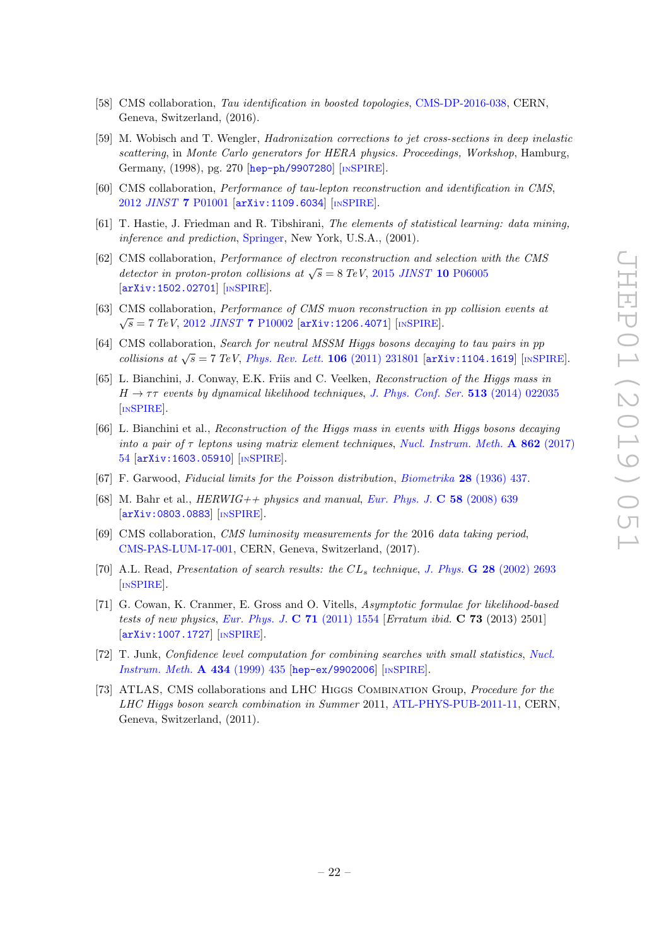- <span id="page-22-0"></span>[58] CMS collaboration, Tau identification in boosted topologies, [CMS-DP-2016-038,](http://cds.cern.ch/record/2202971) CERN, Geneva, Switzerland, (2016).
- <span id="page-22-1"></span>[59] M. Wobisch and T. Wengler, Hadronization corrections to jet cross-sections in deep inelastic scattering, in Monte Carlo generators for HERA physics. Proceedings, Workshop, Hamburg, Germany, (1998), pg. 270 [[hep-ph/9907280](https://arxiv.org/abs/hep-ph/9907280)] [IN[SPIRE](https://inspirehep.net/search?p=find+EPRINT+hep-ph/9907280)].
- <span id="page-22-2"></span>[60] CMS collaboration, Performance of tau-lepton reconstruction and identification in CMS, 2012 JINST 7 [P01001](https://doi.org/10.1088/1748-0221/7/01/P01001) [[arXiv:1109.6034](https://arxiv.org/abs/1109.6034)] [IN[SPIRE](https://inspirehep.net/search?p=find+EPRINT+arXiv:1109.6034)].
- <span id="page-22-3"></span>[61] T. Hastie, J. Friedman and R. Tibshirani, The elements of statistical learning: data mining, inference and prediction, [Springer,](https://doi.org/10.1007/978-0-387-21606-5) New York, U.S.A., (2001).
- <span id="page-22-4"></span>[62] CMS collaboration, Performance of electron reconstruction and selection with the CMS  $\alpha$  detector in proton-proton collisions at  $\sqrt{s} = 8$  TeV, 2015 JINST 10 [P06005](https://doi.org/10.1088/1748-0221/10/06/P06005) [[arXiv:1502.02701](https://arxiv.org/abs/1502.02701)] [IN[SPIRE](https://inspirehep.net/search?p=find+EPRINT+arXiv:1502.02701)].
- <span id="page-22-5"></span>[63] CMS collaboration, Performance of CMS muon reconstruction in pp collision events at  $\sqrt{s}$  = 7 TeV, 2012 JINST 7 [P10002](https://doi.org/10.1088/1748-0221/7/10/P10002) [[arXiv:1206.4071](https://arxiv.org/abs/1206.4071)] [IN[SPIRE](https://inspirehep.net/search?p=find+EPRINT+arXiv:1206.4071)].
- <span id="page-22-6"></span>[64] CMS collaboration, Search for neutral MSSM Higgs bosons decaying to tau pairs in pp collisions at  $\sqrt{s} = 7$  TeV, [Phys. Rev. Lett.](https://doi.org/10.1103/PhysRevLett.106.231801) 106 (2011) 231801 [[arXiv:1104.1619](https://arxiv.org/abs/1104.1619)] [IN[SPIRE](https://inspirehep.net/search?p=find+EPRINT+arXiv:1104.1619)].
- [65] L. Bianchini, J. Conway, E.K. Friis and C. Veelken, Reconstruction of the Higgs mass in  $H \rightarrow \tau\tau$  events by dynamical likelihood techniques, [J. Phys. Conf. Ser.](https://doi.org/10.1088/1742-6596/513/2/022035) 513 (2014) 022035 [IN[SPIRE](https://inspirehep.net/search?p=find+J+%22J.Phys.Conf.Ser.,513,022035%22)].
- <span id="page-22-7"></span>[66] L. Bianchini et al., Reconstruction of the Higgs mass in events with Higgs bosons decaying into a pair of  $\tau$  leptons using matrix element techniques, [Nucl. Instrum. Meth.](https://doi.org/10.1016/j.nima.2017.05.001) A 862 (2017) [54](https://doi.org/10.1016/j.nima.2017.05.001) [[arXiv:1603.05910](https://arxiv.org/abs/1603.05910)] [IN[SPIRE](https://inspirehep.net/search?p=find+EPRINT+arXiv:1603.05910)].
- <span id="page-22-8"></span>[67] F. Garwood, Fiducial limits for the Poisson distribution, [Biometrika](https://doi.org/10.1093/biomet/28.3-4.437) 28 (1936) 437.
- <span id="page-22-9"></span>[68] M. Bahr et al.,  $HERWIG++$  physics and manual, [Eur. Phys. J.](https://doi.org/10.1140/epjc/s10052-008-0798-9) C 58 (2008) 639 [[arXiv:0803.0883](https://arxiv.org/abs/0803.0883)] [IN[SPIRE](https://inspirehep.net/search?p=find+EPRINT+arXiv:0803.0883)].
- <span id="page-22-10"></span>[69] CMS collaboration, CMS luminosity measurements for the 2016 data taking period, [CMS-PAS-LUM-17-001,](http://cds.cern.ch/record/2257069) CERN, Geneva, Switzerland, (2017).
- <span id="page-22-11"></span>[70] A.L. Read, Presentation of search results: the  $CL<sub>s</sub>$  technique, J. Phys. **G 28** [\(2002\) 2693](https://doi.org/10.1088/0954-3899/28/10/313) [IN[SPIRE](https://inspirehep.net/search?p=find+J+%22J.Phys.,G28,2693%22)].
- <span id="page-22-12"></span>[71] G. Cowan, K. Cranmer, E. Gross and O. Vitells, Asymptotic formulae for likelihood-based tests of new physics, [Eur. Phys. J.](https://doi.org/10.1140/epjc/s10052-011-1554-0) C 71 (2011) 1554 [Erratum ibid. C 73 (2013) 2501] [[arXiv:1007.1727](https://arxiv.org/abs/1007.1727)] [IN[SPIRE](https://inspirehep.net/search?p=find+EPRINT+arXiv:1007.1727)].
- <span id="page-22-13"></span>[72] T. Junk, Confidence level computation for combining searches with small statistics, [Nucl.](https://doi.org/10.1016/S0168-9002(99)00498-2) [Instrum. Meth.](https://doi.org/10.1016/S0168-9002(99)00498-2) A 434 (1999) 435 [[hep-ex/9902006](https://arxiv.org/abs/hep-ex/9902006)] [IN[SPIRE](https://inspirehep.net/search?p=find+EPRINT+hep-ex/9902006)].
- <span id="page-22-14"></span>[73] ATLAS, CMS collaborations and LHC HIGGS COMBINATION Group, *Procedure for the* LHC Higgs boson search combination in Summer 2011, [ATL-PHYS-PUB-2011-11,](http://cds.cern.ch/record/1379837) CERN, Geneva, Switzerland, (2011).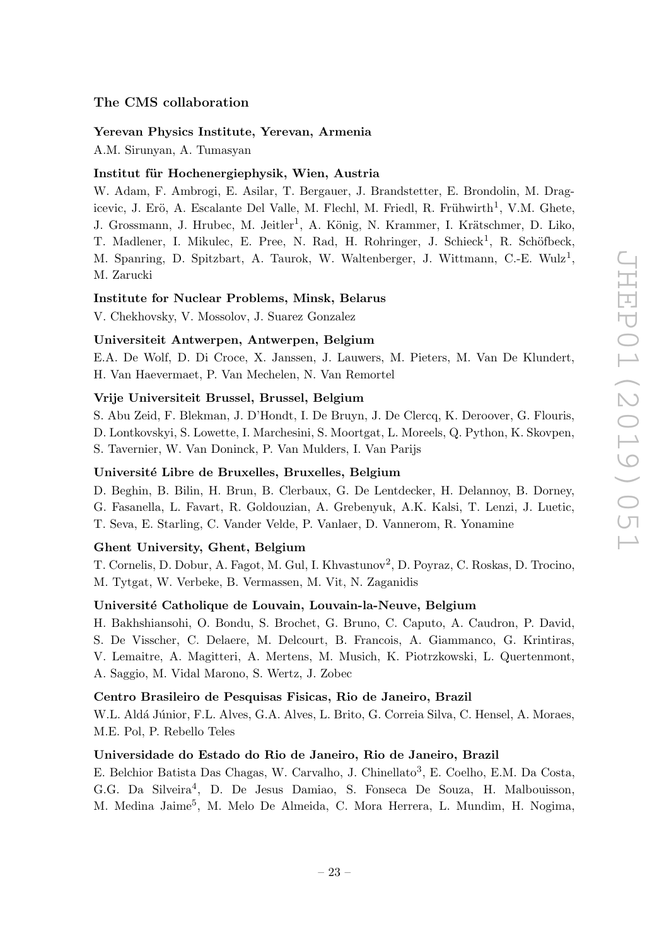## The CMS collaboration

### <span id="page-23-0"></span>Yerevan Physics Institute, Yerevan, Armenia

A.M. Sirunyan, A. Tumasyan

#### Institut für Hochenergiephysik, Wien, Austria

W. Adam, F. Ambrogi, E. Asilar, T. Bergauer, J. Brandstetter, E. Brondolin, M. Dragicevic, J. Erö, A. Escalante Del Valle, M. Flechl, M. Friedl, R. Frühwirth<sup>1</sup>, V.M. Ghete, J. Grossmann, J. Hrubec, M. Jeitler<sup>1</sup>, A. König, N. Krammer, I. Krätschmer, D. Liko, T. Madlener, I. Mikulec, E. Pree, N. Rad, H. Rohringer, J. Schieck<sup>1</sup>, R. Schöfbeck, M. Spanring, D. Spitzbart, A. Taurok, W. Waltenberger, J. Wittmann, C.-E. Wulz<sup>1</sup>, M. Zarucki

#### Institute for Nuclear Problems, Minsk, Belarus

V. Chekhovsky, V. Mossolov, J. Suarez Gonzalez

#### Universiteit Antwerpen, Antwerpen, Belgium

E.A. De Wolf, D. Di Croce, X. Janssen, J. Lauwers, M. Pieters, M. Van De Klundert, H. Van Haevermaet, P. Van Mechelen, N. Van Remortel

## Vrije Universiteit Brussel, Brussel, Belgium

S. Abu Zeid, F. Blekman, J. D'Hondt, I. De Bruyn, J. De Clercq, K. Deroover, G. Flouris, D. Lontkovskyi, S. Lowette, I. Marchesini, S. Moortgat, L. Moreels, Q. Python, K. Skovpen, S. Tavernier, W. Van Doninck, P. Van Mulders, I. Van Parijs

# Université Libre de Bruxelles, Bruxelles, Belgium

D. Beghin, B. Bilin, H. Brun, B. Clerbaux, G. De Lentdecker, H. Delannoy, B. Dorney, G. Fasanella, L. Favart, R. Goldouzian, A. Grebenyuk, A.K. Kalsi, T. Lenzi, J. Luetic, T. Seva, E. Starling, C. Vander Velde, P. Vanlaer, D. Vannerom, R. Yonamine

#### Ghent University, Ghent, Belgium

T. Cornelis, D. Dobur, A. Fagot, M. Gul, I. Khvastunov<sup>2</sup>, D. Poyraz, C. Roskas, D. Trocino, M. Tytgat, W. Verbeke, B. Vermassen, M. Vit, N. Zaganidis

#### Université Catholique de Louvain, Louvain-la-Neuve, Belgium

H. Bakhshiansohi, O. Bondu, S. Brochet, G. Bruno, C. Caputo, A. Caudron, P. David, S. De Visscher, C. Delaere, M. Delcourt, B. Francois, A. Giammanco, G. Krintiras, V. Lemaitre, A. Magitteri, A. Mertens, M. Musich, K. Piotrzkowski, L. Quertenmont, A. Saggio, M. Vidal Marono, S. Wertz, J. Zobec

# Centro Brasileiro de Pesquisas Fisicas, Rio de Janeiro, Brazil

W.L. Aldá Júnior, F.L. Alves, G.A. Alves, L. Brito, G. Correia Silva, C. Hensel, A. Moraes, M.E. Pol, P. Rebello Teles

# Universidade do Estado do Rio de Janeiro, Rio de Janeiro, Brazil

E. Belchior Batista Das Chagas, W. Carvalho, J. Chinellato<sup>3</sup>, E. Coelho, E.M. Da Costa, G.G. Da Silveira<sup>4</sup>, D. De Jesus Damiao, S. Fonseca De Souza, H. Malbouisson, M. Medina Jaime<sup>5</sup>, M. Melo De Almeida, C. Mora Herrera, L. Mundim, H. Nogima,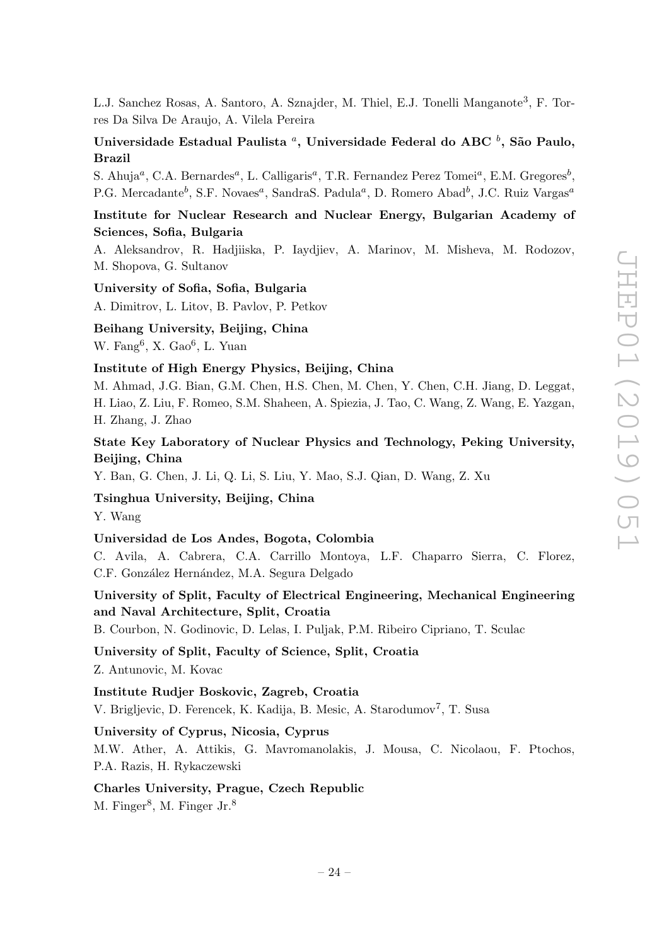L.J. Sanchez Rosas, A. Santoro, A. Sznajder, M. Thiel, E.J. Tonelli Manganote<sup>3</sup>, F. Torres Da Silva De Araujo, A. Vilela Pereira

# Universidade Estadual Paulista <sup>a</sup>, Universidade Federal do ABC  $^b$ , São Paulo, Brazil

S. Ahuja<sup>a</sup>, C.A. Bernardes<sup>a</sup>, L. Calligaris<sup>a</sup>, T.R. Fernandez Perez Tomei<sup>a</sup>, E.M. Gregores<sup>b</sup>, P.G. Mercadante<sup>b</sup>, S.F. Novaes<sup>a</sup>, SandraS. Padula<sup>a</sup>, D. Romero Abad<sup>b</sup>, J.C. Ruiz Vargas<sup>a</sup>

# Institute for Nuclear Research and Nuclear Energy, Bulgarian Academy of Sciences, Sofia, Bulgaria

A. Aleksandrov, R. Hadjiiska, P. Iaydjiev, A. Marinov, M. Misheva, M. Rodozov, M. Shopova, G. Sultanov

### University of Sofia, Sofia, Bulgaria

A. Dimitrov, L. Litov, B. Pavlov, P. Petkov

# Beihang University, Beijing, China

W. Fang<sup>6</sup>, X. Gao<sup>6</sup>, L. Yuan

# Institute of High Energy Physics, Beijing, China

M. Ahmad, J.G. Bian, G.M. Chen, H.S. Chen, M. Chen, Y. Chen, C.H. Jiang, D. Leggat, H. Liao, Z. Liu, F. Romeo, S.M. Shaheen, A. Spiezia, J. Tao, C. Wang, Z. Wang, E. Yazgan, H. Zhang, J. Zhao

# State Key Laboratory of Nuclear Physics and Technology, Peking University, Beijing, China

Y. Ban, G. Chen, J. Li, Q. Li, S. Liu, Y. Mao, S.J. Qian, D. Wang, Z. Xu

### Tsinghua University, Beijing, China

Y. Wang

### Universidad de Los Andes, Bogota, Colombia

C. Avila, A. Cabrera, C.A. Carrillo Montoya, L.F. Chaparro Sierra, C. Florez, C.F. González Hernández, M.A. Segura Delgado

# University of Split, Faculty of Electrical Engineering, Mechanical Engineering and Naval Architecture, Split, Croatia

B. Courbon, N. Godinovic, D. Lelas, I. Puljak, P.M. Ribeiro Cipriano, T. Sculac

#### University of Split, Faculty of Science, Split, Croatia

Z. Antunovic, M. Kovac

# Institute Rudjer Boskovic, Zagreb, Croatia

V. Brigljevic, D. Ferencek, K. Kadija, B. Mesic, A. Starodumov<sup>7</sup>, T. Susa

### University of Cyprus, Nicosia, Cyprus

M.W. Ather, A. Attikis, G. Mavromanolakis, J. Mousa, C. Nicolaou, F. Ptochos, P.A. Razis, H. Rykaczewski

# Charles University, Prague, Czech Republic

M. Finger<sup>8</sup>, M. Finger  $Jr.^8$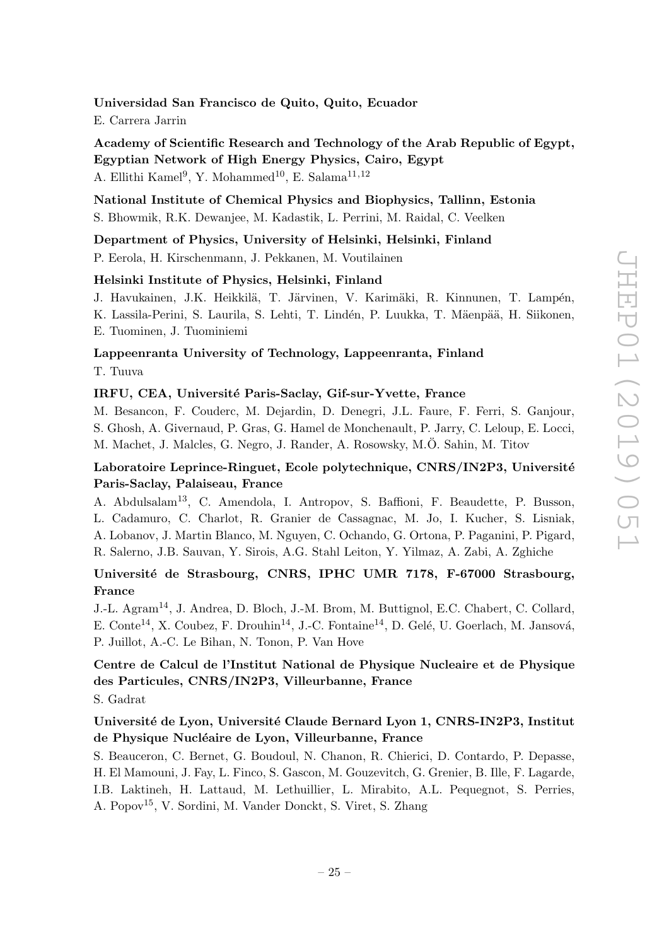### Universidad San Francisco de Quito, Quito, Ecuador

E. Carrera Jarrin

# Academy of Scientific Research and Technology of the Arab Republic of Egypt, Egyptian Network of High Energy Physics, Cairo, Egypt

A. Ellithi Kamel<sup>9</sup>, Y. Mohammed<sup>10</sup>, E. Salama<sup>11,12</sup>

National Institute of Chemical Physics and Biophysics, Tallinn, Estonia S. Bhowmik, R.K. Dewanjee, M. Kadastik, L. Perrini, M. Raidal, C. Veelken

Department of Physics, University of Helsinki, Helsinki, Finland

P. Eerola, H. Kirschenmann, J. Pekkanen, M. Voutilainen

### Helsinki Institute of Physics, Helsinki, Finland

J. Havukainen, J.K. Heikkilä, T. Järvinen, V. Karimäki, R. Kinnunen, T. Lampén,

K. Lassila-Perini, S. Laurila, S. Lehti, T. Lindén, P. Luukka, T. Mäenpää, H. Siikonen, E. Tuominen, J. Tuominiemi

Lappeenranta University of Technology, Lappeenranta, Finland T. Tuuva

#### IRFU, CEA, Université Paris-Saclay, Gif-sur-Yvette, France

M. Besancon, F. Couderc, M. Dejardin, D. Denegri, J.L. Faure, F. Ferri, S. Ganjour, S. Ghosh, A. Givernaud, P. Gras, G. Hamel de Monchenault, P. Jarry, C. Leloup, E. Locci, M. Machet, J. Malcles, G. Negro, J. Rander, A. Rosowsky, M.O. Sahin, M. Titov ¨

# Laboratoire Leprince-Ringuet, Ecole polytechnique, CNRS/IN2P3, Université Paris-Saclay, Palaiseau, France

A. Abdulsalam13, C. Amendola, I. Antropov, S. Baffioni, F. Beaudette, P. Busson, L. Cadamuro, C. Charlot, R. Granier de Cassagnac, M. Jo, I. Kucher, S. Lisniak, A. Lobanov, J. Martin Blanco, M. Nguyen, C. Ochando, G. Ortona, P. Paganini, P. Pigard, R. Salerno, J.B. Sauvan, Y. Sirois, A.G. Stahl Leiton, Y. Yilmaz, A. Zabi, A. Zghiche

# Université de Strasbourg, CNRS, IPHC UMR 7178, F-67000 Strasbourg, France

J.-L. Agram14, J. Andrea, D. Bloch, J.-M. Brom, M. Buttignol, E.C. Chabert, C. Collard, E. Conte<sup>14</sup>, X. Coubez, F. Drouhin<sup>14</sup>, J.-C. Fontaine<sup>14</sup>, D. Gelé, U. Goerlach, M. Jansová, P. Juillot, A.-C. Le Bihan, N. Tonon, P. Van Hove

# Centre de Calcul de l'Institut National de Physique Nucleaire et de Physique des Particules, CNRS/IN2P3, Villeurbanne, France

# S. Gadrat

# Université de Lyon, Université Claude Bernard Lyon 1, CNRS-IN2P3, Institut de Physique Nucléaire de Lyon, Villeurbanne, France

S. Beauceron, C. Bernet, G. Boudoul, N. Chanon, R. Chierici, D. Contardo, P. Depasse, H. El Mamouni, J. Fay, L. Finco, S. Gascon, M. Gouzevitch, G. Grenier, B. Ille, F. Lagarde, I.B. Laktineh, H. Lattaud, M. Lethuillier, L. Mirabito, A.L. Pequegnot, S. Perries, A. Popov<sup>15</sup>, V. Sordini, M. Vander Donckt, S. Viret, S. Zhang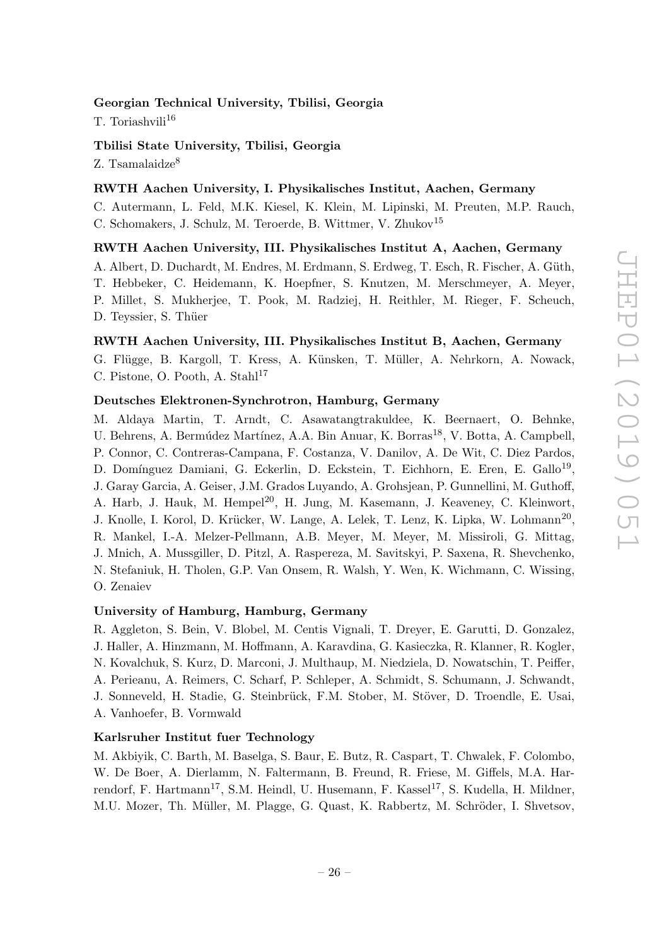### Georgian Technical University, Tbilisi, Georgia

T. Toriashvili $^{16}$ 

Tbilisi State University, Tbilisi, Georgia

Z. Tsamalaidze<sup>8</sup>

## RWTH Aachen University, I. Physikalisches Institut, Aachen, Germany

C. Autermann, L. Feld, M.K. Kiesel, K. Klein, M. Lipinski, M. Preuten, M.P. Rauch, C. Schomakers, J. Schulz, M. Teroerde, B. Wittmer, V. Zhukov<sup>15</sup>

#### RWTH Aachen University, III. Physikalisches Institut A, Aachen, Germany

A. Albert, D. Duchardt, M. Endres, M. Erdmann, S. Erdweg, T. Esch, R. Fischer, A. Güth, T. Hebbeker, C. Heidemann, K. Hoepfner, S. Knutzen, M. Merschmeyer, A. Meyer, P. Millet, S. Mukherjee, T. Pook, M. Radziej, H. Reithler, M. Rieger, F. Scheuch, D. Teyssier, S. Thüer

#### RWTH Aachen University, III. Physikalisches Institut B, Aachen, Germany

G. Flügge, B. Kargoll, T. Kress, A. Künsken, T. Müller, A. Nehrkorn, A. Nowack, C. Pistone, O. Pooth, A. Stahl<sup>17</sup>

## Deutsches Elektronen-Synchrotron, Hamburg, Germany

M. Aldaya Martin, T. Arndt, C. Asawatangtrakuldee, K. Beernaert, O. Behnke, U. Behrens, A. Bermúdez Martínez, A.A. Bin Anuar, K. Borras<sup>18</sup>, V. Botta, A. Campbell, P. Connor, C. Contreras-Campana, F. Costanza, V. Danilov, A. De Wit, C. Diez Pardos, D. Domínguez Damiani, G. Eckerlin, D. Eckstein, T. Eichhorn, E. Eren, E. Gallo<sup>19</sup>, J. Garay Garcia, A. Geiser, J.M. Grados Luyando, A. Grohsjean, P. Gunnellini, M. Guthoff, A. Harb, J. Hauk, M. Hempel<sup>20</sup>, H. Jung, M. Kasemann, J. Keaveney, C. Kleinwort, J. Knolle, I. Korol, D. Krücker, W. Lange, A. Lelek, T. Lenz, K. Lipka, W. Lohmann<sup>20</sup>, R. Mankel, I.-A. Melzer-Pellmann, A.B. Meyer, M. Meyer, M. Missiroli, G. Mittag, J. Mnich, A. Mussgiller, D. Pitzl, A. Raspereza, M. Savitskyi, P. Saxena, R. Shevchenko, N. Stefaniuk, H. Tholen, G.P. Van Onsem, R. Walsh, Y. Wen, K. Wichmann, C. Wissing, O. Zenaiev

#### University of Hamburg, Hamburg, Germany

R. Aggleton, S. Bein, V. Blobel, M. Centis Vignali, T. Dreyer, E. Garutti, D. Gonzalez, J. Haller, A. Hinzmann, M. Hoffmann, A. Karavdina, G. Kasieczka, R. Klanner, R. Kogler, N. Kovalchuk, S. Kurz, D. Marconi, J. Multhaup, M. Niedziela, D. Nowatschin, T. Peiffer, A. Perieanu, A. Reimers, C. Scharf, P. Schleper, A. Schmidt, S. Schumann, J. Schwandt, J. Sonneveld, H. Stadie, G. Steinbrück, F.M. Stober, M. Stöver, D. Troendle, E. Usai, A. Vanhoefer, B. Vormwald

#### Karlsruher Institut fuer Technology

M. Akbiyik, C. Barth, M. Baselga, S. Baur, E. Butz, R. Caspart, T. Chwalek, F. Colombo, W. De Boer, A. Dierlamm, N. Faltermann, B. Freund, R. Friese, M. Giffels, M.A. Harrendorf, F. Hartmann<sup>17</sup>, S.M. Heindl, U. Husemann, F. Kassel<sup>17</sup>, S. Kudella, H. Mildner, M.U. Mozer, Th. Müller, M. Plagge, G. Quast, K. Rabbertz, M. Schröder, I. Shvetsov,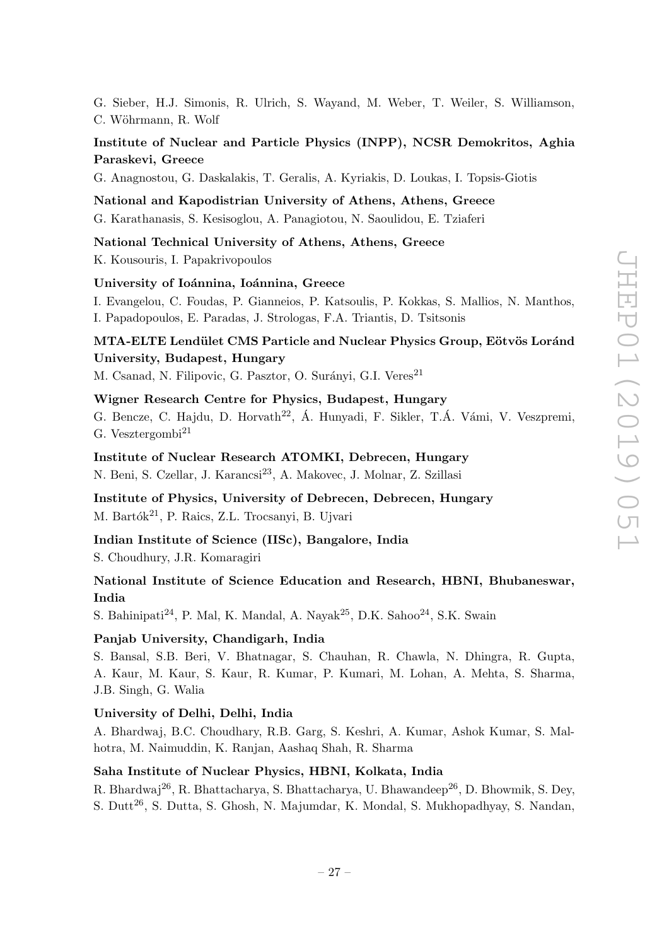G. Sieber, H.J. Simonis, R. Ulrich, S. Wayand, M. Weber, T. Weiler, S. Williamson, C. Wöhrmann, R. Wolf

# Institute of Nuclear and Particle Physics (INPP), NCSR Demokritos, Aghia Paraskevi, Greece

G. Anagnostou, G. Daskalakis, T. Geralis, A. Kyriakis, D. Loukas, I. Topsis-Giotis

#### National and Kapodistrian University of Athens, Athens, Greece

G. Karathanasis, S. Kesisoglou, A. Panagiotou, N. Saoulidou, E. Tziaferi

National Technical University of Athens, Athens, Greece K. Kousouris, I. Papakrivopoulos

#### University of Ioánnina, Ioánnina, Greece

I. Evangelou, C. Foudas, P. Gianneios, P. Katsoulis, P. Kokkas, S. Mallios, N. Manthos, I. Papadopoulos, E. Paradas, J. Strologas, F.A. Triantis, D. Tsitsonis

# MTA-ELTE Lendület CMS Particle and Nuclear Physics Group, Eötvös Loránd University, Budapest, Hungary

M. Csanad, N. Filipovic, G. Pasztor, O. Surányi, G.I. Veres<sup>21</sup>

# Wigner Research Centre for Physics, Budapest, Hungary

G. Bencze, C. Hajdu, D. Horvath<sup>22</sup>, Á. Hunyadi, F. Sikler, T.Á. Vámi, V. Veszpremi, G. Vesztergombi $^{21}$ 

## Institute of Nuclear Research ATOMKI, Debrecen, Hungary

N. Beni, S. Czellar, J. Karancsi<sup>23</sup>, A. Makovec, J. Molnar, Z. Szillasi

Institute of Physics, University of Debrecen, Debrecen, Hungary M. Bartók<sup>21</sup>, P. Raics, Z.L. Trocsanyi, B. Ujvari

### Indian Institute of Science (IISc), Bangalore, India

S. Choudhury, J.R. Komaragiri

# National Institute of Science Education and Research, HBNI, Bhubaneswar, India

S. Bahinipati<sup>24</sup>, P. Mal, K. Mandal, A. Nayak<sup>25</sup>, D.K. Sahoo<sup>24</sup>, S.K. Swain

#### Panjab University, Chandigarh, India

S. Bansal, S.B. Beri, V. Bhatnagar, S. Chauhan, R. Chawla, N. Dhingra, R. Gupta, A. Kaur, M. Kaur, S. Kaur, R. Kumar, P. Kumari, M. Lohan, A. Mehta, S. Sharma, J.B. Singh, G. Walia

# University of Delhi, Delhi, India

A. Bhardwaj, B.C. Choudhary, R.B. Garg, S. Keshri, A. Kumar, Ashok Kumar, S. Malhotra, M. Naimuddin, K. Ranjan, Aashaq Shah, R. Sharma

# Saha Institute of Nuclear Physics, HBNI, Kolkata, India

R. Bhardwaj<sup>26</sup>, R. Bhattacharya, S. Bhattacharya, U. Bhawandeep<sup>26</sup>, D. Bhowmik, S. Dey, S. Dutt<sup>26</sup>, S. Dutta, S. Ghosh, N. Majumdar, K. Mondal, S. Mukhopadhyay, S. Nandan,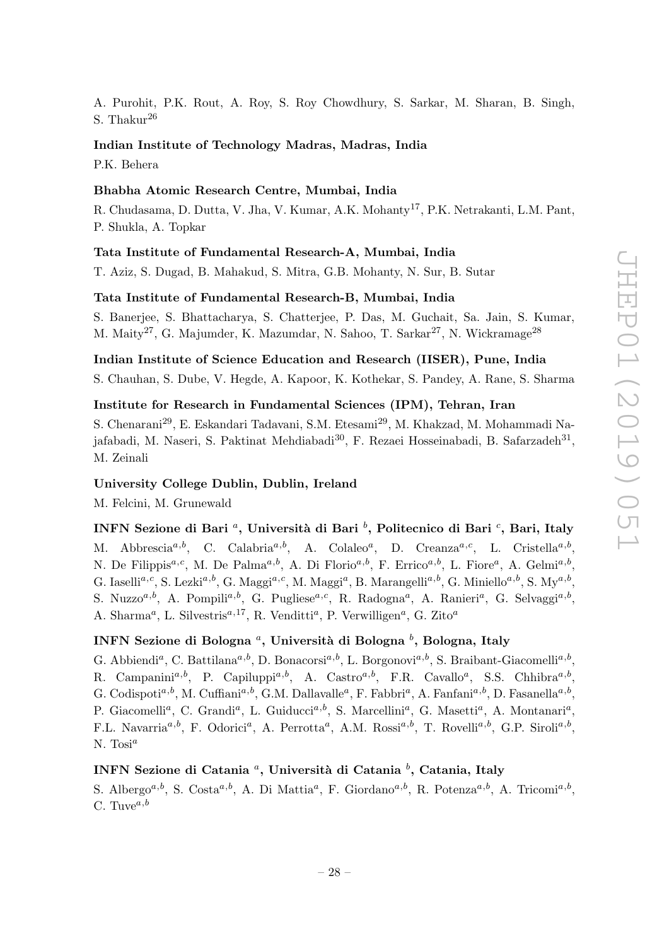A. Purohit, P.K. Rout, A. Roy, S. Roy Chowdhury, S. Sarkar, M. Sharan, B. Singh, S. Thakur<sup>26</sup>

### Indian Institute of Technology Madras, Madras, India

P.K. Behera

# Bhabha Atomic Research Centre, Mumbai, India

R. Chudasama, D. Dutta, V. Jha, V. Kumar, A.K. Mohanty<sup>17</sup>, P.K. Netrakanti, L.M. Pant, P. Shukla, A. Topkar

### Tata Institute of Fundamental Research-A, Mumbai, India

T. Aziz, S. Dugad, B. Mahakud, S. Mitra, G.B. Mohanty, N. Sur, B. Sutar

### Tata Institute of Fundamental Research-B, Mumbai, India

S. Banerjee, S. Bhattacharya, S. Chatterjee, P. Das, M. Guchait, Sa. Jain, S. Kumar, M. Maity<sup>27</sup>, G. Majumder, K. Mazumdar, N. Sahoo, T. Sarkar<sup>27</sup>, N. Wickramage<sup>28</sup>

#### Indian Institute of Science Education and Research (IISER), Pune, India

S. Chauhan, S. Dube, V. Hegde, A. Kapoor, K. Kothekar, S. Pandey, A. Rane, S. Sharma

# Institute for Research in Fundamental Sciences (IPM), Tehran, Iran

S. Chenarani29, E. Eskandari Tadavani, S.M. Etesami29, M. Khakzad, M. Mohammadi Najafabadi, M. Naseri, S. Paktinat Mehdiabadi $^{30}$ , F. Rezaei Hosseinabadi, B. Safarzadeh $^{31}$ , M. Zeinali

### University College Dublin, Dublin, Ireland

M. Felcini, M. Grunewald

# INFN Sezione di Bari <sup>a</sup>, Università di Bari  $^b$ , Politecnico di Bari  $^c$ , Bari, Italy

M. Abbrescia<sup>a,b</sup>, C. Calabria<sup>a,b</sup>, A. Colaleo<sup>a</sup>, D. Creanza<sup>a,c</sup>, L. Cristella<sup>a,b</sup>, N. De Filippis<sup>a,c</sup>, M. De Palma<sup>a,b</sup>, A. Di Florio<sup>a,b</sup>, F. Errico<sup>a,b</sup>, L. Fiore<sup>a</sup>, A. Gelmi<sup>a,b</sup>, G. Iaselli<sup>a,c</sup>, S. Lezki<sup>a,b</sup>, G. Maggi<sup>a,c</sup>, M. Maggi<sup>a</sup>, B. Marangelli<sup>a,b</sup>, G. Miniello<sup>a,b</sup>, S. My<sup>a,b</sup>, S. Nuzzo<sup>a,b</sup>, A. Pompili<sup>a,b</sup>, G. Pugliese<sup>a,c</sup>, R. Radogna<sup>a</sup>, A. Ranieri<sup>a</sup>, G. Selvaggi<sup>a,b</sup>, A. Sharma<sup>a</sup>, L. Silvestris<sup>a, 17</sup>, R. Venditti<sup>a</sup>, P. Verwilligen<sup>a</sup>, G. Zito<sup>a</sup>

# INFN Sezione di Bologna <sup>a</sup>, Università di Bologna  $^b,$  Bologna, Italy

G. Abbiendi<sup>a</sup>, C. Battilana<sup>a,b</sup>, D. Bonacorsi<sup>a,b</sup>, L. Borgonovi<sup>a,b</sup>, S. Braibant-Giacomelli<sup>a,b</sup>, R. Campanini<sup>a,b</sup>, P. Capiluppi<sup>a,b</sup>, A. Castro<sup>a,b</sup>, F.R. Cavallo<sup>a</sup>, S.S. Chhibra<sup>a,b</sup>, G. Codispoti<sup>a,b</sup>, M. Cuffiani<sup>a,b</sup>, G.M. Dallavalle<sup>a</sup>, F. Fabbri<sup>a</sup>, A. Fanfani<sup>a,b</sup>, D. Fasanella<sup>a,b</sup>, P. Giacomelli<sup>a</sup>, C. Grandi<sup>a</sup>, L. Guiducci<sup>a,b</sup>, S. Marcellini<sup>a</sup>, G. Masetti<sup>a</sup>, A. Montanari<sup>a</sup>, F.L. Navarria<sup>a,b</sup>, F. Odorici<sup>a</sup>, A. Perrotta<sup>a</sup>, A.M. Rossi<sup>a,b</sup>, T. Rovelli<sup>a,b</sup>, G.P. Siroli<sup>a,b</sup>, N. Tosi $^a$ 

# INFN Sezione di Catania <sup>a</sup>, Università di Catania  $^b$ , Catania, Italy

S. Albergo<sup>a,b</sup>, S. Costa<sup>a,b</sup>, A. Di Mattia<sup>a</sup>, F. Giordano<sup>a,b</sup>, R. Potenza<sup>a,b</sup>, A. Tricomi<sup>a,b</sup>, C. Tuve<sup> $a,b$ </sup>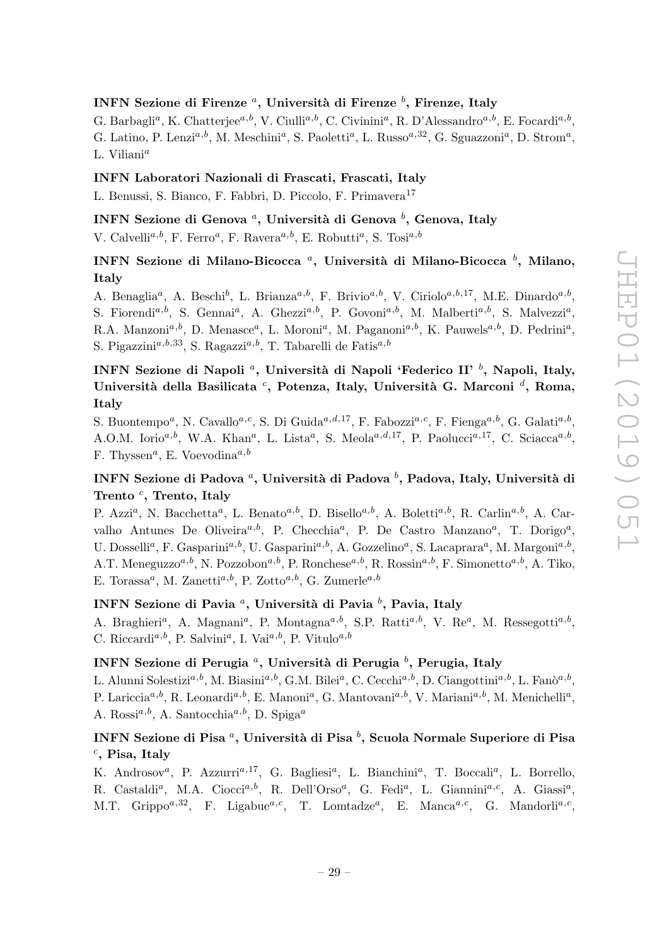# INFN Sezione di Firenze  $^a,$  Università di Firenze  $^b,$  Firenze, Italy

G. Barbagli<sup>a</sup>, K. Chatterjee<sup>a,b</sup>, V. Ciulli<sup>a,b</sup>, C. Civinini<sup>a</sup>, R. D'Alessandro<sup>a,b</sup>, E. Focardi<sup>a,b</sup>, G. Latino, P. Lenzi<sup>a,b</sup>, M. Meschini<sup>a</sup>, S. Paoletti<sup>a</sup>, L. Russo<sup>a, 32</sup>, G. Sguazzoni<sup>a</sup>, D. Strom<sup>a</sup>, L. Viliani $^a$ 

# INFN Laboratori Nazionali di Frascati, Frascati, Italy

L. Benussi, S. Bianco, F. Fabbri, D. Piccolo, F. Primavera<sup>17</sup>

# INFN Sezione di Genova <sup>a</sup>, Università di Genova  $^b,$  Genova, Italy

V. Calvelli<sup>a,b</sup>, F. Ferro<sup>a</sup>, F. Ravera<sup>a,b</sup>, E. Robutti<sup>a</sup>, S. Tosi<sup>a,b</sup>

# INFN Sezione di Milano-Bicocca <sup>a</sup>, Università di Milano-Bicocca <sup>b</sup>, Milano, Italy

A. Benaglia<sup>a</sup>, A. Beschi<sup>b</sup>, L. Brianza<sup>a,b</sup>, F. Brivio<sup>a,b</sup>, V. Ciriolo<sup>a,b,17</sup>, M.E. Dinardo<sup>a,b</sup>, S. Fiorendi<sup>a,b</sup>, S. Gennai<sup>a</sup>, A. Ghezzi<sup>a,b</sup>, P. Govoni<sup>a,b</sup>, M. Malberti<sup>a,b</sup>, S. Malvezzi<sup>a</sup>, R.A. Manzoni<sup>a,b</sup>, D. Menasce<sup>a</sup>, L. Moroni<sup>a</sup>, M. Paganoni<sup>a,b</sup>, K. Pauwels<sup>a,b</sup>, D. Pedrini<sup>a</sup>, S. Pigazzini<sup>a,b,33</sup>, S. Ragazzi<sup>a,b</sup>, T. Tabarelli de Fatis<sup>a,b</sup>

# INFN Sezione di Napoli <sup>a</sup>, Università di Napoli 'Federico II'  $^b$ , Napoli, Italy, Università della Basilicata  $^c$ , Potenza, Italy, Università G. Marconi  $^d$ , Roma, Italy

S. Buontempo<sup>a</sup>, N. Cavallo<sup>a,c</sup>, S. Di Guida<sup>a,d,17</sup>, F. Fabozzi<sup>a,c</sup>, F. Fienga<sup>a,b</sup>, G. Galati<sup>a,b</sup>, A.O.M. Iorio<sup>a,b</sup>, W.A. Khan<sup>a</sup>, L. Lista<sup>a</sup>, S. Meola<sup>a,d,17</sup>, P. Paolucci<sup>a,17</sup>, C. Sciacca<sup>a,b</sup>, F. Thyssen<sup>a</sup>, E. Voevodina<sup>a,b</sup>

# INFN Sezione di Padova <sup>a</sup>, Università di Padova  $^b$ , Padova, Italy, Università di Trento <sup>c</sup>, Trento, Italy

P. Azzi<sup>a</sup>, N. Bacchetta<sup>a</sup>, L. Benato<sup>a,b</sup>, D. Bisello<sup>a,b</sup>, A. Boletti<sup>a,b</sup>, R. Carlin<sup>a,b</sup>, A. Carvalho Antunes De Oliveira<sup>a,b</sup>, P. Checchia<sup>a</sup>, P. De Castro Manzano<sup>a</sup>, T. Dorigo<sup>a</sup>, U. Dosselli<sup>a</sup>, F. Gasparini<sup>a,b</sup>, U. Gasparini<sup>a,b</sup>, A. Gozzelino<sup>a</sup>, S. Lacaprara<sup>a</sup>, M. Margoni<sup>a,b</sup>, A.T. Meneguzzo<sup> $a,b$ </sup>, N. Pozzobon $a,b$ , P. Ronchese $a,b$ , R. Rossin $a,b$ , F. Simonetto $a,b$ , A. Tiko, E. Torassa<sup>a</sup>, M. Zanetti<sup>a,b</sup>, P. Zotto<sup>a,b</sup>, G. Zumerle<sup>a,b</sup>

# INFN Sezione di Pavia  $^a,$  Università di Pavia  $^b,$  Pavia, Italy

A. Braghieri<sup>a</sup>, A. Magnani<sup>a</sup>, P. Montagna<sup>a,b</sup>, S.P. Ratti<sup>a,b</sup>, V. Re<sup>a</sup>, M. Ressegotti<sup>a,b</sup>, C. Riccardi<sup>a,b</sup>, P. Salvini<sup>a</sup>, I. Vai<sup>a,b</sup>, P. Vitulo<sup>a,b</sup>

# INFN Sezione di Perugia <sup>a</sup>, Università di Perugia  $^b$ , Perugia, Italy

L. Alunni Solestizi<sup>a,b</sup>, M. Biasini<sup>a,b</sup>, G.M. Bilei<sup>a</sup>, C. Cecchi<sup>a,b</sup>, D. Ciangottini<sup>a,b</sup>, L. Fanò<sup>a,b</sup>, P. Lariccia ${}^{a,b}$ , R. Leonardi ${}^{a,b}$ , E. Manoni ${}^{a}$ , G. Mantovani ${}^{a,b}$ , V. Mariani ${}^{a,b}$ , M. Menichelli ${}^{a}$ , A. Rossi<sup> $a,b$ </sup>, A. Santocchia<sup> $a,b$ </sup>, D. Spiga<sup>a</sup>

# INFN Sezione di Pisa  ${}^a,$  Università di Pisa  ${}^b,$  Scuola Normale Superiore di Pisa  $c$ , Pisa, Italy

K. Androsov<sup>a</sup>, P. Azzurri<sup>a, 17</sup>, G. Bagliesi<sup>a</sup>, L. Bianchini<sup>a</sup>, T. Boccali<sup>a</sup>, L. Borrello, R. Castaldi<sup>a</sup>, M.A. Ciocci<sup>a,b</sup>, R. Dell'Orso<sup>a</sup>, G. Fedi<sup>a</sup>, L. Giannini<sup>a,c</sup>, A. Giassi<sup>a</sup>, M.T. Grippo<sup>a,32</sup>, F. Ligabue<sup>a,c</sup>, T. Lomtadze<sup>a</sup>, E. Manca<sup>a,c</sup>, G. Mandorli<sup>a,c</sup>,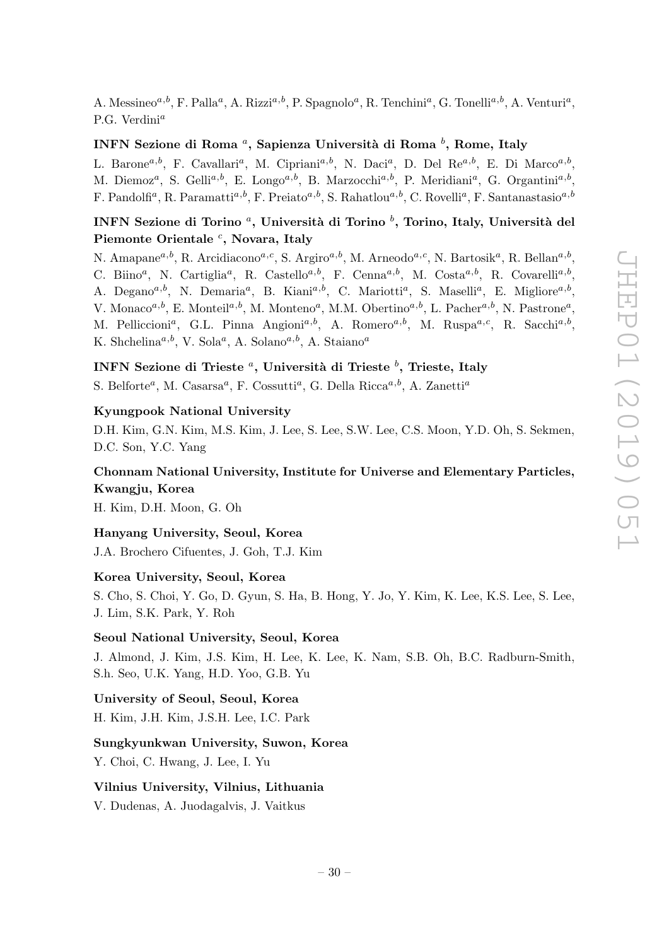A. Messineo<sup>a,b</sup>, F. Palla<sup>a</sup>, A. Rizzi<sup>a,b</sup>, P. Spagnolo<sup>a</sup>, R. Tenchini<sup>a</sup>, G. Tonelli<sup>a,b</sup>, A. Venturi<sup>a</sup>, P.G. Verdini<sup>a</sup>

# INFN Sezione di Roma <sup>a</sup>, Sapienza Università di Roma  $^b$ , Rome, Italy

L. Barone<sup>a,b</sup>, F. Cavallari<sup>a</sup>, M. Cipriani<sup>a,b</sup>, N. Daci<sup>a</sup>, D. Del Re<sup>a,b</sup>, E. Di Marco<sup>a,b</sup>, M. Diemoz<sup>a</sup>, S. Gelli<sup>a,b</sup>, E. Longo<sup>a,b</sup>, B. Marzocchi<sup>a,b</sup>, P. Meridiani<sup>a</sup>, G. Organtini<sup>a,b</sup>, F. Pandolfi<sup>a</sup>, R. Paramatti<sup>a,b</sup>, F. Preiato<sup>a,b</sup>, S. Rahatlou<sup>a,b</sup>, C. Rovelli<sup>a</sup>, F. Santanastasio<sup>a,b</sup>

# INFN Sezione di Torino <sup>a</sup>, Università di Torino  $^b,$  Torino, Italy, Università del Piemonte Orientale  $^c$ , Novara, Italy

N. Amapane $^{a,b}$ , R. Arcidiacono $^{a,c}$ , S. Argiro $^{a,b}$ , M. Arneodo $^{a,c}$ , N. Bartosik $^a$ , R. Bellan $^{a,b}$ , C. Biino<sup>a</sup>, N. Cartiglia<sup>a</sup>, R. Castello<sup>a,b</sup>, F. Cenna<sup>a,b</sup>, M. Costa<sup>a,b</sup>, R. Covarelli<sup>a,b</sup>, A. Degano<sup>a,b</sup>, N. Demaria<sup>a</sup>, B. Kiani<sup>a,b</sup>, C. Mariotti<sup>a</sup>, S. Maselli<sup>a</sup>, E. Migliore<sup>a,b</sup>, V. Monaco<sup>a,b</sup>, E. Monteil<sup>a,b</sup>, M. Monteno<sup>a</sup>, M.M. Obertino<sup>a,b</sup>, L. Pacher<sup>a,b</sup>, N. Pastrone<sup>a</sup>, M. Pelliccioni<sup>a</sup>, G.L. Pinna Angioni<sup>a,b</sup>, A. Romero<sup>a,b</sup>, M. Ruspa<sup>a,c</sup>, R. Sacchi<sup>a,b</sup>, K. Shchelina $a,b$ , V. Sola $a$ , A. Solano $a,b$ , A. Staiano $a$ 

# INFN Sezione di Trieste <sup>a</sup>, Università di Trieste  $^b$ , Trieste, Italy

S. Belforte<sup>a</sup>, M. Casarsa<sup>a</sup>, F. Cossutti<sup>a</sup>, G. Della Ricca<sup>a,b</sup>, A. Zanetti<sup>a</sup>

# Kyungpook National University

D.H. Kim, G.N. Kim, M.S. Kim, J. Lee, S. Lee, S.W. Lee, C.S. Moon, Y.D. Oh, S. Sekmen, D.C. Son, Y.C. Yang

# Chonnam National University, Institute for Universe and Elementary Particles, Kwangju, Korea

H. Kim, D.H. Moon, G. Oh

#### Hanyang University, Seoul, Korea

J.A. Brochero Cifuentes, J. Goh, T.J. Kim

# Korea University, Seoul, Korea

S. Cho, S. Choi, Y. Go, D. Gyun, S. Ha, B. Hong, Y. Jo, Y. Kim, K. Lee, K.S. Lee, S. Lee, J. Lim, S.K. Park, Y. Roh

#### Seoul National University, Seoul, Korea

J. Almond, J. Kim, J.S. Kim, H. Lee, K. Lee, K. Nam, S.B. Oh, B.C. Radburn-Smith, S.h. Seo, U.K. Yang, H.D. Yoo, G.B. Yu

University of Seoul, Seoul, Korea

H. Kim, J.H. Kim, J.S.H. Lee, I.C. Park

### Sungkyunkwan University, Suwon, Korea

Y. Choi, C. Hwang, J. Lee, I. Yu

### Vilnius University, Vilnius, Lithuania

V. Dudenas, A. Juodagalvis, J. Vaitkus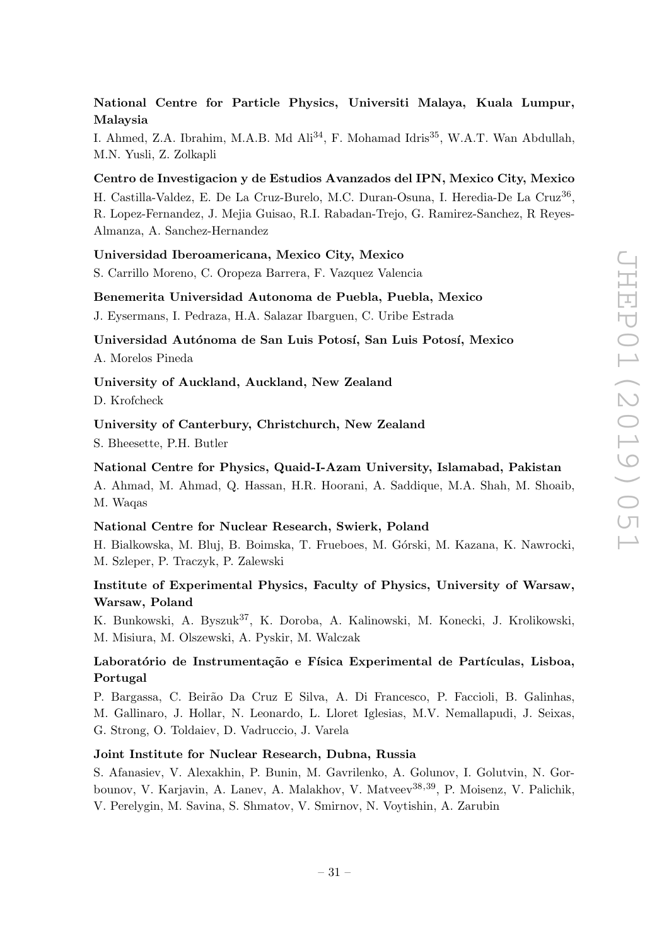# National Centre for Particle Physics, Universiti Malaya, Kuala Lumpur, Malaysia

I. Ahmed, Z.A. Ibrahim, M.A.B. Md Ali<sup>34</sup>, F. Mohamad Idris<sup>35</sup>, W.A.T. Wan Abdullah, M.N. Yusli, Z. Zolkapli

Centro de Investigacion y de Estudios Avanzados del IPN, Mexico City, Mexico H. Castilla-Valdez, E. De La Cruz-Burelo, M.C. Duran-Osuna, I. Heredia-De La Cruz<sup>36</sup>, R. Lopez-Fernandez, J. Mejia Guisao, R.I. Rabadan-Trejo, G. Ramirez-Sanchez, R Reyes-Almanza, A. Sanchez-Hernandez

#### Universidad Iberoamericana, Mexico City, Mexico

S. Carrillo Moreno, C. Oropeza Barrera, F. Vazquez Valencia

### Benemerita Universidad Autonoma de Puebla, Puebla, Mexico

J. Eysermans, I. Pedraza, H.A. Salazar Ibarguen, C. Uribe Estrada

# Universidad Autónoma de San Luis Potosí, San Luis Potosí, Mexico A. Morelos Pineda

University of Auckland, Auckland, New Zealand D. Krofcheck

University of Canterbury, Christchurch, New Zealand

S. Bheesette, P.H. Butler

### National Centre for Physics, Quaid-I-Azam University, Islamabad, Pakistan

A. Ahmad, M. Ahmad, Q. Hassan, H.R. Hoorani, A. Saddique, M.A. Shah, M. Shoaib, M. Waqas

# National Centre for Nuclear Research, Swierk, Poland

H. Bialkowska, M. Bluj, B. Boimska, T. Frueboes, M. G´orski, M. Kazana, K. Nawrocki, M. Szleper, P. Traczyk, P. Zalewski

# Institute of Experimental Physics, Faculty of Physics, University of Warsaw, Warsaw, Poland

K. Bunkowski, A. Byszuk37, K. Doroba, A. Kalinowski, M. Konecki, J. Krolikowski, M. Misiura, M. Olszewski, A. Pyskir, M. Walczak

# Laboratório de Instrumentação e Física Experimental de Partículas, Lisboa, Portugal

P. Bargassa, C. Beirão Da Cruz E Silva, A. Di Francesco, P. Faccioli, B. Galinhas, M. Gallinaro, J. Hollar, N. Leonardo, L. Lloret Iglesias, M.V. Nemallapudi, J. Seixas, G. Strong, O. Toldaiev, D. Vadruccio, J. Varela

# Joint Institute for Nuclear Research, Dubna, Russia

S. Afanasiev, V. Alexakhin, P. Bunin, M. Gavrilenko, A. Golunov, I. Golutvin, N. Gorbounov, V. Karjavin, A. Lanev, A. Malakhov, V. Matveev<sup>38,39</sup>, P. Moisenz, V. Palichik, V. Perelygin, M. Savina, S. Shmatov, V. Smirnov, N. Voytishin, A. Zarubin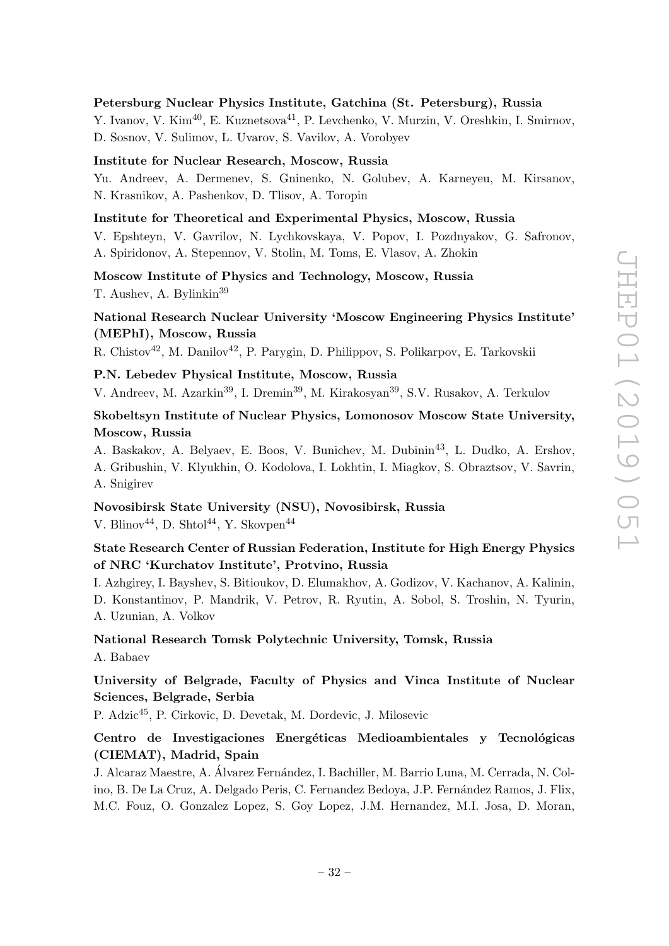# Petersburg Nuclear Physics Institute, Gatchina (St. Petersburg), Russia

Y. Ivanov, V. Kim<sup>40</sup>, E. Kuznetsova<sup>41</sup>, P. Levchenko, V. Murzin, V. Oreshkin, I. Smirnov, D. Sosnov, V. Sulimov, L. Uvarov, S. Vavilov, A. Vorobyev

#### Institute for Nuclear Research, Moscow, Russia

Yu. Andreev, A. Dermenev, S. Gninenko, N. Golubev, A. Karneyeu, M. Kirsanov, N. Krasnikov, A. Pashenkov, D. Tlisov, A. Toropin

#### Institute for Theoretical and Experimental Physics, Moscow, Russia

V. Epshteyn, V. Gavrilov, N. Lychkovskaya, V. Popov, I. Pozdnyakov, G. Safronov, A. Spiridonov, A. Stepennov, V. Stolin, M. Toms, E. Vlasov, A. Zhokin

Moscow Institute of Physics and Technology, Moscow, Russia

T. Aushev, A. Bylinkin<sup>39</sup>

# National Research Nuclear University 'Moscow Engineering Physics Institute' (MEPhI), Moscow, Russia

R. Chistov<sup>42</sup>, M. Danilov<sup>42</sup>, P. Parygin, D. Philippov, S. Polikarpov, E. Tarkovskii

# P.N. Lebedev Physical Institute, Moscow, Russia

V. Andreev, M. Azarkin39, I. Dremin39, M. Kirakosyan39, S.V. Rusakov, A. Terkulov

# Skobeltsyn Institute of Nuclear Physics, Lomonosov Moscow State University, Moscow, Russia

A. Baskakov, A. Belyaev, E. Boos, V. Bunichev, M. Dubinin<sup>43</sup>, L. Dudko, A. Ershov, A. Gribushin, V. Klyukhin, O. Kodolova, I. Lokhtin, I. Miagkov, S. Obraztsov, V. Savrin, A. Snigirev

Novosibirsk State University (NSU), Novosibirsk, Russia V. Blinov<sup>44</sup>, D. Shtol<sup>44</sup>, Y. Skovpen<sup>44</sup>

# State Research Center of Russian Federation, Institute for High Energy Physics of NRC 'Kurchatov Institute', Protvino, Russia

I. Azhgirey, I. Bayshev, S. Bitioukov, D. Elumakhov, A. Godizov, V. Kachanov, A. Kalinin, D. Konstantinov, P. Mandrik, V. Petrov, R. Ryutin, A. Sobol, S. Troshin, N. Tyurin, A. Uzunian, A. Volkov

National Research Tomsk Polytechnic University, Tomsk, Russia

A. Babaev

# University of Belgrade, Faculty of Physics and Vinca Institute of Nuclear Sciences, Belgrade, Serbia

P. Adzic45, P. Cirkovic, D. Devetak, M. Dordevic, J. Milosevic

# Centro de Investigaciones Energéticas Medioambientales y Tecnológicas (CIEMAT), Madrid, Spain

J. Alcaraz Maestre, A. Álvarez Fernández, I. Bachiller, M. Barrio Luna, M. Cerrada, N. Colino, B. De La Cruz, A. Delgado Peris, C. Fernandez Bedoya, J.P. Fern´andez Ramos, J. Flix, M.C. Fouz, O. Gonzalez Lopez, S. Goy Lopez, J.M. Hernandez, M.I. Josa, D. Moran,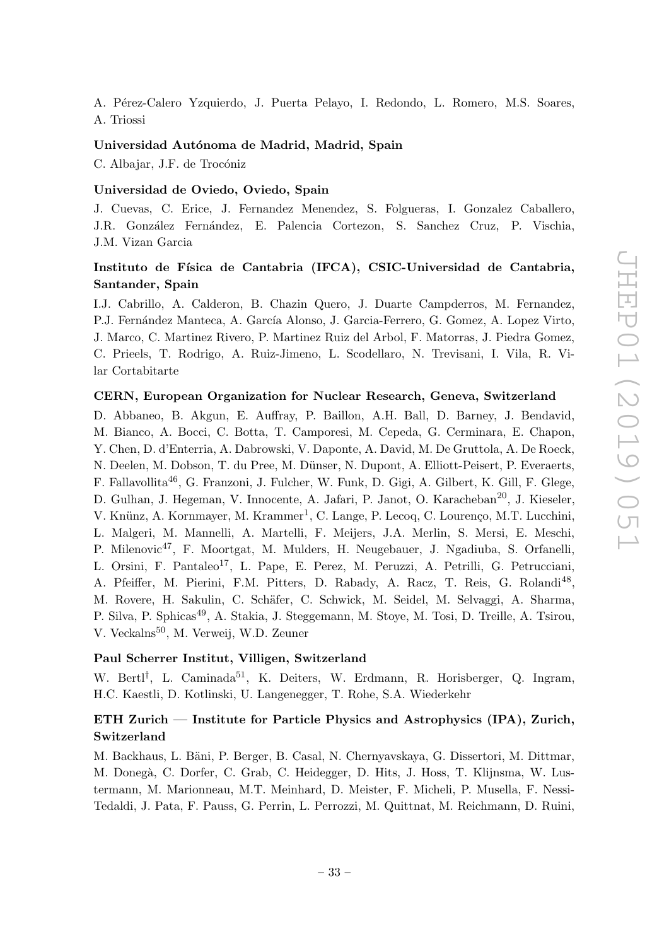A. Pérez-Calero Yzquierdo, J. Puerta Pelayo, I. Redondo, L. Romero, M.S. Soares, A. Triossi

#### Universidad Autónoma de Madrid, Madrid, Spain

C. Albajar, J.F. de Trocóniz

### Universidad de Oviedo, Oviedo, Spain

J. Cuevas, C. Erice, J. Fernandez Menendez, S. Folgueras, I. Gonzalez Caballero, J.R. Gonz´alez Fern´andez, E. Palencia Cortezon, S. Sanchez Cruz, P. Vischia, J.M. Vizan Garcia

# Instituto de Física de Cantabria (IFCA), CSIC-Universidad de Cantabria, Santander, Spain

I.J. Cabrillo, A. Calderon, B. Chazin Quero, J. Duarte Campderros, M. Fernandez, P.J. Fernández Manteca, A. García Alonso, J. Garcia-Ferrero, G. Gomez, A. Lopez Virto, J. Marco, C. Martinez Rivero, P. Martinez Ruiz del Arbol, F. Matorras, J. Piedra Gomez, C. Prieels, T. Rodrigo, A. Ruiz-Jimeno, L. Scodellaro, N. Trevisani, I. Vila, R. Vilar Cortabitarte

# CERN, European Organization for Nuclear Research, Geneva, Switzerland

D. Abbaneo, B. Akgun, E. Auffray, P. Baillon, A.H. Ball, D. Barney, J. Bendavid, M. Bianco, A. Bocci, C. Botta, T. Camporesi, M. Cepeda, G. Cerminara, E. Chapon, Y. Chen, D. d'Enterria, A. Dabrowski, V. Daponte, A. David, M. De Gruttola, A. De Roeck, N. Deelen, M. Dobson, T. du Pree, M. Dünser, N. Dupont, A. Elliott-Peisert, P. Everaerts, F. Fallavollita46, G. Franzoni, J. Fulcher, W. Funk, D. Gigi, A. Gilbert, K. Gill, F. Glege, D. Gulhan, J. Hegeman, V. Innocente, A. Jafari, P. Janot, O. Karacheban<sup>20</sup>, J. Kieseler, V. Knünz, A. Kornmayer, M. Krammer<sup>1</sup>, C. Lange, P. Lecoq, C. Lourenço, M.T. Lucchini, L. Malgeri, M. Mannelli, A. Martelli, F. Meijers, J.A. Merlin, S. Mersi, E. Meschi, P. Milenovic47, F. Moortgat, M. Mulders, H. Neugebauer, J. Ngadiuba, S. Orfanelli, L. Orsini, F. Pantaleo<sup>17</sup>, L. Pape, E. Perez, M. Peruzzi, A. Petrilli, G. Petrucciani, A. Pfeiffer, M. Pierini, F.M. Pitters, D. Rabady, A. Racz, T. Reis, G. Rolandi<sup>48</sup>, M. Rovere, H. Sakulin, C. Schäfer, C. Schwick, M. Seidel, M. Selvaggi, A. Sharma, P. Silva, P. Sphicas<sup>49</sup>, A. Stakia, J. Steggemann, M. Stoye, M. Tosi, D. Treille, A. Tsirou, V. Veckalns<sup>50</sup>, M. Verweij, W.D. Zeuner

### Paul Scherrer Institut, Villigen, Switzerland

W. Bertl<sup>†</sup>, L. Caminada<sup>51</sup>, K. Deiters, W. Erdmann, R. Horisberger, Q. Ingram, H.C. Kaestli, D. Kotlinski, U. Langenegger, T. Rohe, S.A. Wiederkehr

# ETH Zurich — Institute for Particle Physics and Astrophysics (IPA), Zurich, Switzerland

M. Backhaus, L. Bäni, P. Berger, B. Casal, N. Chernyavskaya, G. Dissertori, M. Dittmar, M. Doneg`a, C. Dorfer, C. Grab, C. Heidegger, D. Hits, J. Hoss, T. Klijnsma, W. Lustermann, M. Marionneau, M.T. Meinhard, D. Meister, F. Micheli, P. Musella, F. Nessi-Tedaldi, J. Pata, F. Pauss, G. Perrin, L. Perrozzi, M. Quittnat, M. Reichmann, D. Ruini,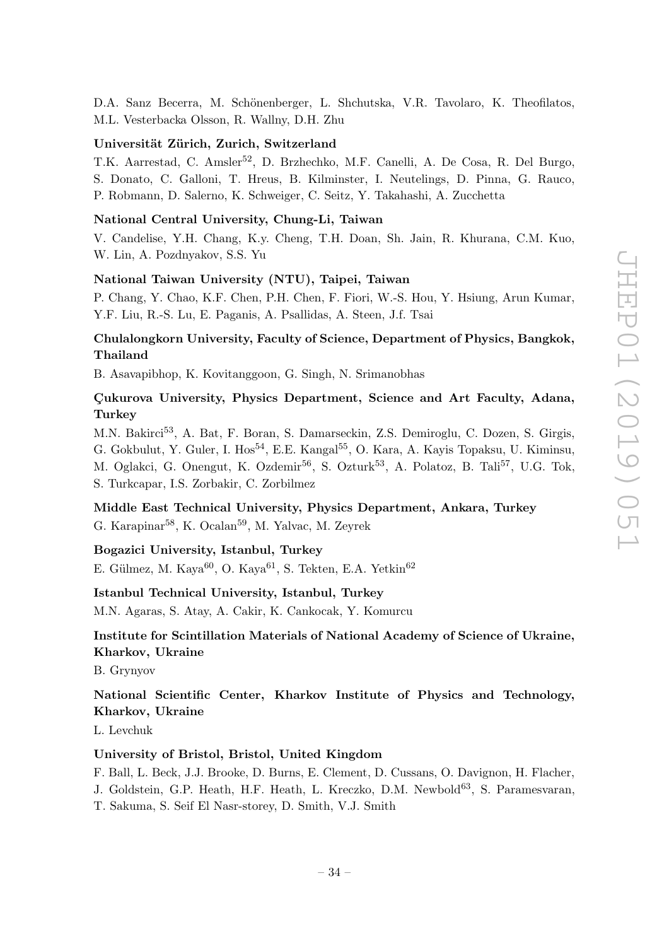D.A. Sanz Becerra, M. Schönenberger, L. Shchutska, V.R. Tavolaro, K. Theofilatos, M.L. Vesterbacka Olsson, R. Wallny, D.H. Zhu

#### Universität Zürich, Zurich, Switzerland

T.K. Aarrestad, C. Amsler<sup>52</sup>, D. Brzhechko, M.F. Canelli, A. De Cosa, R. Del Burgo, S. Donato, C. Galloni, T. Hreus, B. Kilminster, I. Neutelings, D. Pinna, G. Rauco, P. Robmann, D. Salerno, K. Schweiger, C. Seitz, Y. Takahashi, A. Zucchetta

#### National Central University, Chung-Li, Taiwan

V. Candelise, Y.H. Chang, K.y. Cheng, T.H. Doan, Sh. Jain, R. Khurana, C.M. Kuo, W. Lin, A. Pozdnyakov, S.S. Yu

# National Taiwan University (NTU), Taipei, Taiwan

P. Chang, Y. Chao, K.F. Chen, P.H. Chen, F. Fiori, W.-S. Hou, Y. Hsiung, Arun Kumar, Y.F. Liu, R.-S. Lu, E. Paganis, A. Psallidas, A. Steen, J.f. Tsai

# Chulalongkorn University, Faculty of Science, Department of Physics, Bangkok, Thailand

B. Asavapibhop, K. Kovitanggoon, G. Singh, N. Srimanobhas

# Çukurova University, Physics Department, Science and Art Faculty, Adana, **Turkey**

M.N. Bakirci<sup>53</sup>, A. Bat, F. Boran, S. Damarseckin, Z.S. Demiroglu, C. Dozen, S. Girgis, G. Gokbulut, Y. Guler, I. Hos<sup>54</sup>, E.E. Kangal<sup>55</sup>, O. Kara, A. Kayis Topaksu, U. Kiminsu, M. Oglakci, G. Onengut, K. Ozdemir<sup>56</sup>, S. Ozturk<sup>53</sup>, A. Polatoz, B. Tali<sup>57</sup>, U.G. Tok, S. Turkcapar, I.S. Zorbakir, C. Zorbilmez

# Middle East Technical University, Physics Department, Ankara, Turkey G. Karapinar58, K. Ocalan59, M. Yalvac, M. Zeyrek

### Bogazici University, Istanbul, Turkey

E. Gülmez, M. Kaya<sup>60</sup>, O. Kaya<sup>61</sup>, S. Tekten, E.A. Yetkin<sup>62</sup>

### Istanbul Technical University, Istanbul, Turkey

M.N. Agaras, S. Atay, A. Cakir, K. Cankocak, Y. Komurcu

# Institute for Scintillation Materials of National Academy of Science of Ukraine, Kharkov, Ukraine

B. Grynyov

# National Scientific Center, Kharkov Institute of Physics and Technology, Kharkov, Ukraine

L. Levchuk

# University of Bristol, Bristol, United Kingdom

F. Ball, L. Beck, J.J. Brooke, D. Burns, E. Clement, D. Cussans, O. Davignon, H. Flacher,

J. Goldstein, G.P. Heath, H.F. Heath, L. Kreczko, D.M. Newbold<sup>63</sup>, S. Paramesvaran,

T. Sakuma, S. Seif El Nasr-storey, D. Smith, V.J. Smith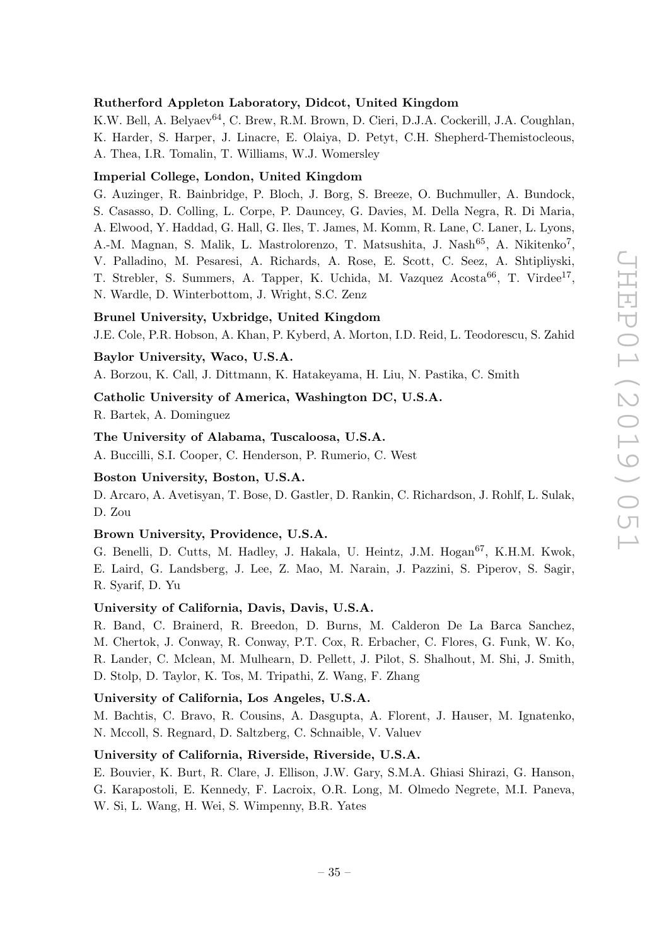### Rutherford Appleton Laboratory, Didcot, United Kingdom

K.W. Bell, A. Belyaev<sup>64</sup>, C. Brew, R.M. Brown, D. Cieri, D.J.A. Cockerill, J.A. Coughlan, K. Harder, S. Harper, J. Linacre, E. Olaiya, D. Petyt, C.H. Shepherd-Themistocleous, A. Thea, I.R. Tomalin, T. Williams, W.J. Womersley

#### Imperial College, London, United Kingdom

G. Auzinger, R. Bainbridge, P. Bloch, J. Borg, S. Breeze, O. Buchmuller, A. Bundock,

S. Casasso, D. Colling, L. Corpe, P. Dauncey, G. Davies, M. Della Negra, R. Di Maria,

A. Elwood, Y. Haddad, G. Hall, G. Iles, T. James, M. Komm, R. Lane, C. Laner, L. Lyons,

A.-M. Magnan, S. Malik, L. Mastrolorenzo, T. Matsushita, J. Nash<sup>65</sup>, A. Nikitenko<sup>7</sup>,

V. Palladino, M. Pesaresi, A. Richards, A. Rose, E. Scott, C. Seez, A. Shtipliyski,

T. Strebler, S. Summers, A. Tapper, K. Uchida, M. Vazquez Acosta<sup>66</sup>, T. Virdee<sup>17</sup>, N. Wardle, D. Winterbottom, J. Wright, S.C. Zenz

### Brunel University, Uxbridge, United Kingdom

J.E. Cole, P.R. Hobson, A. Khan, P. Kyberd, A. Morton, I.D. Reid, L. Teodorescu, S. Zahid

### Baylor University, Waco, U.S.A.

A. Borzou, K. Call, J. Dittmann, K. Hatakeyama, H. Liu, N. Pastika, C. Smith

#### Catholic University of America, Washington DC, U.S.A.

R. Bartek, A. Dominguez

### The University of Alabama, Tuscaloosa, U.S.A.

A. Buccilli, S.I. Cooper, C. Henderson, P. Rumerio, C. West

# Boston University, Boston, U.S.A.

D. Arcaro, A. Avetisyan, T. Bose, D. Gastler, D. Rankin, C. Richardson, J. Rohlf, L. Sulak, D. Zou

#### Brown University, Providence, U.S.A.

G. Benelli, D. Cutts, M. Hadley, J. Hakala, U. Heintz, J.M. Hogan<sup>67</sup>, K.H.M. Kwok, E. Laird, G. Landsberg, J. Lee, Z. Mao, M. Narain, J. Pazzini, S. Piperov, S. Sagir, R. Syarif, D. Yu

# University of California, Davis, Davis, U.S.A.

R. Band, C. Brainerd, R. Breedon, D. Burns, M. Calderon De La Barca Sanchez, M. Chertok, J. Conway, R. Conway, P.T. Cox, R. Erbacher, C. Flores, G. Funk, W. Ko, R. Lander, C. Mclean, M. Mulhearn, D. Pellett, J. Pilot, S. Shalhout, M. Shi, J. Smith, D. Stolp, D. Taylor, K. Tos, M. Tripathi, Z. Wang, F. Zhang

# University of California, Los Angeles, U.S.A.

M. Bachtis, C. Bravo, R. Cousins, A. Dasgupta, A. Florent, J. Hauser, M. Ignatenko, N. Mccoll, S. Regnard, D. Saltzberg, C. Schnaible, V. Valuev

# University of California, Riverside, Riverside, U.S.A.

E. Bouvier, K. Burt, R. Clare, J. Ellison, J.W. Gary, S.M.A. Ghiasi Shirazi, G. Hanson, G. Karapostoli, E. Kennedy, F. Lacroix, O.R. Long, M. Olmedo Negrete, M.I. Paneva, W. Si, L. Wang, H. Wei, S. Wimpenny, B.R. Yates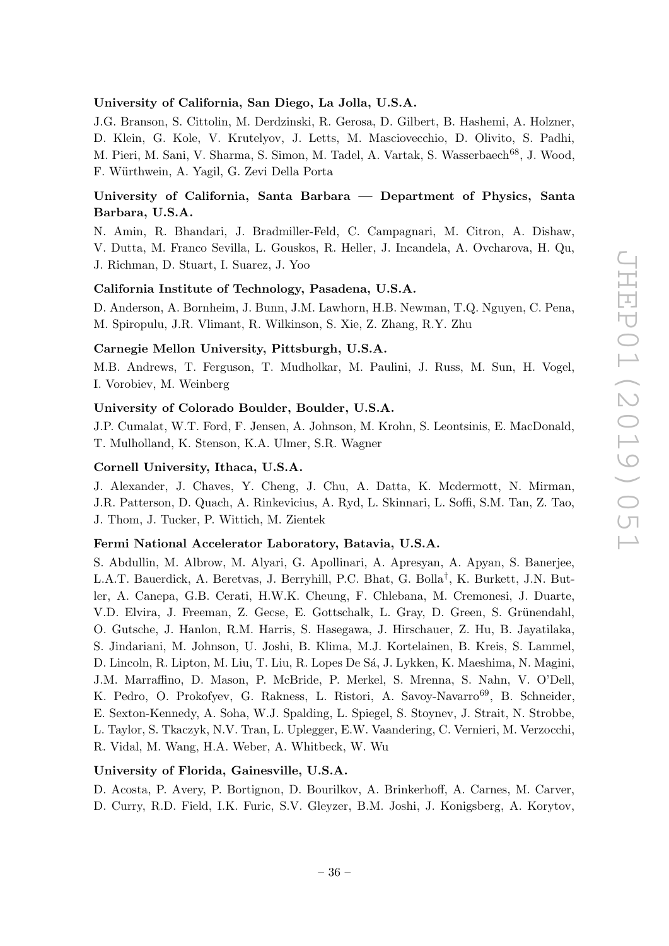# University of California, San Diego, La Jolla, U.S.A.

J.G. Branson, S. Cittolin, M. Derdzinski, R. Gerosa, D. Gilbert, B. Hashemi, A. Holzner, D. Klein, G. Kole, V. Krutelyov, J. Letts, M. Masciovecchio, D. Olivito, S. Padhi, M. Pieri, M. Sani, V. Sharma, S. Simon, M. Tadel, A. Vartak, S. Wasserbaech<sup>68</sup>, J. Wood, F. Würthwein, A. Yagil, G. Zevi Della Porta

# University of California, Santa Barbara — Department of Physics, Santa Barbara, U.S.A.

N. Amin, R. Bhandari, J. Bradmiller-Feld, C. Campagnari, M. Citron, A. Dishaw, V. Dutta, M. Franco Sevilla, L. Gouskos, R. Heller, J. Incandela, A. Ovcharova, H. Qu, J. Richman, D. Stuart, I. Suarez, J. Yoo

# California Institute of Technology, Pasadena, U.S.A.

D. Anderson, A. Bornheim, J. Bunn, J.M. Lawhorn, H.B. Newman, T.Q. Nguyen, C. Pena, M. Spiropulu, J.R. Vlimant, R. Wilkinson, S. Xie, Z. Zhang, R.Y. Zhu

# Carnegie Mellon University, Pittsburgh, U.S.A.

M.B. Andrews, T. Ferguson, T. Mudholkar, M. Paulini, J. Russ, M. Sun, H. Vogel, I. Vorobiev, M. Weinberg

### University of Colorado Boulder, Boulder, U.S.A.

J.P. Cumalat, W.T. Ford, F. Jensen, A. Johnson, M. Krohn, S. Leontsinis, E. MacDonald, T. Mulholland, K. Stenson, K.A. Ulmer, S.R. Wagner

#### Cornell University, Ithaca, U.S.A.

J. Alexander, J. Chaves, Y. Cheng, J. Chu, A. Datta, K. Mcdermott, N. Mirman, J.R. Patterson, D. Quach, A. Rinkevicius, A. Ryd, L. Skinnari, L. Soffi, S.M. Tan, Z. Tao, J. Thom, J. Tucker, P. Wittich, M. Zientek

#### Fermi National Accelerator Laboratory, Batavia, U.S.A.

S. Abdullin, M. Albrow, M. Alyari, G. Apollinari, A. Apresyan, A. Apyan, S. Banerjee, L.A.T. Bauerdick, A. Beretvas, J. Berryhill, P.C. Bhat, G. Bolla† , K. Burkett, J.N. Butler, A. Canepa, G.B. Cerati, H.W.K. Cheung, F. Chlebana, M. Cremonesi, J. Duarte, V.D. Elvira, J. Freeman, Z. Gecse, E. Gottschalk, L. Gray, D. Green, S. Grünendahl, O. Gutsche, J. Hanlon, R.M. Harris, S. Hasegawa, J. Hirschauer, Z. Hu, B. Jayatilaka, S. Jindariani, M. Johnson, U. Joshi, B. Klima, M.J. Kortelainen, B. Kreis, S. Lammel, D. Lincoln, R. Lipton, M. Liu, T. Liu, R. Lopes De S´a, J. Lykken, K. Maeshima, N. Magini, J.M. Marraffino, D. Mason, P. McBride, P. Merkel, S. Mrenna, S. Nahn, V. O'Dell, K. Pedro, O. Prokofyev, G. Rakness, L. Ristori, A. Savoy-Navarro<sup>69</sup>, B. Schneider, E. Sexton-Kennedy, A. Soha, W.J. Spalding, L. Spiegel, S. Stoynev, J. Strait, N. Strobbe, L. Taylor, S. Tkaczyk, N.V. Tran, L. Uplegger, E.W. Vaandering, C. Vernieri, M. Verzocchi, R. Vidal, M. Wang, H.A. Weber, A. Whitbeck, W. Wu

#### University of Florida, Gainesville, U.S.A.

D. Acosta, P. Avery, P. Bortignon, D. Bourilkov, A. Brinkerhoff, A. Carnes, M. Carver, D. Curry, R.D. Field, I.K. Furic, S.V. Gleyzer, B.M. Joshi, J. Konigsberg, A. Korytov,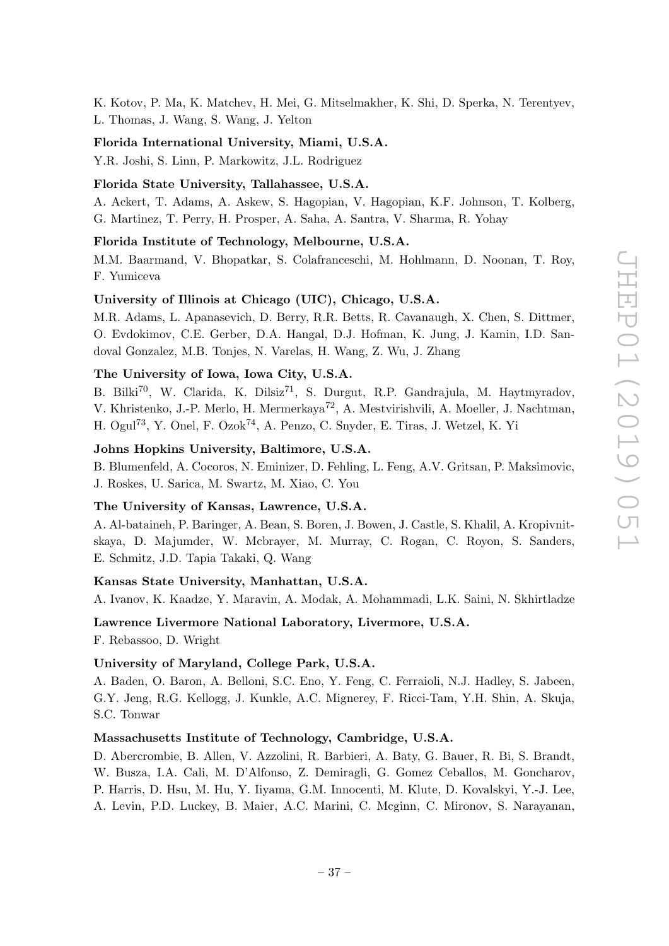K. Kotov, P. Ma, K. Matchev, H. Mei, G. Mitselmakher, K. Shi, D. Sperka, N. Terentyev, L. Thomas, J. Wang, S. Wang, J. Yelton

### Florida International University, Miami, U.S.A.

Y.R. Joshi, S. Linn, P. Markowitz, J.L. Rodriguez

#### Florida State University, Tallahassee, U.S.A.

A. Ackert, T. Adams, A. Askew, S. Hagopian, V. Hagopian, K.F. Johnson, T. Kolberg, G. Martinez, T. Perry, H. Prosper, A. Saha, A. Santra, V. Sharma, R. Yohay

### Florida Institute of Technology, Melbourne, U.S.A.

M.M. Baarmand, V. Bhopatkar, S. Colafranceschi, M. Hohlmann, D. Noonan, T. Roy, F. Yumiceva

#### University of Illinois at Chicago (UIC), Chicago, U.S.A.

M.R. Adams, L. Apanasevich, D. Berry, R.R. Betts, R. Cavanaugh, X. Chen, S. Dittmer, O. Evdokimov, C.E. Gerber, D.A. Hangal, D.J. Hofman, K. Jung, J. Kamin, I.D. Sandoval Gonzalez, M.B. Tonjes, N. Varelas, H. Wang, Z. Wu, J. Zhang

# The University of Iowa, Iowa City, U.S.A.

B. Bilki<sup>70</sup>, W. Clarida, K. Dilsiz<sup>71</sup>, S. Durgut, R.P. Gandrajula, M. Haytmyradov, V. Khristenko, J.-P. Merlo, H. Mermerkaya72, A. Mestvirishvili, A. Moeller, J. Nachtman, H. Ogul73, Y. Onel, F. Ozok74, A. Penzo, C. Snyder, E. Tiras, J. Wetzel, K. Yi

#### Johns Hopkins University, Baltimore, U.S.A.

B. Blumenfeld, A. Cocoros, N. Eminizer, D. Fehling, L. Feng, A.V. Gritsan, P. Maksimovic, J. Roskes, U. Sarica, M. Swartz, M. Xiao, C. You

#### The University of Kansas, Lawrence, U.S.A.

A. Al-bataineh, P. Baringer, A. Bean, S. Boren, J. Bowen, J. Castle, S. Khalil, A. Kropivnitskaya, D. Majumder, W. Mcbrayer, M. Murray, C. Rogan, C. Royon, S. Sanders, E. Schmitz, J.D. Tapia Takaki, Q. Wang

#### Kansas State University, Manhattan, U.S.A.

A. Ivanov, K. Kaadze, Y. Maravin, A. Modak, A. Mohammadi, L.K. Saini, N. Skhirtladze

Lawrence Livermore National Laboratory, Livermore, U.S.A.

F. Rebassoo, D. Wright

# University of Maryland, College Park, U.S.A.

A. Baden, O. Baron, A. Belloni, S.C. Eno, Y. Feng, C. Ferraioli, N.J. Hadley, S. Jabeen, G.Y. Jeng, R.G. Kellogg, J. Kunkle, A.C. Mignerey, F. Ricci-Tam, Y.H. Shin, A. Skuja, S.C. Tonwar

# Massachusetts Institute of Technology, Cambridge, U.S.A.

D. Abercrombie, B. Allen, V. Azzolini, R. Barbieri, A. Baty, G. Bauer, R. Bi, S. Brandt, W. Busza, I.A. Cali, M. D'Alfonso, Z. Demiragli, G. Gomez Ceballos, M. Goncharov, P. Harris, D. Hsu, M. Hu, Y. Iiyama, G.M. Innocenti, M. Klute, D. Kovalskyi, Y.-J. Lee, A. Levin, P.D. Luckey, B. Maier, A.C. Marini, C. Mcginn, C. Mironov, S. Narayanan,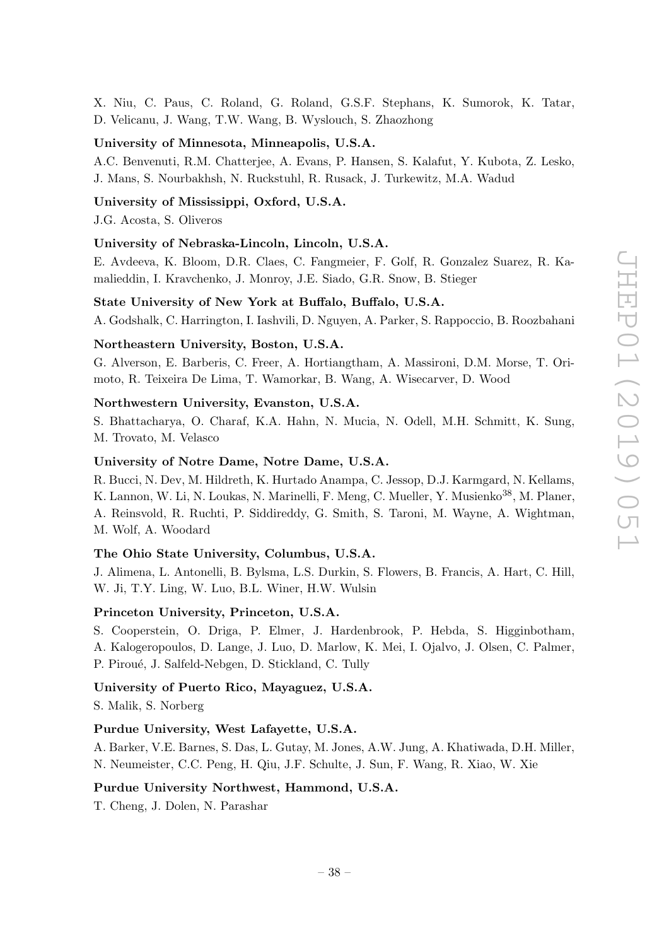X. Niu, C. Paus, C. Roland, G. Roland, G.S.F. Stephans, K. Sumorok, K. Tatar, D. Velicanu, J. Wang, T.W. Wang, B. Wyslouch, S. Zhaozhong

#### University of Minnesota, Minneapolis, U.S.A.

A.C. Benvenuti, R.M. Chatterjee, A. Evans, P. Hansen, S. Kalafut, Y. Kubota, Z. Lesko, J. Mans, S. Nourbakhsh, N. Ruckstuhl, R. Rusack, J. Turkewitz, M.A. Wadud

### University of Mississippi, Oxford, U.S.A.

J.G. Acosta, S. Oliveros

### University of Nebraska-Lincoln, Lincoln, U.S.A.

E. Avdeeva, K. Bloom, D.R. Claes, C. Fangmeier, F. Golf, R. Gonzalez Suarez, R. Kamalieddin, I. Kravchenko, J. Monroy, J.E. Siado, G.R. Snow, B. Stieger

#### State University of New York at Buffalo, Buffalo, U.S.A.

A. Godshalk, C. Harrington, I. Iashvili, D. Nguyen, A. Parker, S. Rappoccio, B. Roozbahani

#### Northeastern University, Boston, U.S.A.

G. Alverson, E. Barberis, C. Freer, A. Hortiangtham, A. Massironi, D.M. Morse, T. Orimoto, R. Teixeira De Lima, T. Wamorkar, B. Wang, A. Wisecarver, D. Wood

#### Northwestern University, Evanston, U.S.A.

S. Bhattacharya, O. Charaf, K.A. Hahn, N. Mucia, N. Odell, M.H. Schmitt, K. Sung, M. Trovato, M. Velasco

### University of Notre Dame, Notre Dame, U.S.A.

R. Bucci, N. Dev, M. Hildreth, K. Hurtado Anampa, C. Jessop, D.J. Karmgard, N. Kellams, K. Lannon, W. Li, N. Loukas, N. Marinelli, F. Meng, C. Mueller, Y. Musienko<sup>38</sup>, M. Planer, A. Reinsvold, R. Ruchti, P. Siddireddy, G. Smith, S. Taroni, M. Wayne, A. Wightman, M. Wolf, A. Woodard

### The Ohio State University, Columbus, U.S.A.

J. Alimena, L. Antonelli, B. Bylsma, L.S. Durkin, S. Flowers, B. Francis, A. Hart, C. Hill, W. Ji, T.Y. Ling, W. Luo, B.L. Winer, H.W. Wulsin

# Princeton University, Princeton, U.S.A.

S. Cooperstein, O. Driga, P. Elmer, J. Hardenbrook, P. Hebda, S. Higginbotham, A. Kalogeropoulos, D. Lange, J. Luo, D. Marlow, K. Mei, I. Ojalvo, J. Olsen, C. Palmer, P. Piroué, J. Salfeld-Nebgen, D. Stickland, C. Tully

# University of Puerto Rico, Mayaguez, U.S.A.

S. Malik, S. Norberg

### Purdue University, West Lafayette, U.S.A.

A. Barker, V.E. Barnes, S. Das, L. Gutay, M. Jones, A.W. Jung, A. Khatiwada, D.H. Miller, N. Neumeister, C.C. Peng, H. Qiu, J.F. Schulte, J. Sun, F. Wang, R. Xiao, W. Xie

#### Purdue University Northwest, Hammond, U.S.A.

T. Cheng, J. Dolen, N. Parashar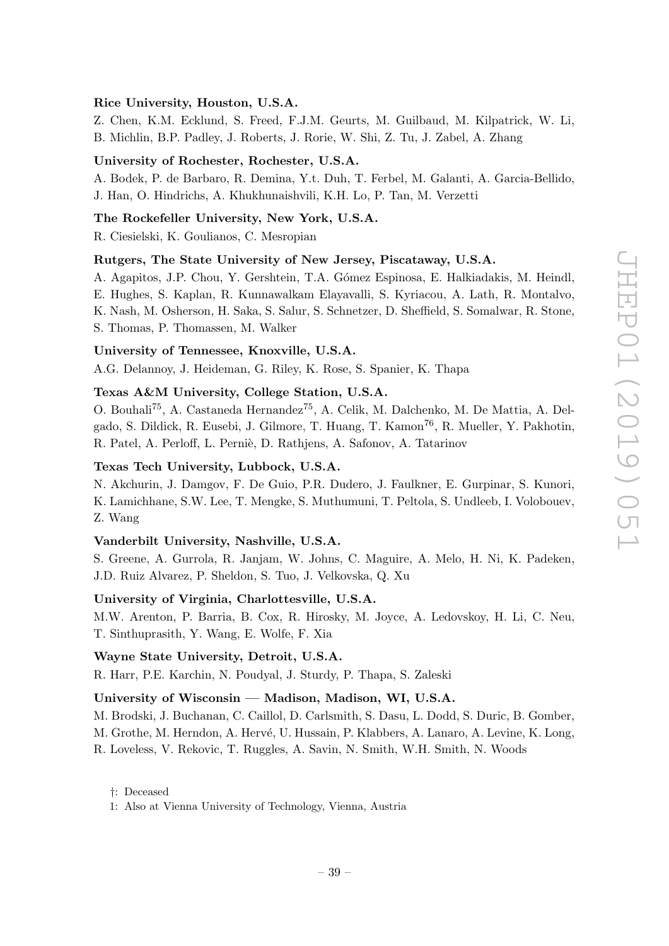#### Rice University, Houston, U.S.A.

Z. Chen, K.M. Ecklund, S. Freed, F.J.M. Geurts, M. Guilbaud, M. Kilpatrick, W. Li, B. Michlin, B.P. Padley, J. Roberts, J. Rorie, W. Shi, Z. Tu, J. Zabel, A. Zhang

#### University of Rochester, Rochester, U.S.A.

A. Bodek, P. de Barbaro, R. Demina, Y.t. Duh, T. Ferbel, M. Galanti, A. Garcia-Bellido, J. Han, O. Hindrichs, A. Khukhunaishvili, K.H. Lo, P. Tan, M. Verzetti

# The Rockefeller University, New York, U.S.A.

R. Ciesielski, K. Goulianos, C. Mesropian

### Rutgers, The State University of New Jersey, Piscataway, U.S.A.

A. Agapitos, J.P. Chou, Y. Gershtein, T.A. Gómez Espinosa, E. Halkiadakis, M. Heindl,

E. Hughes, S. Kaplan, R. Kunnawalkam Elayavalli, S. Kyriacou, A. Lath, R. Montalvo,

K. Nash, M. Osherson, H. Saka, S. Salur, S. Schnetzer, D. Sheffield, S. Somalwar, R. Stone,

S. Thomas, P. Thomassen, M. Walker

# University of Tennessee, Knoxville, U.S.A.

A.G. Delannoy, J. Heideman, G. Riley, K. Rose, S. Spanier, K. Thapa

# Texas A&M University, College Station, U.S.A.

O. Bouhali75, A. Castaneda Hernandez75, A. Celik, M. Dalchenko, M. De Mattia, A. Delgado, S. Dildick, R. Eusebi, J. Gilmore, T. Huang, T. Kamon<sup>76</sup>, R. Mueller, Y. Pakhotin, R. Patel, A. Perloff, L. Perniè, D. Rathjens, A. Safonov, A. Tatarinov

### Texas Tech University, Lubbock, U.S.A.

N. Akchurin, J. Damgov, F. De Guio, P.R. Dudero, J. Faulkner, E. Gurpinar, S. Kunori, K. Lamichhane, S.W. Lee, T. Mengke, S. Muthumuni, T. Peltola, S. Undleeb, I. Volobouev, Z. Wang

#### Vanderbilt University, Nashville, U.S.A.

S. Greene, A. Gurrola, R. Janjam, W. Johns, C. Maguire, A. Melo, H. Ni, K. Padeken, J.D. Ruiz Alvarez, P. Sheldon, S. Tuo, J. Velkovska, Q. Xu

# University of Virginia, Charlottesville, U.S.A.

M.W. Arenton, P. Barria, B. Cox, R. Hirosky, M. Joyce, A. Ledovskoy, H. Li, C. Neu, T. Sinthuprasith, Y. Wang, E. Wolfe, F. Xia

### Wayne State University, Detroit, U.S.A.

R. Harr, P.E. Karchin, N. Poudyal, J. Sturdy, P. Thapa, S. Zaleski

# University of Wisconsin — Madison, Madison, WI, U.S.A.

M. Brodski, J. Buchanan, C. Caillol, D. Carlsmith, S. Dasu, L. Dodd, S. Duric, B. Gomber,

M. Grothe, M. Herndon, A. Hervé, U. Hussain, P. Klabbers, A. Lanaro, A. Levine, K. Long,

R. Loveless, V. Rekovic, T. Ruggles, A. Savin, N. Smith, W.H. Smith, N. Woods

†: Deceased

1: Also at Vienna University of Technology, Vienna, Austria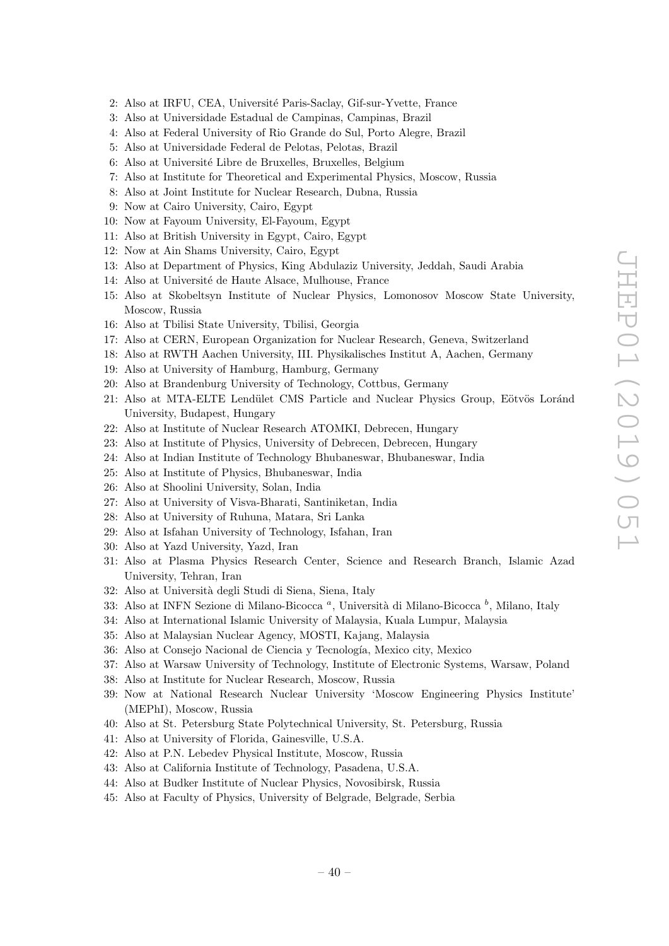- 2: Also at IRFU, CEA, Université Paris-Saclay, Gif-sur-Yvette, France
- 3: Also at Universidade Estadual de Campinas, Campinas, Brazil
- 4: Also at Federal University of Rio Grande do Sul, Porto Alegre, Brazil
- 5: Also at Universidade Federal de Pelotas, Pelotas, Brazil
- 6: Also at Université Libre de Bruxelles, Bruxelles, Belgium
- 7: Also at Institute for Theoretical and Experimental Physics, Moscow, Russia
- 8: Also at Joint Institute for Nuclear Research, Dubna, Russia
- 9: Now at Cairo University, Cairo, Egypt
- 10: Now at Fayoum University, El-Fayoum, Egypt
- 11: Also at British University in Egypt, Cairo, Egypt
- 12: Now at Ain Shams University, Cairo, Egypt
- 13: Also at Department of Physics, King Abdulaziz University, Jeddah, Saudi Arabia
- 14: Also at Université de Haute Alsace, Mulhouse, France
- 15: Also at Skobeltsyn Institute of Nuclear Physics, Lomonosov Moscow State University, Moscow, Russia
- 16: Also at Tbilisi State University, Tbilisi, Georgia
- 17: Also at CERN, European Organization for Nuclear Research, Geneva, Switzerland
- 18: Also at RWTH Aachen University, III. Physikalisches Institut A, Aachen, Germany
- 19: Also at University of Hamburg, Hamburg, Germany
- 20: Also at Brandenburg University of Technology, Cottbus, Germany
- 21: Also at MTA-ELTE Lendület CMS Particle and Nuclear Physics Group, Eötvös Loránd University, Budapest, Hungary
- 22: Also at Institute of Nuclear Research ATOMKI, Debrecen, Hungary
- 23: Also at Institute of Physics, University of Debrecen, Debrecen, Hungary
- 24: Also at Indian Institute of Technology Bhubaneswar, Bhubaneswar, India
- 25: Also at Institute of Physics, Bhubaneswar, India
- 26: Also at Shoolini University, Solan, India
- 27: Also at University of Visva-Bharati, Santiniketan, India
- 28: Also at University of Ruhuna, Matara, Sri Lanka
- 29: Also at Isfahan University of Technology, Isfahan, Iran
- 30: Also at Yazd University, Yazd, Iran
- 31: Also at Plasma Physics Research Center, Science and Research Branch, Islamic Azad University, Tehran, Iran
- 32: Also at Università degli Studi di Siena, Siena, Italy
- 33: Also at INFN Sezione di Milano-Bicocca<sup>a</sup>, Università di Milano-Bicocca<sup>b</sup>, Milano, Italy
- 34: Also at International Islamic University of Malaysia, Kuala Lumpur, Malaysia
- 35: Also at Malaysian Nuclear Agency, MOSTI, Kajang, Malaysia
- 36: Also at Consejo Nacional de Ciencia y Tecnología, Mexico city, Mexico
- 37: Also at Warsaw University of Technology, Institute of Electronic Systems, Warsaw, Poland
- 38: Also at Institute for Nuclear Research, Moscow, Russia
- 39: Now at National Research Nuclear University 'Moscow Engineering Physics Institute' (MEPhI), Moscow, Russia
- 40: Also at St. Petersburg State Polytechnical University, St. Petersburg, Russia
- 41: Also at University of Florida, Gainesville, U.S.A.
- 42: Also at P.N. Lebedev Physical Institute, Moscow, Russia
- 43: Also at California Institute of Technology, Pasadena, U.S.A.
- 44: Also at Budker Institute of Nuclear Physics, Novosibirsk, Russia
- 45: Also at Faculty of Physics, University of Belgrade, Belgrade, Serbia